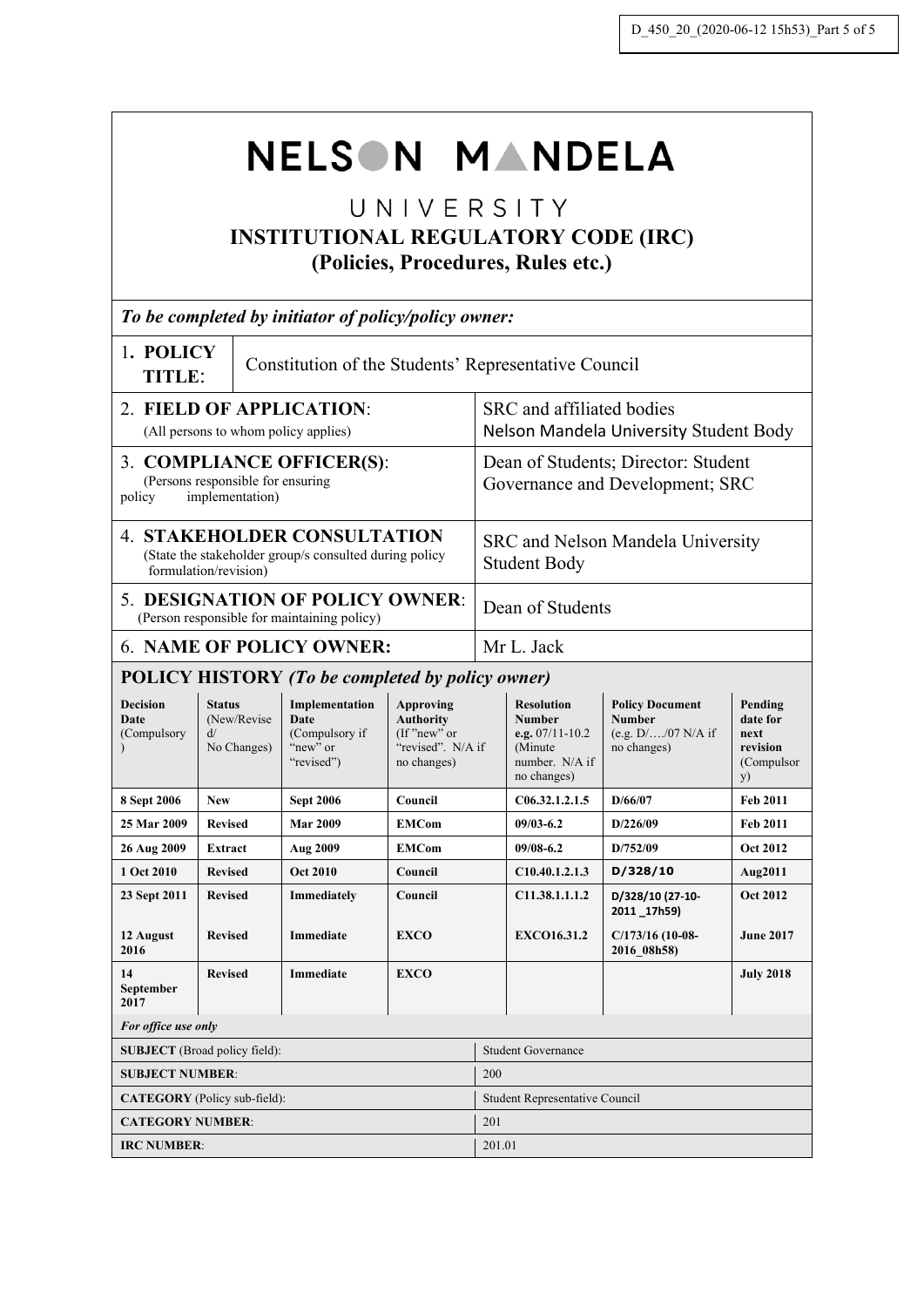# NELSON MANDELA

# UNIVERSITY **INSTITUTIONAL REGULATORY CODE (IRC) (Policies, Procedures, Rules etc.)**

| To be completed by initiator of policy/policy owner:                                                                  |                                                  |                                                                    |                                                                                     |                                                                     |                                                                                                        |                                                                                 |                                                             |  |
|-----------------------------------------------------------------------------------------------------------------------|--------------------------------------------------|--------------------------------------------------------------------|-------------------------------------------------------------------------------------|---------------------------------------------------------------------|--------------------------------------------------------------------------------------------------------|---------------------------------------------------------------------------------|-------------------------------------------------------------|--|
| 1. POLICY<br>Constitution of the Students' Representative Council<br>TITLE:                                           |                                                  |                                                                    |                                                                                     |                                                                     |                                                                                                        |                                                                                 |                                                             |  |
| 2. FIELD OF APPLICATION:<br>(All persons to whom policy applies)                                                      |                                                  |                                                                    |                                                                                     | SRC and affiliated bodies<br>Nelson Mandela University Student Body |                                                                                                        |                                                                                 |                                                             |  |
| 3. COMPLIANCE OFFICER(S):<br>(Persons responsible for ensuring<br>implementation)<br>policy                           |                                                  |                                                                    |                                                                                     |                                                                     | Dean of Students; Director: Student<br>Governance and Development; SRC                                 |                                                                                 |                                                             |  |
| <b>4. STAKEHOLDER CONSULTATION</b><br>(State the stakeholder group/s consulted during policy<br>formulation/revision) |                                                  |                                                                    |                                                                                     | SRC and Nelson Mandela University<br><b>Student Body</b>            |                                                                                                        |                                                                                 |                                                             |  |
| <b>5. DESIGNATION OF POLICY OWNER:</b><br>(Person responsible for maintaining policy)                                 |                                                  |                                                                    |                                                                                     | Dean of Students                                                    |                                                                                                        |                                                                                 |                                                             |  |
|                                                                                                                       | <b>6. NAME OF POLICY OWNER:</b>                  |                                                                    |                                                                                     |                                                                     | Mr L. Jack                                                                                             |                                                                                 |                                                             |  |
|                                                                                                                       |                                                  | <b>POLICY HISTORY (To be completed by policy owner)</b>            |                                                                                     |                                                                     |                                                                                                        |                                                                                 |                                                             |  |
| <b>Decision</b><br>Date<br>(Compulsory                                                                                | <b>Status</b><br>(New/Revise<br>ď<br>No Changes) | Implementation<br>Date<br>(Compulsory if<br>"new" or<br>"revised") | Approving<br><b>Authority</b><br>$($ f "new" or<br>"revised". N/A if<br>no changes) |                                                                     | <b>Resolution</b><br><b>Number</b><br>e.g. $07/11 - 10.2$<br>(Minute)<br>number. N/A if<br>no changes) | <b>Policy Document</b><br><b>Number</b><br>(e.g. $D/$ /07 N/A if<br>no changes) | Pending<br>date for<br>next<br>revision<br>(Compulsor<br>y) |  |
| 8 Sept 2006                                                                                                           | <b>New</b>                                       | <b>Sept 2006</b>                                                   | Council                                                                             |                                                                     | C06.32.1.2.1.5                                                                                         | D/66/07                                                                         | <b>Feb 2011</b>                                             |  |
| 25 Mar 2009                                                                                                           | <b>Revised</b>                                   | <b>Mar 2009</b>                                                    | <b>EMCom</b>                                                                        |                                                                     | $09/03 - 6.2$                                                                                          | D/226/09                                                                        | Feb 2011                                                    |  |
| 26 Aug 2009                                                                                                           | Extract                                          | Aug 2009                                                           | <b>EMCom</b>                                                                        |                                                                     | $09/08 - 6.2$                                                                                          | D/752/09                                                                        | <b>Oct 2012</b>                                             |  |
| 1 Oct 2010                                                                                                            | <b>Revised</b>                                   | <b>Oct 2010</b>                                                    | Council                                                                             |                                                                     | C10.40.1.2.1.3                                                                                         | D/328/10                                                                        | Aug2011                                                     |  |
| 23 Sept 2011                                                                                                          | <b>Revised</b>                                   | Immediately                                                        | Council                                                                             |                                                                     | C11.38.1.1.1.2                                                                                         | D/328/10 (27-10-<br>2011_17h59)                                                 | <b>Oct 2012</b>                                             |  |
| 12 August<br>2016                                                                                                     | <b>Revised</b>                                   | <b>Immediate</b>                                                   | <b>EXCO</b>                                                                         |                                                                     | <b>EXCO16.31.2</b>                                                                                     | $C/173/16$ (10-08-<br>2016 08h58)                                               | <b>June 2017</b>                                            |  |
| 14<br>September<br>2017                                                                                               | <b>Revised</b>                                   | <b>Immediate</b>                                                   | <b>EXCO</b>                                                                         |                                                                     |                                                                                                        |                                                                                 | <b>July 2018</b>                                            |  |
| For office use only                                                                                                   |                                                  |                                                                    |                                                                                     |                                                                     |                                                                                                        |                                                                                 |                                                             |  |
| <b>SUBJECT</b> (Broad policy field):                                                                                  |                                                  |                                                                    |                                                                                     | <b>Student Governance</b>                                           |                                                                                                        |                                                                                 |                                                             |  |
| <b>SUBJECT NUMBER:</b>                                                                                                |                                                  |                                                                    |                                                                                     | 200                                                                 |                                                                                                        |                                                                                 |                                                             |  |
| CATEGORY (Policy sub-field):                                                                                          |                                                  |                                                                    |                                                                                     | Student Representative Council                                      |                                                                                                        |                                                                                 |                                                             |  |
| <b>CATEGORY NUMBER:</b>                                                                                               |                                                  |                                                                    |                                                                                     | 201                                                                 |                                                                                                        |                                                                                 |                                                             |  |
| <b>IRC NUMBER:</b>                                                                                                    |                                                  |                                                                    |                                                                                     | 201.01                                                              |                                                                                                        |                                                                                 |                                                             |  |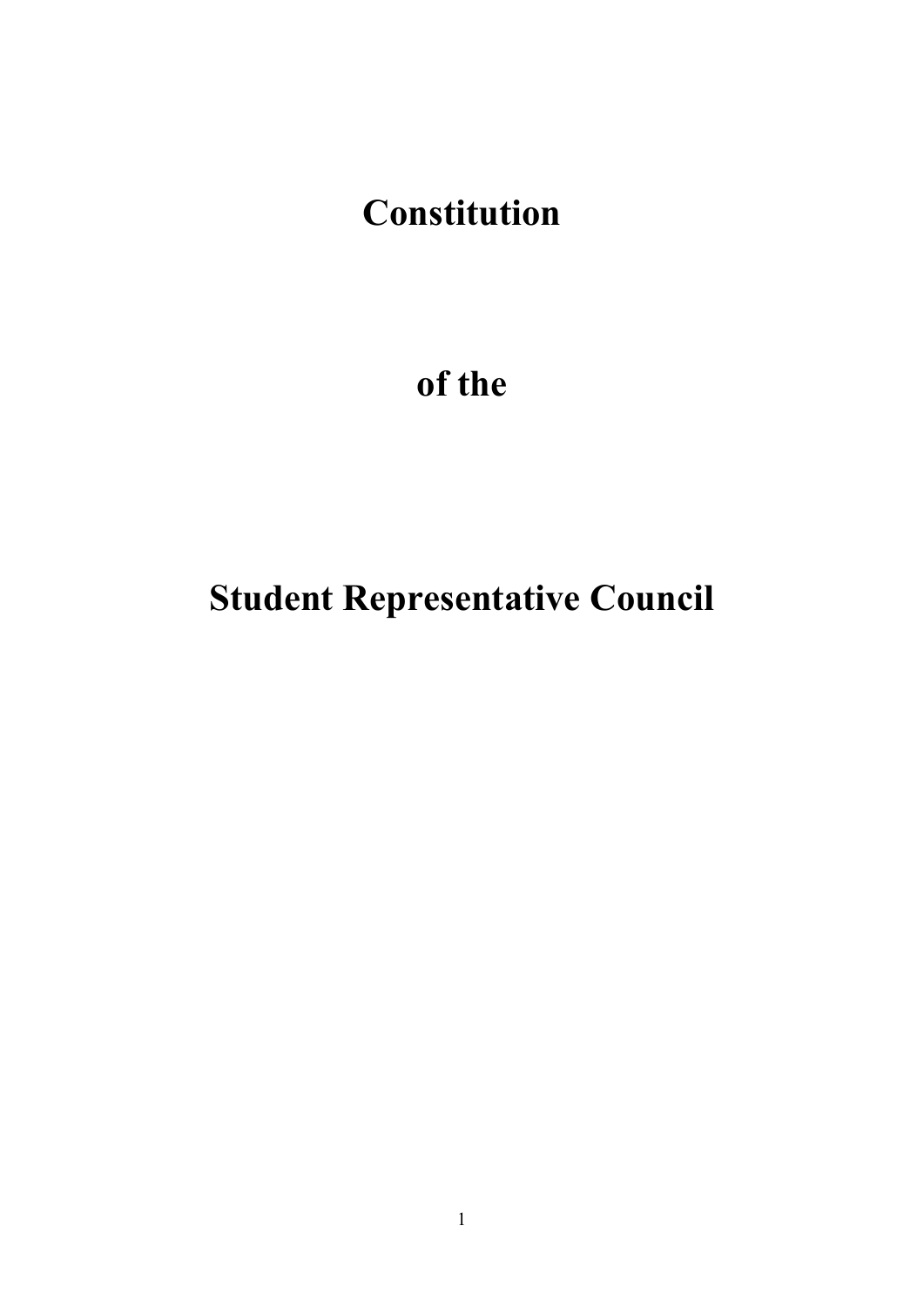# **Constitution**

# **of the**

# **Student Representative Council**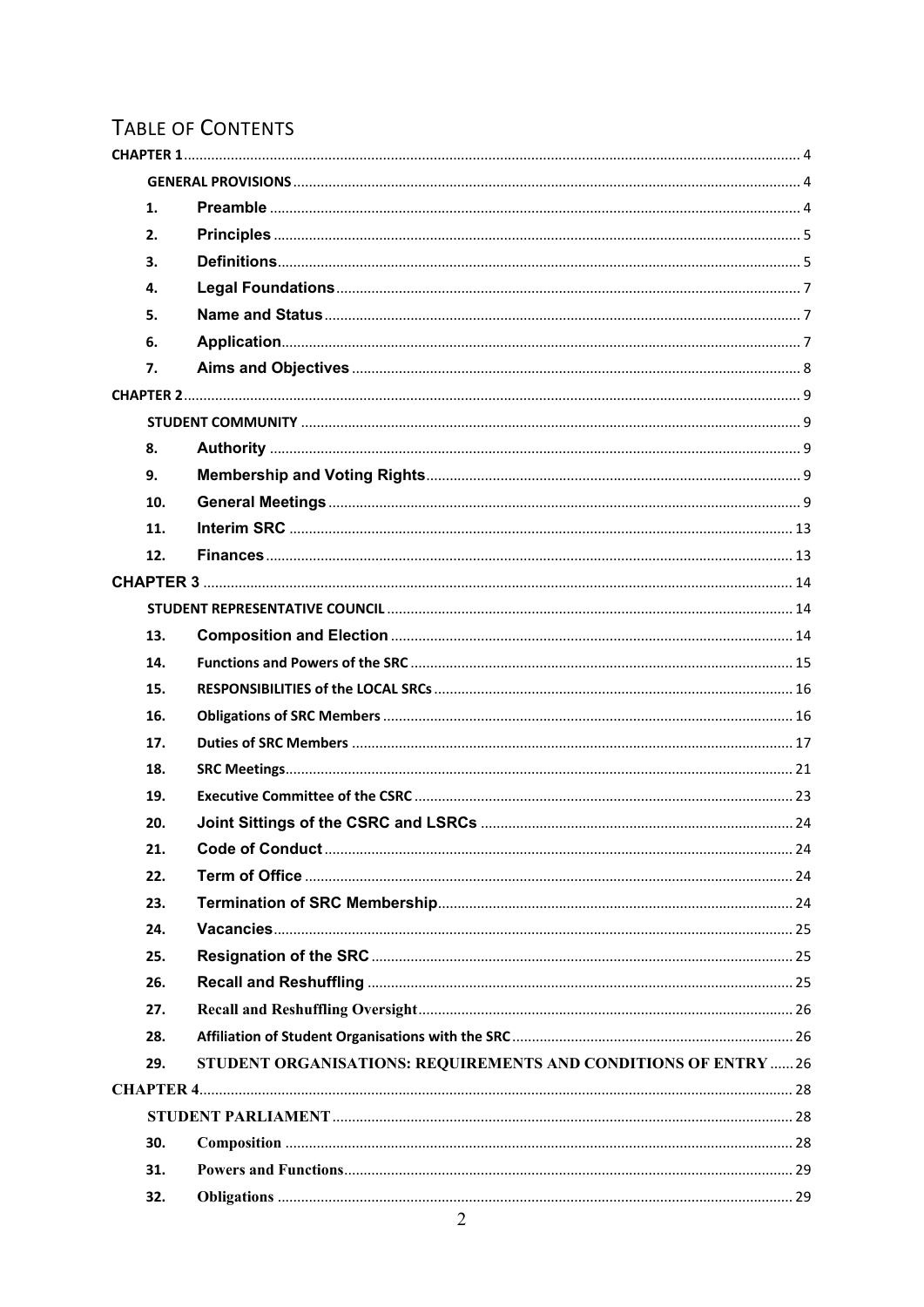# **TABLE OF CONTENTS**

| 1.  |                                                                 |  |
|-----|-----------------------------------------------------------------|--|
| 2.  |                                                                 |  |
| 3.  |                                                                 |  |
| 4.  |                                                                 |  |
| 5.  |                                                                 |  |
| 6.  |                                                                 |  |
| 7.  |                                                                 |  |
|     |                                                                 |  |
|     |                                                                 |  |
| 8.  |                                                                 |  |
| 9.  |                                                                 |  |
| 10. |                                                                 |  |
| 11. |                                                                 |  |
| 12. |                                                                 |  |
|     |                                                                 |  |
|     |                                                                 |  |
| 13. |                                                                 |  |
| 14. |                                                                 |  |
| 15. |                                                                 |  |
| 16. |                                                                 |  |
| 17. |                                                                 |  |
| 18. |                                                                 |  |
| 19. |                                                                 |  |
| 20. |                                                                 |  |
| 21. |                                                                 |  |
| 22. |                                                                 |  |
| 23. |                                                                 |  |
| 24. |                                                                 |  |
| 25. |                                                                 |  |
| 26. |                                                                 |  |
| 27. |                                                                 |  |
| 28. |                                                                 |  |
| 29. | STUDENT ORGANISATIONS: REQUIREMENTS AND CONDITIONS OF ENTRY  26 |  |
|     |                                                                 |  |
|     |                                                                 |  |
| 30. |                                                                 |  |
| 31. |                                                                 |  |
| 32. |                                                                 |  |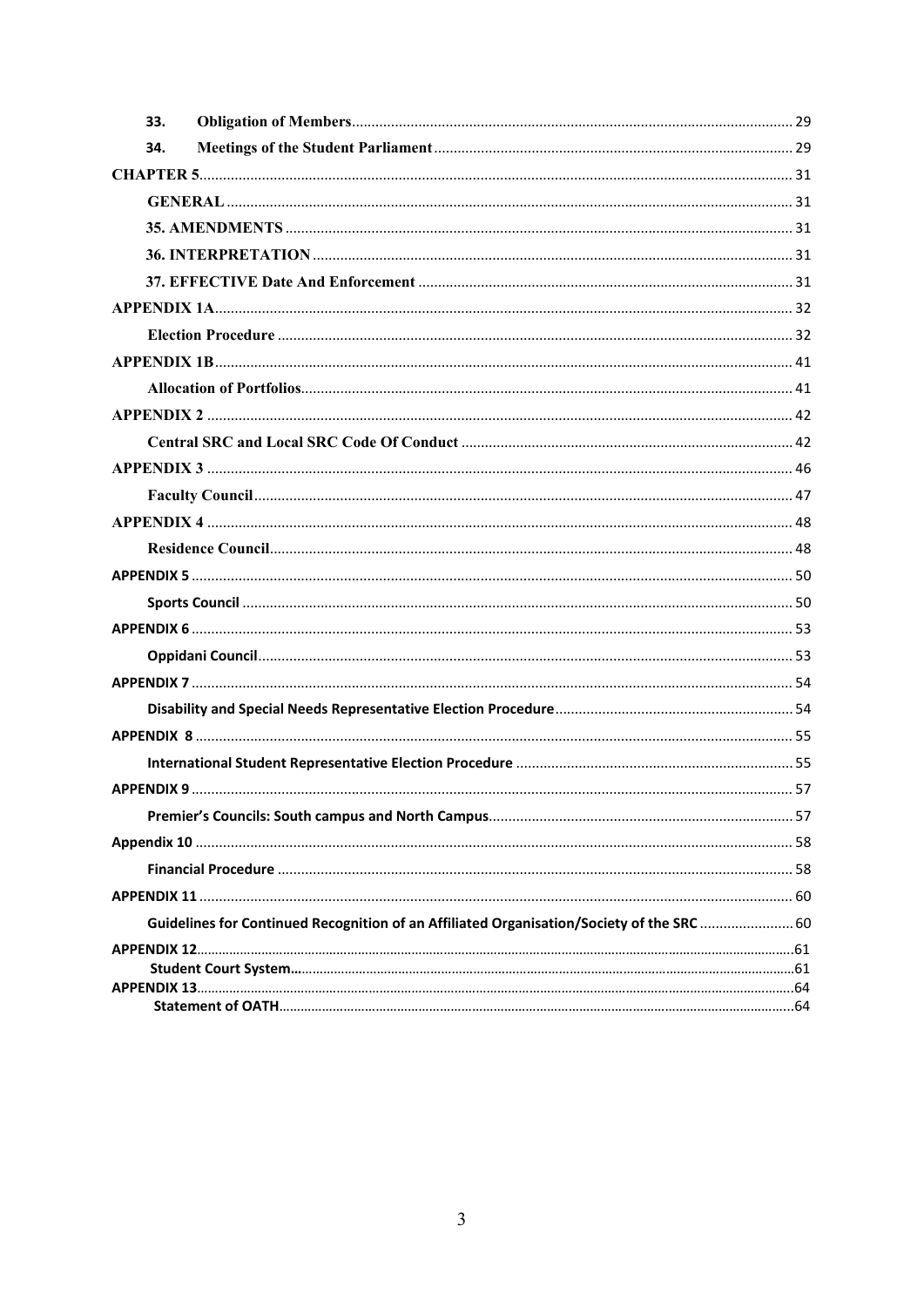<span id="page-3-0"></span>

| 33.                                                                                       |  |
|-------------------------------------------------------------------------------------------|--|
| 34.                                                                                       |  |
|                                                                                           |  |
|                                                                                           |  |
|                                                                                           |  |
|                                                                                           |  |
|                                                                                           |  |
|                                                                                           |  |
|                                                                                           |  |
|                                                                                           |  |
|                                                                                           |  |
|                                                                                           |  |
|                                                                                           |  |
|                                                                                           |  |
|                                                                                           |  |
|                                                                                           |  |
|                                                                                           |  |
|                                                                                           |  |
|                                                                                           |  |
|                                                                                           |  |
|                                                                                           |  |
|                                                                                           |  |
|                                                                                           |  |
|                                                                                           |  |
|                                                                                           |  |
|                                                                                           |  |
|                                                                                           |  |
|                                                                                           |  |
|                                                                                           |  |
|                                                                                           |  |
| Guidelines for Continued Recognition of an Affiliated Organisation/Society of the SRC  60 |  |
|                                                                                           |  |
|                                                                                           |  |
|                                                                                           |  |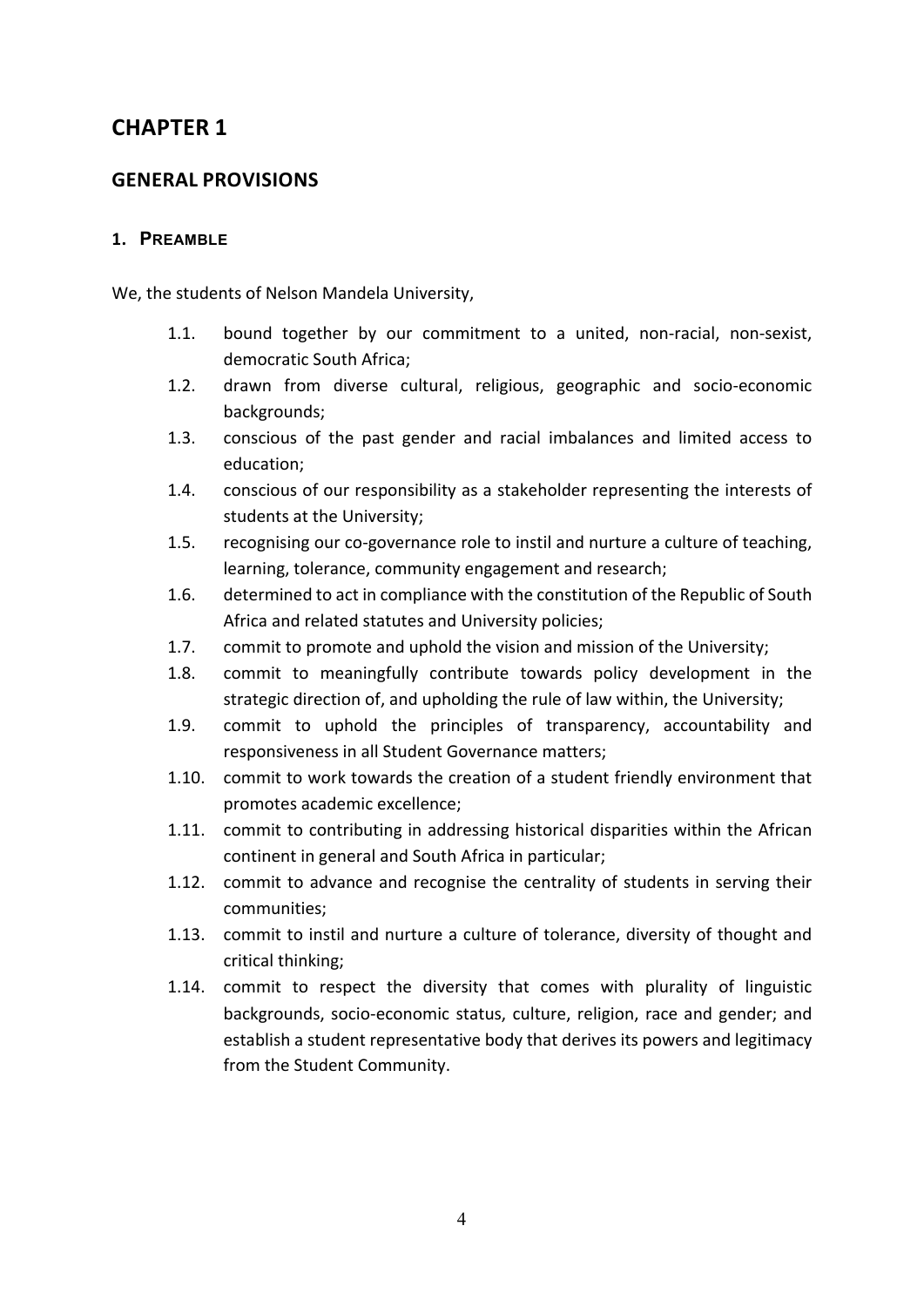## **CHAPTER 1**

## <span id="page-4-0"></span>**GENERAL PROVISIONS**

#### <span id="page-4-1"></span>**1. PREAMBLE**

We, the students of Nelson Mandela University,

- 1.1. bound together by our commitment to a united, non-racial, non-sexist, democratic South Africa;
- 1.2. drawn from diverse cultural, religious, geographic and socio-economic backgrounds;
- 1.3. conscious of the past gender and racial imbalances and limited access to education;
- 1.4. conscious of our responsibility as a stakeholder representing the interests of students at the University;
- 1.5. recognising our co-governance role to instil and nurture a culture of teaching, learning, tolerance, community engagement and research;
- 1.6. determined to act in compliance with the constitution of the Republic of South Africa and related statutes and University policies;
- 1.7. commit to promote and uphold the vision and mission of the University;
- 1.8. commit to meaningfully contribute towards policy development in the strategic direction of, and upholding the rule of law within, the University;
- 1.9. commit to uphold the principles of transparency, accountability and responsiveness in all Student Governance matters;
- 1.10. commit to work towards the creation of a student friendly environment that promotes academic excellence;
- 1.11. commit to contributing in addressing historical disparities within the African continent in general and South Africa in particular;
- 1.12. commit to advance and recognise the centrality of students in serving their communities;
- 1.13. commit to instil and nurture a culture of tolerance, diversity of thought and critical thinking;
- <span id="page-4-2"></span>1.14. commit to respect the diversity that comes with plurality of linguistic backgrounds, socio-economic status, culture, religion, race and gender; and establish a student representative body that derives its powers and legitimacy from the Student Community.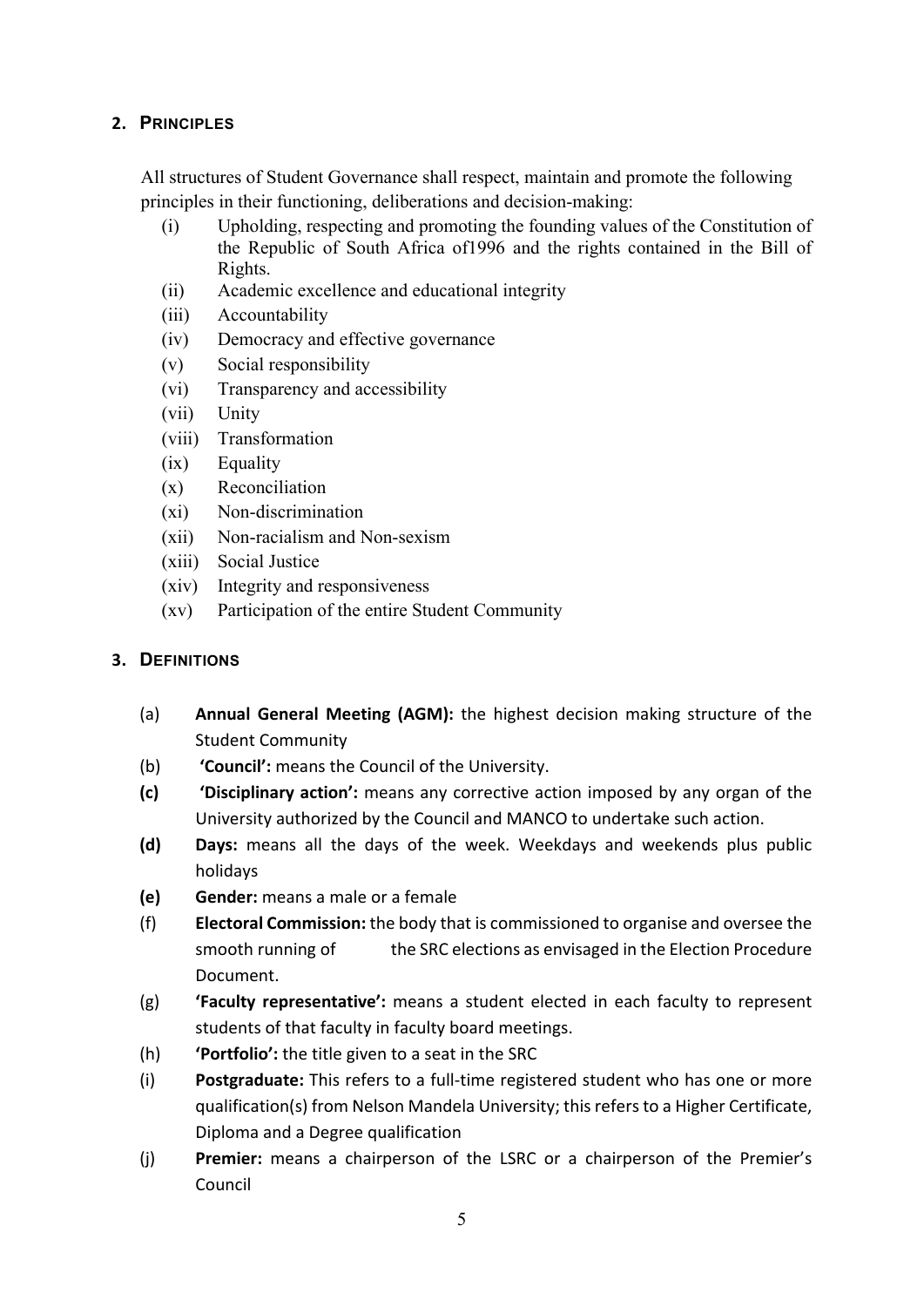## **2. PRINCIPLES**

All structures of Student Governance shall respect, maintain and promote the following principles in their functioning, deliberations and decision-making:

- (i) Upholding, respecting and promoting the founding values of the Constitution of the Republic of South Africa of1996 and the rights contained in the Bill of Rights.
- (ii) Academic excellence and educational integrity
- (iii) Accountability
- (iv) Democracy and effective governance
- (v) Social responsibility
- (vi) Transparency and accessibility
- (vii) Unity
- (viii) Transformation
- (ix) Equality
- (x) Reconciliation
- (xi) Non-discrimination
- (xii) Non-racialism and Non-sexism
- (xiii) Social Justice
- (xiv) Integrity and responsiveness
- (xv) Participation of the entire Student Community

#### <span id="page-5-0"></span>**3. DEFINITIONS**

- (a) **Annual General Meeting (AGM):** the highest decision making structure of the Student Community
- (b) **'Council':** means the Council of the University.
- **(c) 'Disciplinary action':** means any corrective action imposed by any organ of the University authorized by the Council and MANCO to undertake such action.
- **(d) Days:** means all the days of the week. Weekdays and weekends plus public holidays
- **(e) Gender:** means a male or a female
- (f) **Electoral Commission:** the body that is commissioned to organise and oversee the smooth running of the SRC elections as envisaged in the Election Procedure Document.
- (g) **'Faculty representative':** means a student elected in each faculty to represent students of that faculty in faculty board meetings.
- (h) **'Portfolio':** the title given to a seat in the SRC
- (i) **Postgraduate:** This refers to a full-time registered student who has one or more qualification(s) from Nelson Mandela University; this refers to a Higher Certificate, Diploma and a Degree qualification
- (j) **Premier:** means a chairperson of the LSRC or a chairperson of the Premier's Council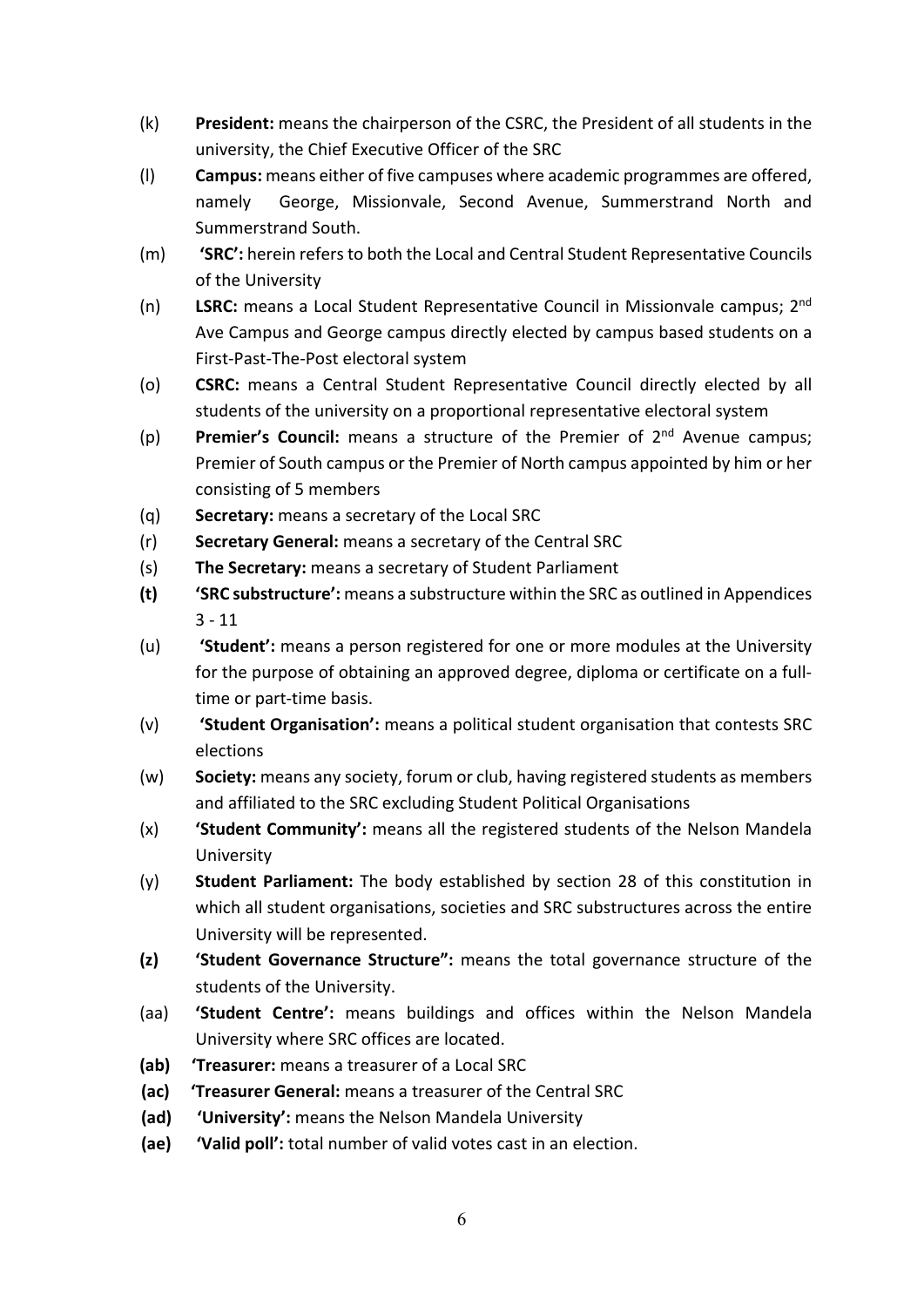- (k) **President:** means the chairperson of the CSRC, the President of all students in the university, the Chief Executive Officer of the SRC
- (l) **Campus:** means either of five campuses where academic programmes are offered, namely George, Missionvale, Second Avenue, Summerstrand North and Summerstrand South.
- (m) **'SRC':** herein refers to both the Local and Central Student Representative Councils of the University
- (n) **LSRC:** means a Local Student Representative Council in Missionvale campus; 2nd Ave Campus and George campus directly elected by campus based students on a First-Past-The-Post electoral system
- (o) **CSRC:** means a Central Student Representative Council directly elected by all students of the university on a proportional representative electoral system
- (p) **Premier's Council:** means a structure of the Premier of 2nd Avenue campus; Premier of South campus or the Premier of North campus appointed by him or her consisting of 5 members
- (q) **Secretary:** means a secretary of the Local SRC
- (r) **Secretary General:** means a secretary of the Central SRC
- (s) **The Secretary:** means a secretary of Student Parliament
- **(t) 'SRC substructure':** means a substructure within the SRC as outlined in Appendices 3 - 11
- (u) **'Student':** means a person registered for one or more modules at the University for the purpose of obtaining an approved degree, diploma or certificate on a fulltime or part-time basis.
- (v) **'Student Organisation':** means a political student organisation that contests SRC elections
- (w) **Society:** means any society, forum or club, having registered students as members and affiliated to the SRC excluding Student Political Organisations
- (x) **'Student Community':** means all the registered students of the Nelson Mandela University
- (y) **Student Parliament:** The body established by section 28 of this constitution in which all student organisations, societies and SRC substructures across the entire University will be represented.
- **(z) 'Student Governance Structure":** means the total governance structure of the students of the University.
- (aa) **'Student Centre':** means buildings and offices within the Nelson Mandela University where SRC offices are located.
- **(ab) 'Treasurer:** means a treasurer of a Local SRC
- **(ac) 'Treasurer General:** means a treasurer of the Central SRC
- **(ad) 'University':** means the Nelson Mandela University
- **(ae) 'Valid poll':** total number of valid votes cast in an election.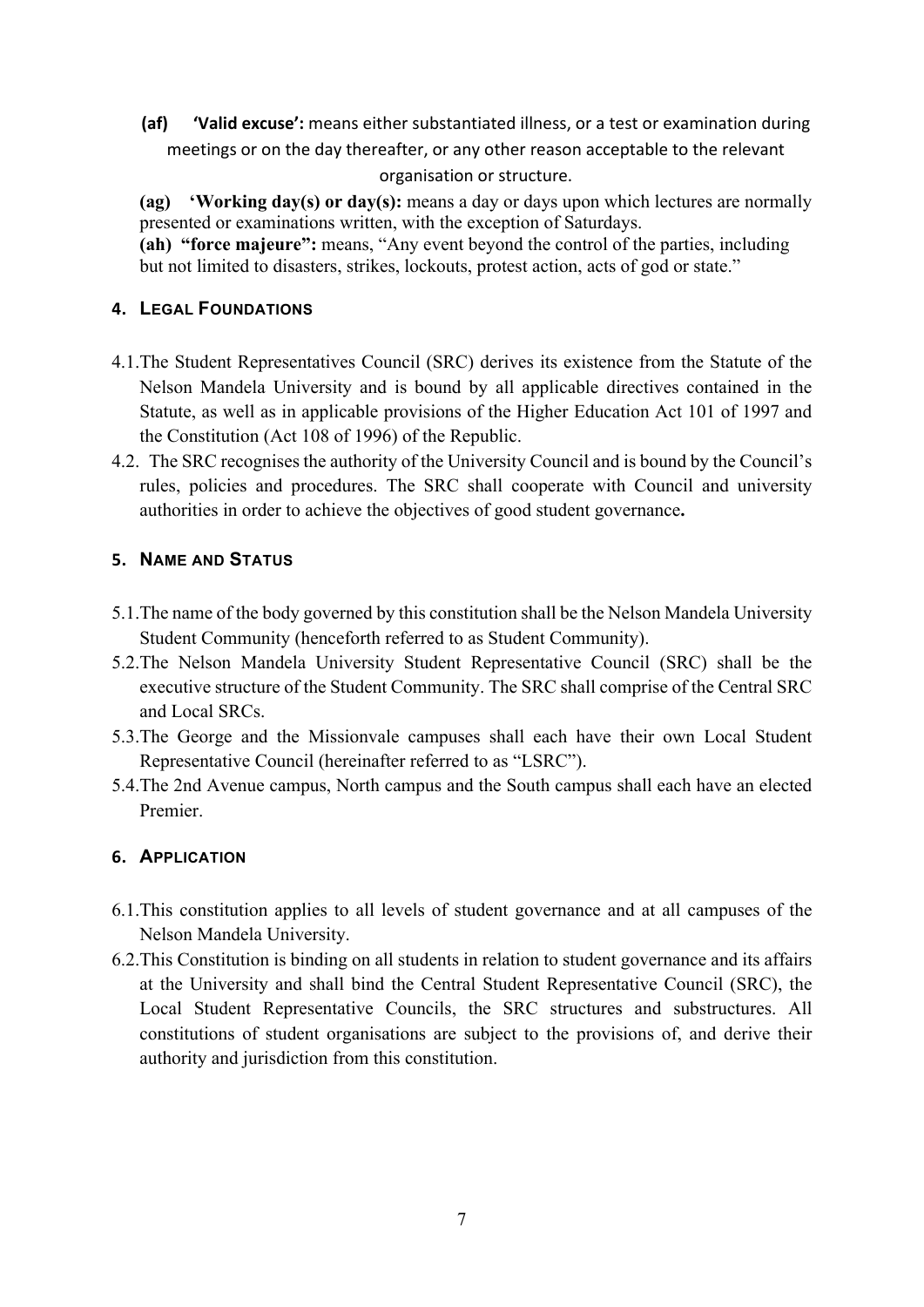**(af) 'Valid excuse':** means either substantiated illness, or a test or examination during meetings or on the day thereafter, or any other reason acceptable to the relevant organisation or structure.

**(ag) 'Working day(s) or day(s):** means a day or days upon which lectures are normally presented or examinations written, with the exception of Saturdays.

**(ah) "force majeure":** means, "Any event beyond the control of the parties, including but not limited to disasters, strikes, lockouts, protest action, acts of god or state."

## <span id="page-7-0"></span>**4. LEGAL FOUNDATIONS**

- 4.1.The Student Representatives Council (SRC) derives its existence from the Statute of the Nelson Mandela University and is bound by all applicable directives contained in the Statute, as well as in applicable provisions of the Higher Education Act 101 of 1997 and the Constitution (Act 108 of 1996) of the Republic.
- 4.2. The SRC recognises the authority of the University Council and is bound by the Council's rules, policies and procedures. The SRC shall cooperate with Council and university authorities in order to achieve the objectives of good student governance**.**

#### <span id="page-7-1"></span>**5. NAME AND STATUS**

- 5.1.The name of the body governed by this constitution shall be the Nelson Mandela University Student Community (henceforth referred to as Student Community).
- 5.2.The Nelson Mandela University Student Representative Council (SRC) shall be the executive structure of the Student Community. The SRC shall comprise of the Central SRC and Local SRCs.
- 5.3.The George and the Missionvale campuses shall each have their own Local Student Representative Council (hereinafter referred to as "LSRC").
- 5.4.The 2nd Avenue campus, North campus and the South campus shall each have an elected Premier.

#### <span id="page-7-2"></span>**6. APPLICATION**

- 6.1.This constitution applies to all levels of student governance and at all campuses of the Nelson Mandela University.
- 6.2.This Constitution is binding on all students in relation to student governance and its affairs at the University and shall bind the Central Student Representative Council (SRC), the Local Student Representative Councils, the SRC structures and substructures. All constitutions of student organisations are subject to the provisions of, and derive their authority and jurisdiction from this constitution.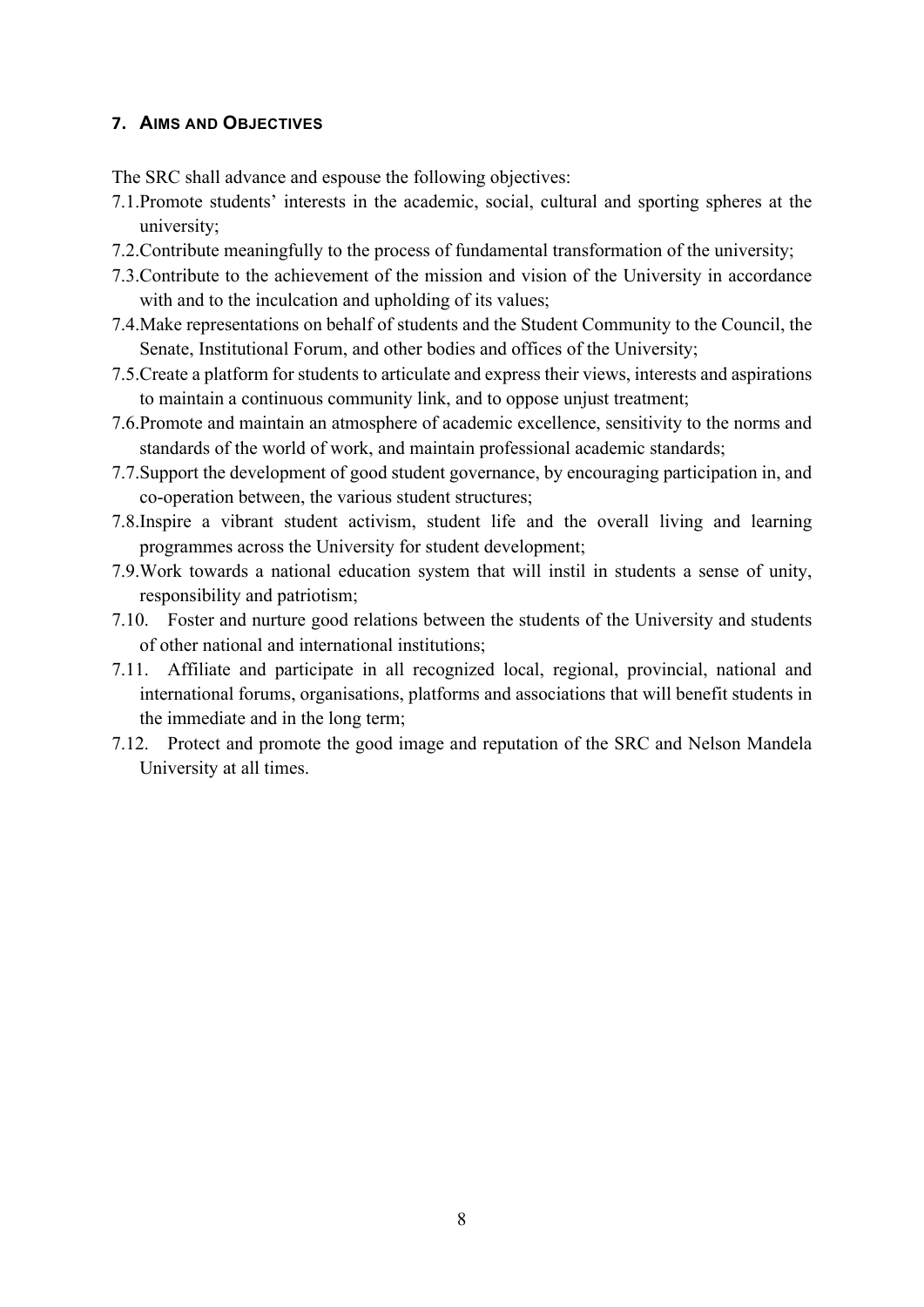#### <span id="page-8-0"></span>**7. AIMS AND OBJECTIVES**

The SRC shall advance and espouse the following objectives:

- 7.1.Promote students' interests in the academic, social, cultural and sporting spheres at the university;
- 7.2.Contribute meaningfully to the process of fundamental transformation of the university;
- 7.3.Contribute to the achievement of the mission and vision of the University in accordance with and to the inculcation and upholding of its values;
- 7.4.Make representations on behalf of students and the Student Community to the Council, the Senate, Institutional Forum, and other bodies and offices of the University;
- 7.5.Create a platform for students to articulate and express their views, interests and aspirations to maintain a continuous community link, and to oppose unjust treatment;
- 7.6.Promote and maintain an atmosphere of academic excellence, sensitivity to the norms and standards of the world of work, and maintain professional academic standards;
- 7.7.Support the development of good student governance, by encouraging participation in, and co-operation between, the various student structures;
- 7.8.Inspire a vibrant student activism, student life and the overall living and learning programmes across the University for student development;
- 7.9.Work towards a national education system that will instil in students a sense of unity, responsibility and patriotism;
- 7.10. Foster and nurture good relations between the students of the University and students of other national and international institutions;
- 7.11. Affiliate and participate in all recognized local, regional, provincial, national and international forums, organisations, platforms and associations that will benefit students in the immediate and in the long term;
- <span id="page-8-1"></span>7.12. Protect and promote the good image and reputation of the SRC and Nelson Mandela University at all times.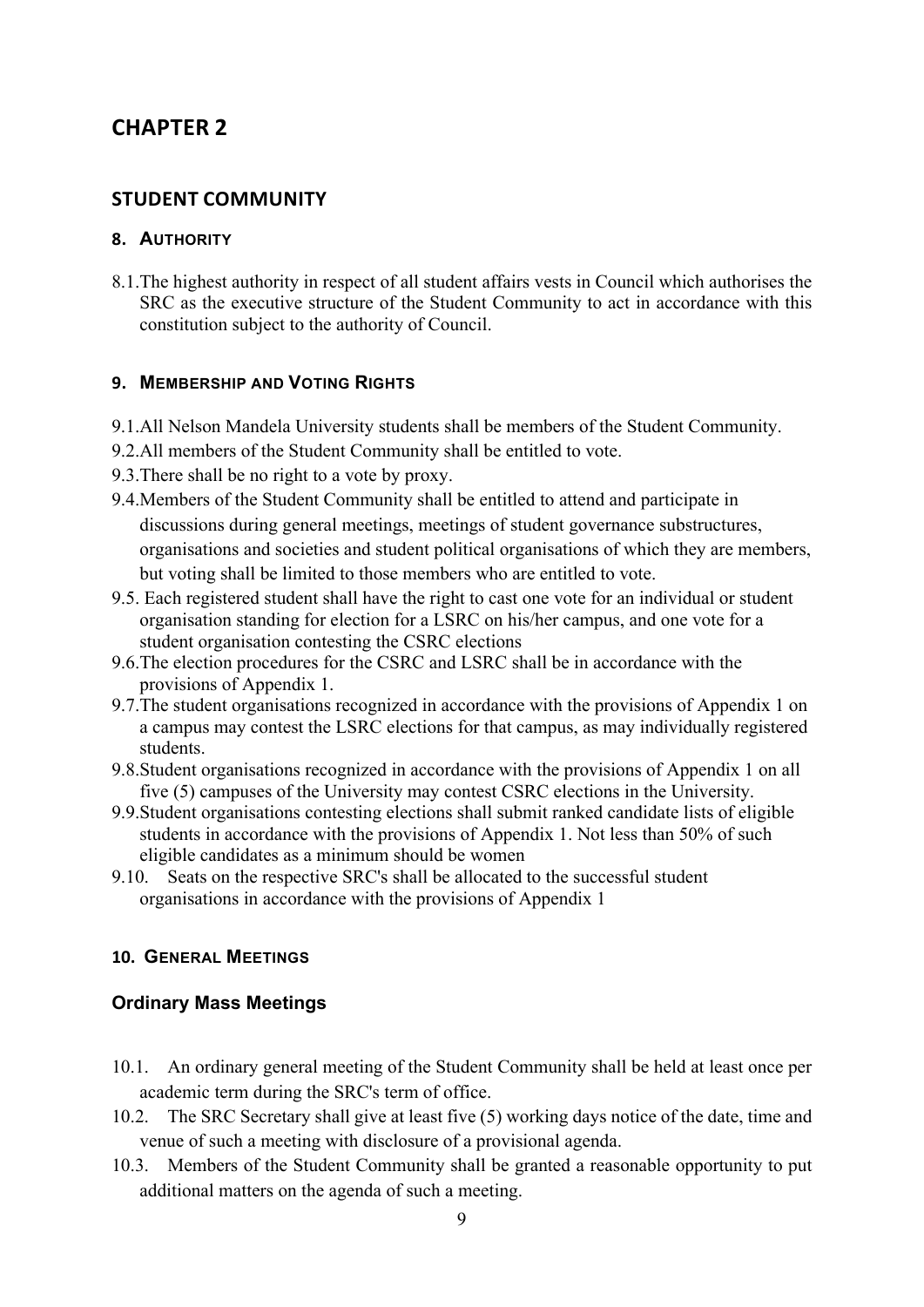## **CHAPTER 2**

## <span id="page-9-0"></span>**STUDENT COMMUNITY**

#### <span id="page-9-1"></span>**8. AUTHORITY**

8.1.The highest authority in respect of all student affairs vests in Council which authorises the SRC as the executive structure of the Student Community to act in accordance with this constitution subject to the authority of Council.

#### <span id="page-9-2"></span>**9. MEMBERSHIP AND VOTING RIGHTS**

- 9.1.All Nelson Mandela University students shall be members of the Student Community.
- 9.2.All members of the Student Community shall be entitled to vote.
- 9.3.There shall be no right to a vote by proxy.
- 9.4.Members of the Student Community shall be entitled to attend and participate in discussions during general meetings, meetings of student governance substructures, organisations and societies and student political organisations of which they are members, but voting shall be limited to those members who are entitled to vote.
- 9.5. Each registered student shall have the right to cast one vote for an individual or student organisation standing for election for a LSRC on his/her campus, and one vote for a student organisation contesting the CSRC elections
- 9.6.The election procedures for the CSRC and LSRC shall be in accordance with the provisions of Appendix 1.
- 9.7.The student organisations recognized in accordance with the provisions of Appendix 1 on a campus may contest the LSRC elections for that campus, as may individually registered students.
- 9.8.Student organisations recognized in accordance with the provisions of Appendix 1 on all five (5) campuses of the University may contest CSRC elections in the University.
- 9.9.Student organisations contesting elections shall submit ranked candidate lists of eligible students in accordance with the provisions of Appendix 1. Not less than 50% of such eligible candidates as a minimum should be women
- 9.10. Seats on the respective SRC's shall be allocated to the successful student organisations in accordance with the provisions of Appendix 1

#### <span id="page-9-3"></span>**10. GENERAL MEETINGS**

#### **Ordinary Mass Meetings**

- 10.1. An ordinary general meeting of the Student Community shall be held at least once per academic term during the SRC's term of office.
- 10.2. The SRC Secretary shall give at least five (5) working days notice of the date, time and venue of such a meeting with disclosure of a provisional agenda.
- 10.3. Members of the Student Community shall be granted a reasonable opportunity to put additional matters on the agenda of such a meeting.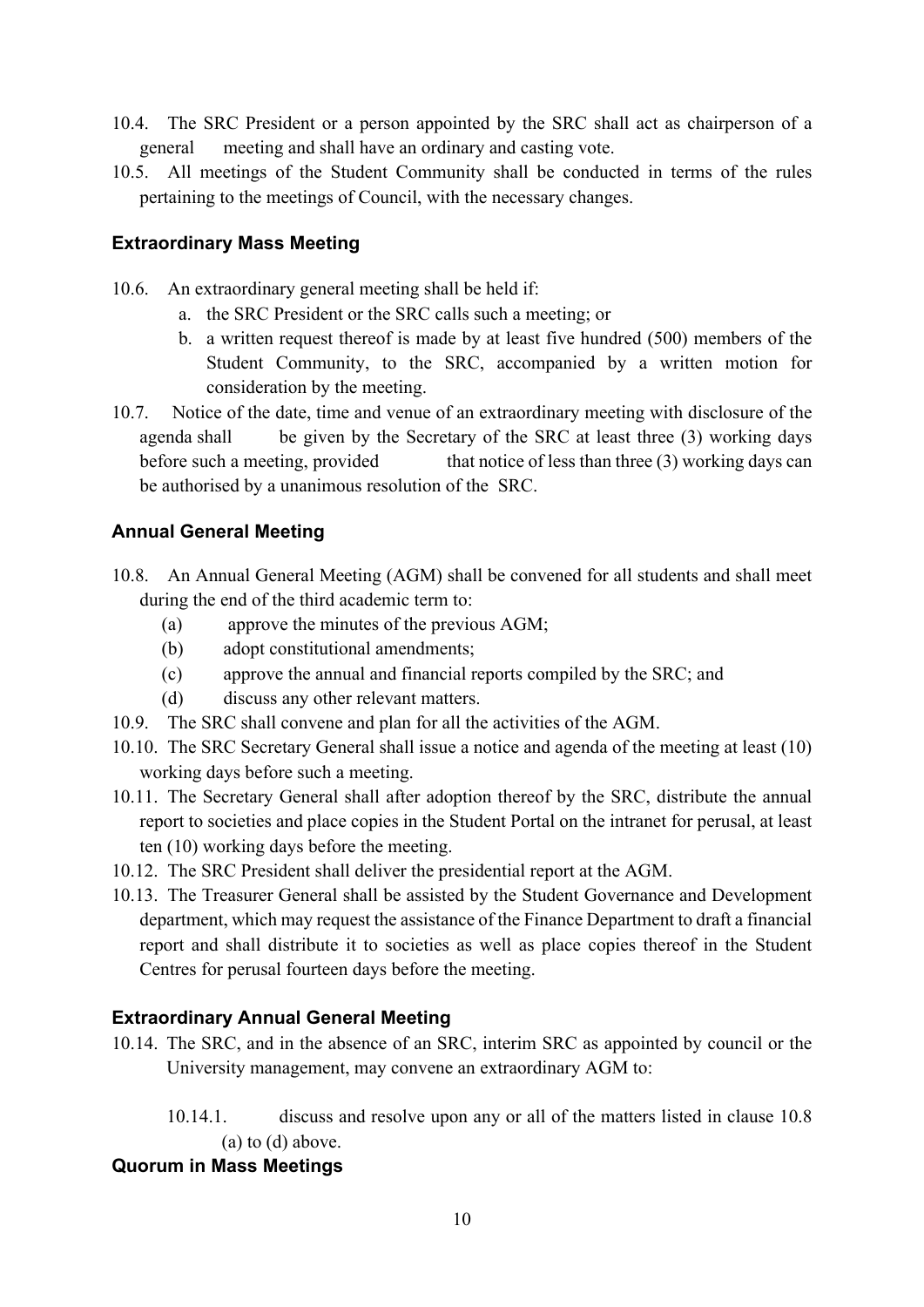- 10.4. The SRC President or a person appointed by the SRC shall act as chairperson of a general meeting and shall have an ordinary and casting vote.
- 10.5. All meetings of the Student Community shall be conducted in terms of the rules pertaining to the meetings of Council, with the necessary changes.

## **Extraordinary Mass Meeting**

- 10.6. An extraordinary general meeting shall be held if:
	- a. the SRC President or the SRC calls such a meeting; or
	- b. a written request thereof is made by at least five hundred (500) members of the Student Community, to the SRC, accompanied by a written motion for consideration by the meeting.
- 10.7. Notice of the date, time and venue of an extraordinary meeting with disclosure of the agenda shall be given by the Secretary of the SRC at least three (3) working days before such a meeting, provided that notice of less than three (3) working days can be authorised by a unanimous resolution of the SRC.

## **Annual General Meeting**

- 10.8. An Annual General Meeting (AGM) shall be convened for all students and shall meet during the end of the third academic term to:
	- (a) approve the minutes of the previous AGM;
	- (b) adopt constitutional amendments;
	- (c) approve the annual and financial reports compiled by the SRC; and
	- (d) discuss any other relevant matters.
- 10.9. The SRC shall convene and plan for all the activities of the AGM.
- 10.10. The SRC Secretary General shall issue a notice and agenda of the meeting at least (10) working days before such a meeting.
- 10.11. The Secretary General shall after adoption thereof by the SRC, distribute the annual report to societies and place copies in the Student Portal on the intranet for perusal, at least ten (10) working days before the meeting.
- 10.12. The SRC President shall deliver the presidential report at the AGM.
- 10.13. The Treasurer General shall be assisted by the Student Governance and Development department, which may request the assistance of the Finance Department to draft a financial report and shall distribute it to societies as well as place copies thereof in the Student Centres for perusal fourteen days before the meeting.

## **Extraordinary Annual General Meeting**

- 10.14. The SRC, and in the absence of an SRC, interim SRC as appointed by council or the University management, may convene an extraordinary AGM to:
	- 10.14.1. discuss and resolve upon any or all of the matters listed in clause 10.8 (a) to (d) above.

#### **Quorum in Mass Meetings**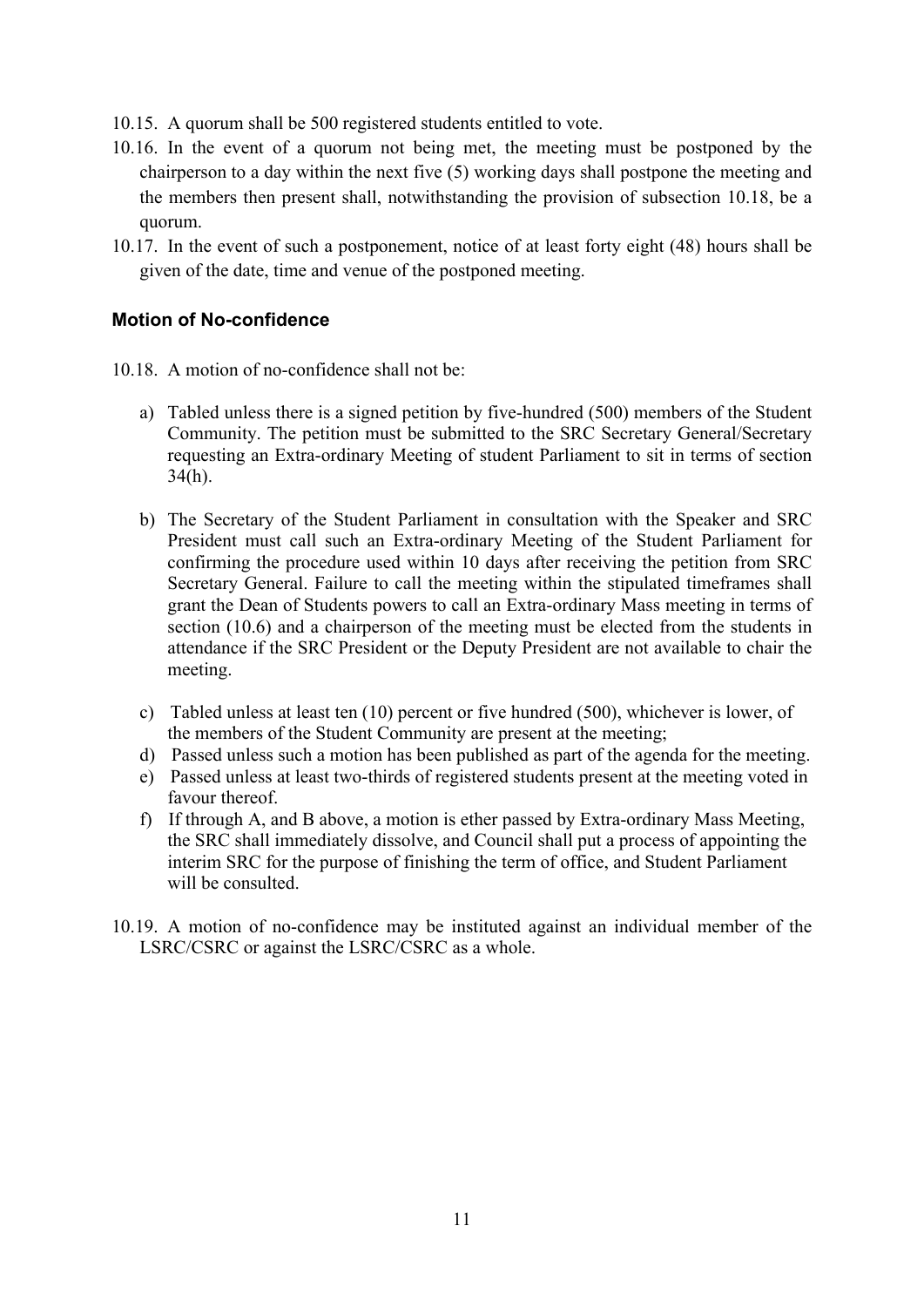- 10.15. A quorum shall be 500 registered students entitled to vote.
- 10.16. In the event of a quorum not being met, the meeting must be postponed by the chairperson to a day within the next five (5) working days shall postpone the meeting and the members then present shall, notwithstanding the provision of subsection 10.18, be a quorum.
- 10.17. In the event of such a postponement, notice of at least forty eight (48) hours shall be given of the date, time and venue of the postponed meeting.

## **Motion of No-confidence**

- 10.18. A motion of no-confidence shall not be:
	- a) Tabled unless there is a signed petition by five-hundred (500) members of the Student Community. The petition must be submitted to the SRC Secretary General/Secretary requesting an Extra-ordinary Meeting of student Parliament to sit in terms of section 34(h).
	- b) The Secretary of the Student Parliament in consultation with the Speaker and SRC President must call such an Extra-ordinary Meeting of the Student Parliament for confirming the procedure used within 10 days after receiving the petition from SRC Secretary General. Failure to call the meeting within the stipulated timeframes shall grant the Dean of Students powers to call an Extra-ordinary Mass meeting in terms of section (10.6) and a chairperson of the meeting must be elected from the students in attendance if the SRC President or the Deputy President are not available to chair the meeting.
	- c) Tabled unless at least ten (10) percent or five hundred (500), whichever is lower, of the members of the Student Community are present at the meeting;
	- d) Passed unless such a motion has been published as part of the agenda for the meeting.
	- e) Passed unless at least two-thirds of registered students present at the meeting voted in favour thereof.
	- f) If through A, and B above, a motion is ether passed by Extra-ordinary Mass Meeting, the SRC shall immediately dissolve, and Council shall put a process of appointing the interim SRC for the purpose of finishing the term of office, and Student Parliament will be consulted.
- 10.19. A motion of no-confidence may be instituted against an individual member of the LSRC/CSRC or against the LSRC/CSRC as a whole.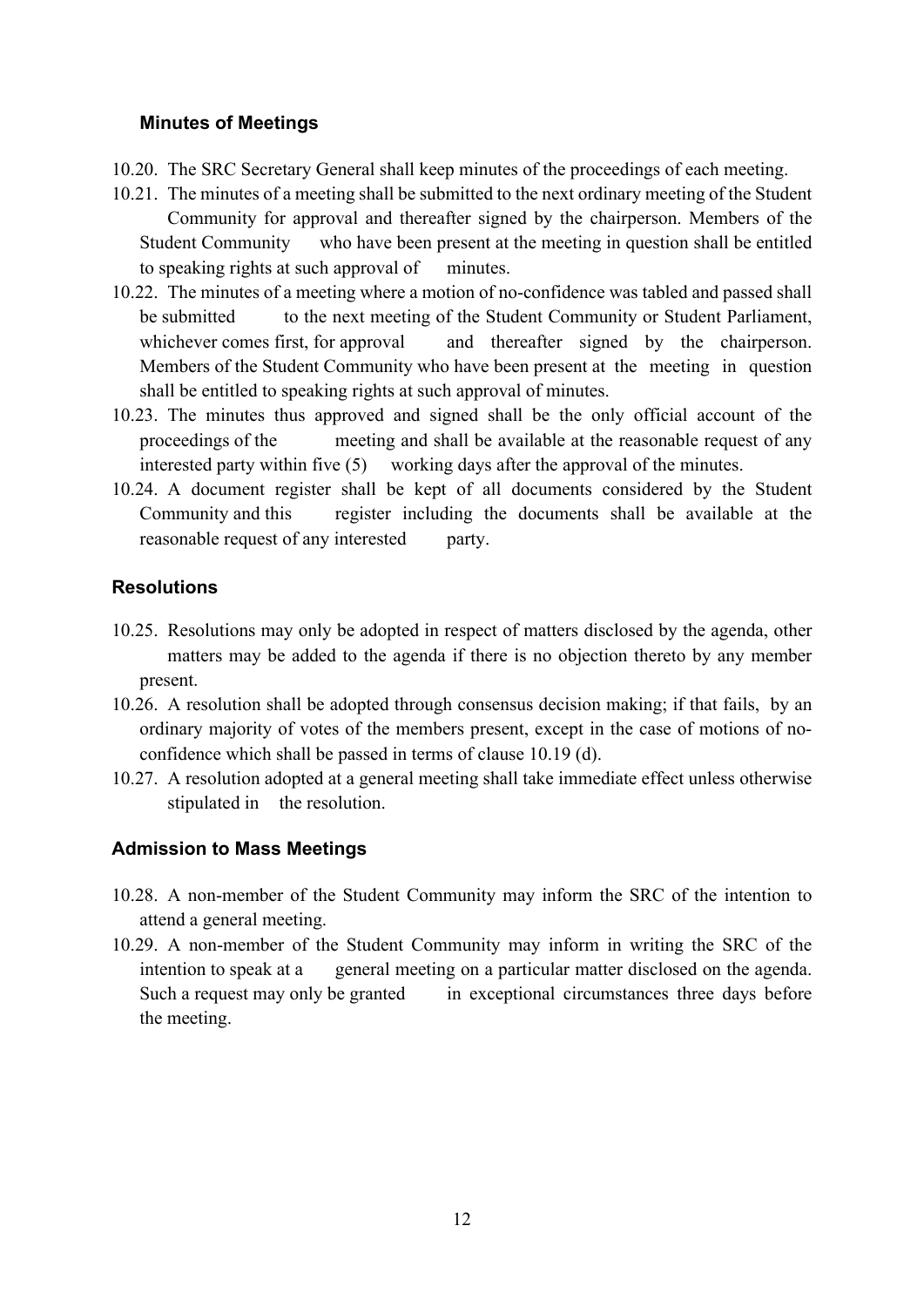#### **Minutes of Meetings**

- 10.20. The SRC Secretary General shall keep minutes of the proceedings of each meeting.
- 10.21. The minutes of a meeting shall be submitted to the next ordinary meeting of the Student Community for approval and thereafter signed by the chairperson. Members of the Student Community who have been present at the meeting in question shall be entitled to speaking rights at such approval of minutes.
- 10.22. The minutes of a meeting where a motion of no-confidence was tabled and passed shall be submitted to the next meeting of the Student Community or Student Parliament, whichever comes first, for approval and thereafter signed by the chairperson. Members of the Student Community who have been present at the meeting in question shall be entitled to speaking rights at such approval of minutes.
- 10.23. The minutes thus approved and signed shall be the only official account of the proceedings of the meeting and shall be available at the reasonable request of any interested party within five (5) working days after the approval of the minutes.
- 10.24. A document register shall be kept of all documents considered by the Student Community and this register including the documents shall be available at the reasonable request of any interested party.

## **Resolutions**

- 10.25. Resolutions may only be adopted in respect of matters disclosed by the agenda, other matters may be added to the agenda if there is no objection thereto by any member present.
- 10.26. A resolution shall be adopted through consensus decision making; if that fails, by an ordinary majority of votes of the members present, except in the case of motions of noconfidence which shall be passed in terms of clause 10.19 (d).
- 10.27. A resolution adopted at a general meeting shall take immediate effect unless otherwise stipulated in the resolution.

## **Admission to Mass Meetings**

- 10.28. A non-member of the Student Community may inform the SRC of the intention to attend a general meeting.
- 10.29. A non-member of the Student Community may inform in writing the SRC of the intention to speak at a general meeting on a particular matter disclosed on the agenda. Such a request may only be granted in exceptional circumstances three days before the meeting.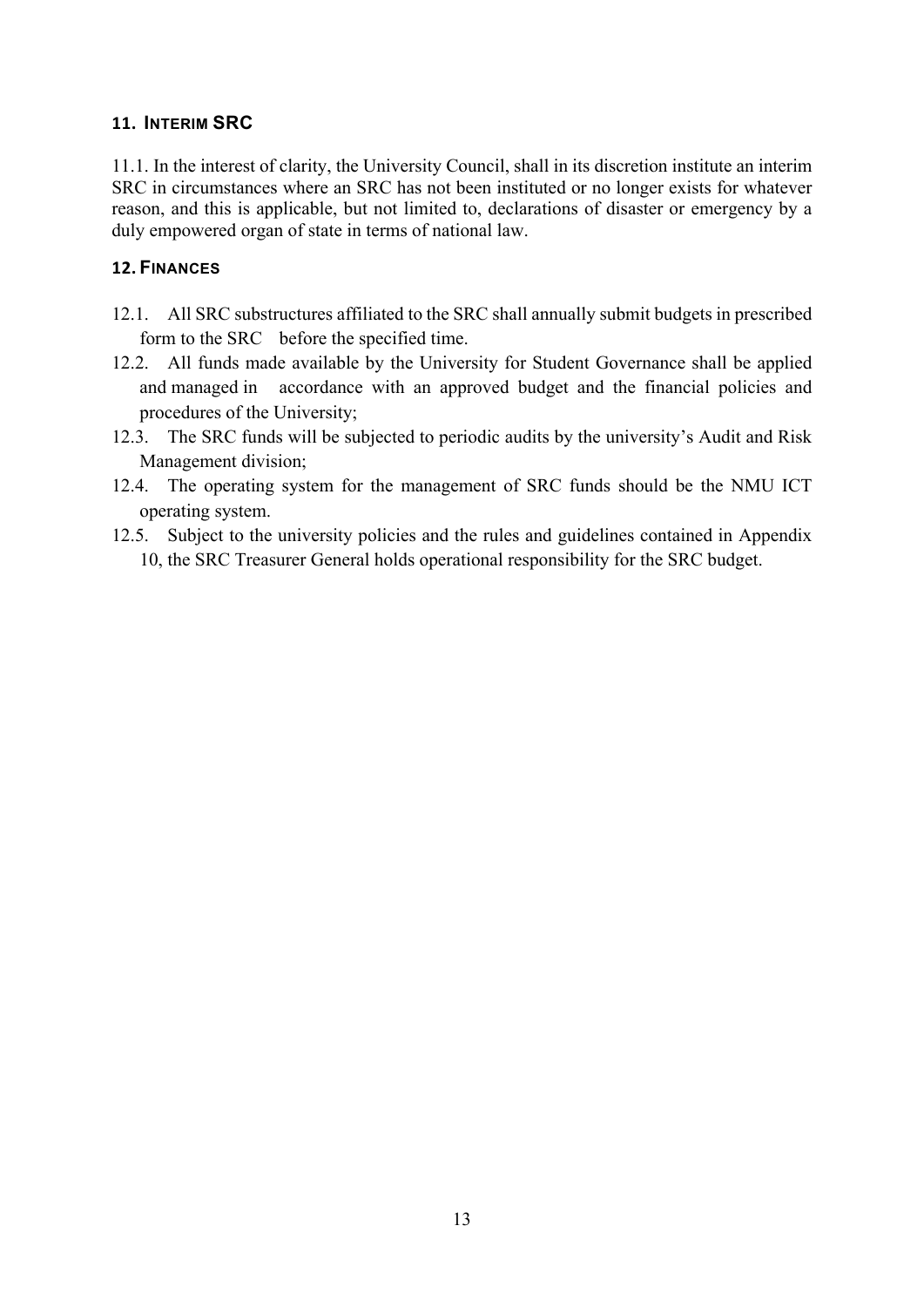#### <span id="page-13-0"></span>**11. INTERIM SRC**

11.1. In the interest of clarity, the University Council, shall in its discretion institute an interim SRC in circumstances where an SRC has not been instituted or no longer exists for whatever reason, and this is applicable, but not limited to, declarations of disaster or emergency by a duly empowered organ of state in terms of national law.

### <span id="page-13-1"></span>**12. FINANCES**

- 12.1. All SRC substructures affiliated to the SRC shall annually submit budgets in prescribed form to the SRC before the specified time.
- 12.2. All funds made available by the University for Student Governance shall be applied and managed in accordance with an approved budget and the financial policies and procedures of the University;
- 12.3. The SRC funds will be subjected to periodic audits by the university's Audit and Risk Management division;
- 12.4. The operating system for the management of SRC funds should be the NMU ICT operating system.
- 12.5. Subject to the university policies and the rules and guidelines contained in Appendix 10, the SRC Treasurer General holds operational responsibility for the SRC budget.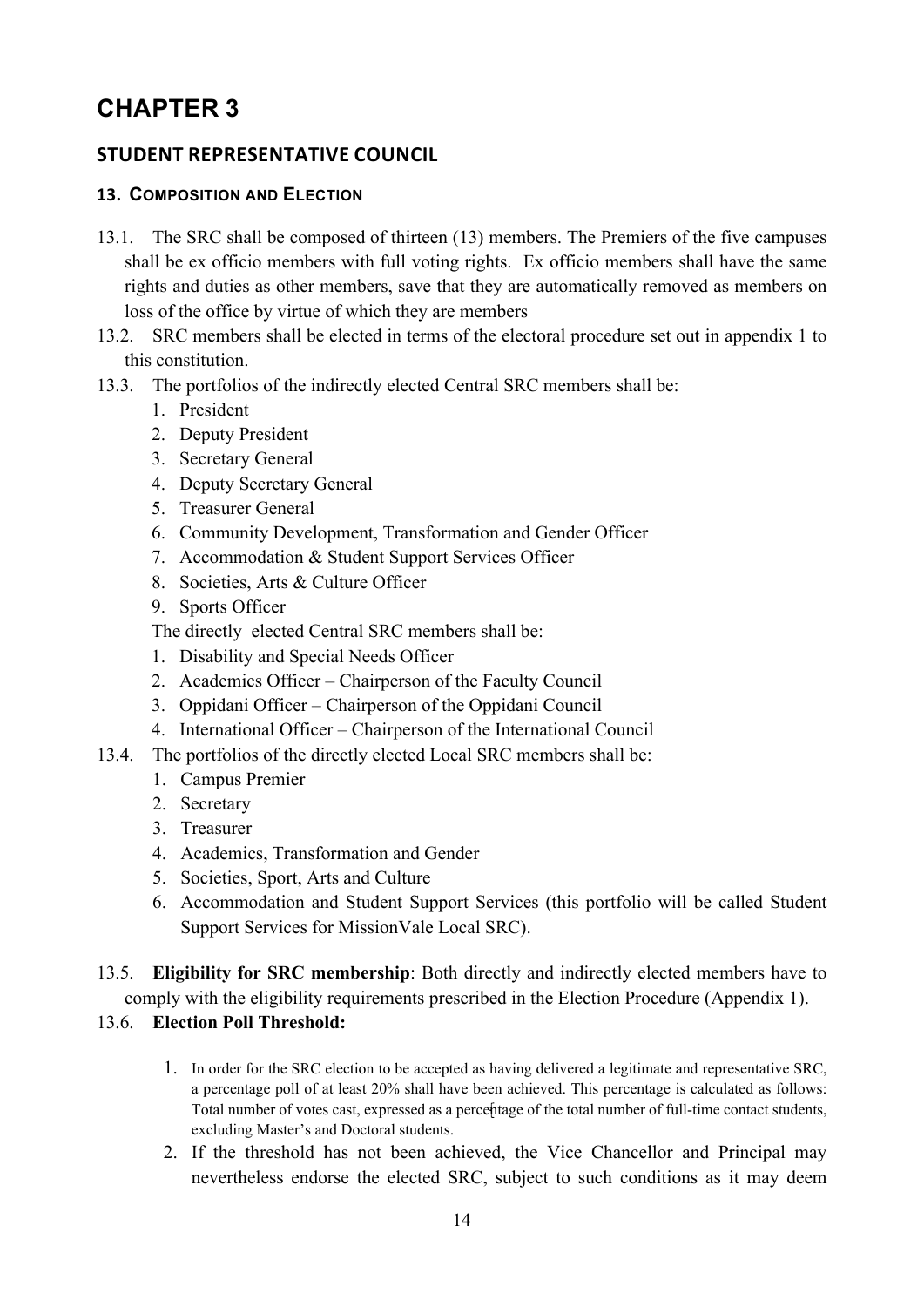# <span id="page-14-0"></span>**CHAPTER 3**

## <span id="page-14-1"></span>**STUDENT REPRESENTATIVE COUNCIL**

### <span id="page-14-2"></span>**13. COMPOSITION AND ELECTION**

- 13.1. The SRC shall be composed of thirteen (13) members. The Premiers of the five campuses shall be ex officio members with full voting rights. Ex officio members shall have the same rights and duties as other members, save that they are automatically removed as members on loss of the office by virtue of which they are members
- 13.2. SRC members shall be elected in terms of the electoral procedure set out in appendix 1 to this constitution.
- 13.3. The portfolios of the indirectly elected Central SRC members shall be:
	- 1. President
	- 2. Deputy President
	- 3. Secretary General
	- 4. Deputy Secretary General
	- 5. Treasurer General
	- 6. Community Development, Transformation and Gender Officer
	- 7. Accommodation & Student Support Services Officer
	- 8. Societies, Arts & Culture Officer
	- 9. Sports Officer

The directly elected Central SRC members shall be:

- 1. Disability and Special Needs Officer
- 2. Academics Officer Chairperson of the Faculty Council
- 3. Oppidani Officer Chairperson of the Oppidani Council
- 4. International Officer Chairperson of the International Council
- 13.4. The portfolios of the directly elected Local SRC members shall be:
	- 1. Campus Premier
	- 2. Secretary
	- 3. Treasurer
	- 4. Academics, Transformation and Gender
	- 5. Societies, Sport, Arts and Culture
	- 6. Accommodation and Student Support Services (this portfolio will be called Student Support Services for MissionVale Local SRC).
- 13.5. **Eligibility for SRC membership**: Both directly and indirectly elected members have to comply with the eligibility requirements prescribed in the Election Procedure (Appendix 1).

#### 13.6. **Election Poll Threshold:**

- 1. In order for the SRC election to be accepted as having delivered a legitimate and representative SRC, a percentage poll of at least 20% shall have been achieved. This percentage is calculated as follows: Total number of votes cast, expressed as a percentage of the total number of full-time contact students, excluding Master's and Doctoral students.
- 2. If the threshold has not been achieved, the Vice Chancellor and Principal may nevertheless endorse the elected SRC, subject to such conditions as it may deem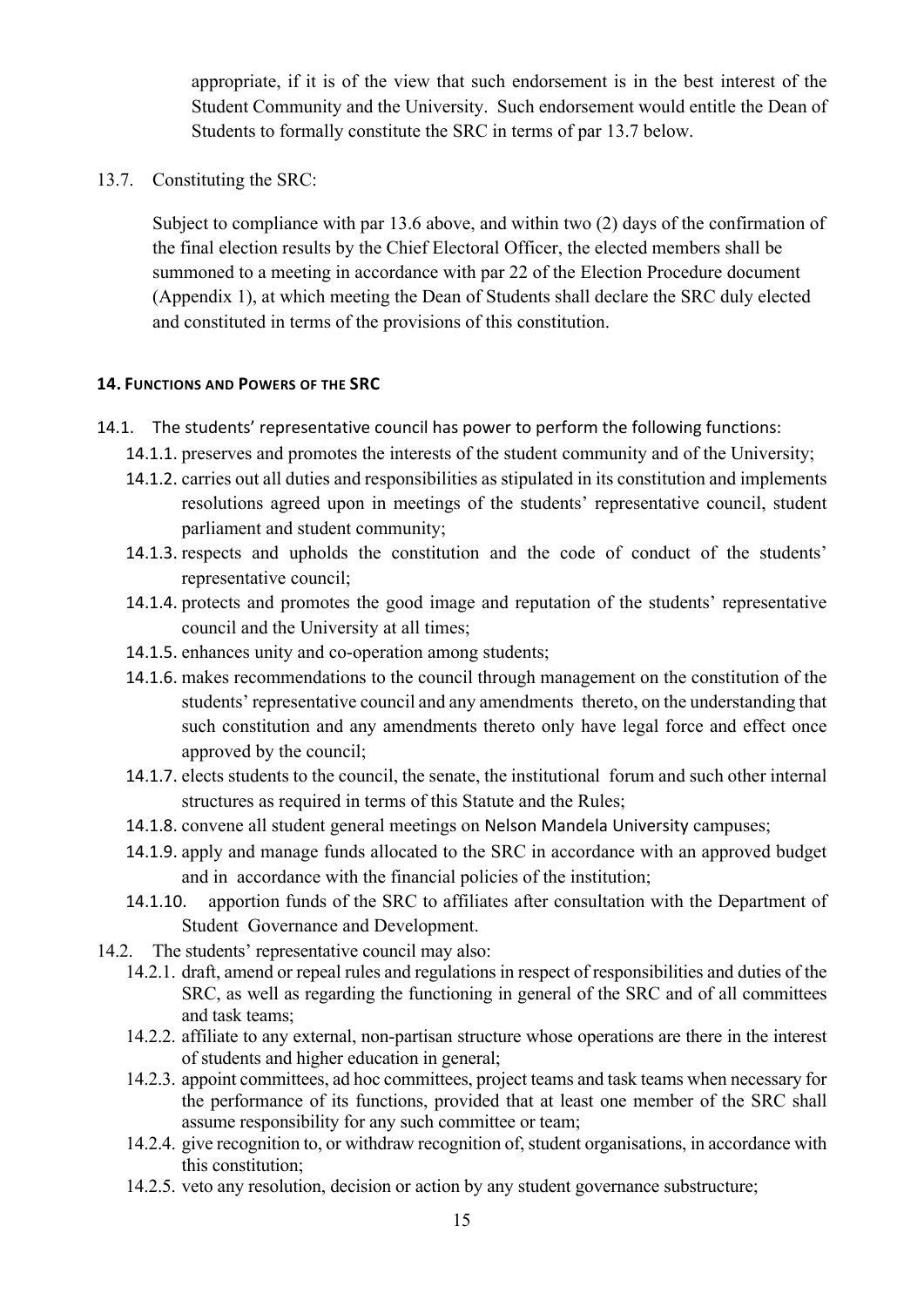appropriate, if it is of the view that such endorsement is in the best interest of the Student Community and the University. Such endorsement would entitle the Dean of Students to formally constitute the SRC in terms of par 13.7 below.

13.7. Constituting the SRC:

Subject to compliance with par 13.6 above, and within two (2) days of the confirmation of the final election results by the Chief Electoral Officer, the elected members shall be summoned to a meeting in accordance with par 22 of the Election Procedure document (Appendix 1), at which meeting the Dean of Students shall declare the SRC duly elected and constituted in terms of the provisions of this constitution.

#### <span id="page-15-0"></span>**14. FUNCTIONS AND POWERS OF THE SRC**

- 14.1. The students' representative council has power to perform the following functions:
	- 14.1.1. preserves and promotes the interests of the student community and of the University;
	- 14.1.2. carries out all duties and responsibilities as stipulated in its constitution and implements resolutions agreed upon in meetings of the students' representative council, student parliament and student community;
	- 14.1.3. respects and upholds the constitution and the code of conduct of the students' representative council;
	- 14.1.4. protects and promotes the good image and reputation of the students' representative council and the University at all times;
	- 14.1.5. enhances unity and co-operation among students;
	- 14.1.6. makes recommendations to the council through management on the constitution of the students' representative council and any amendments thereto, on the understanding that such constitution and any amendments thereto only have legal force and effect once approved by the council;
	- 14.1.7. elects students to the council, the senate, the institutional forum and such other internal structures as required in terms of this Statute and the Rules;
	- 14.1.8. convene all student general meetings on Nelson Mandela University campuses;
	- 14.1.9. apply and manage funds allocated to the SRC in accordance with an approved budget and in accordance with the financial policies of the institution;
	- 14.1.10. apportion funds of the SRC to affiliates after consultation with the Department of Student Governance and Development.
- 14.2. The students' representative council may also:
	- 14.2.1. draft, amend or repeal rules and regulations in respect of responsibilities and duties of the SRC, as well as regarding the functioning in general of the SRC and of all committees and task teams;
	- 14.2.2. affiliate to any external, non-partisan structure whose operations are there in the interest of students and higher education in general;
	- 14.2.3. appoint committees, ad hoc committees, project teams and task teams when necessary for the performance of its functions, provided that at least one member of the SRC shall assume responsibility for any such committee or team;
	- 14.2.4. give recognition to, or withdraw recognition of, student organisations, in accordance with this constitution;
	- 14.2.5. veto any resolution, decision or action by any student governance substructure;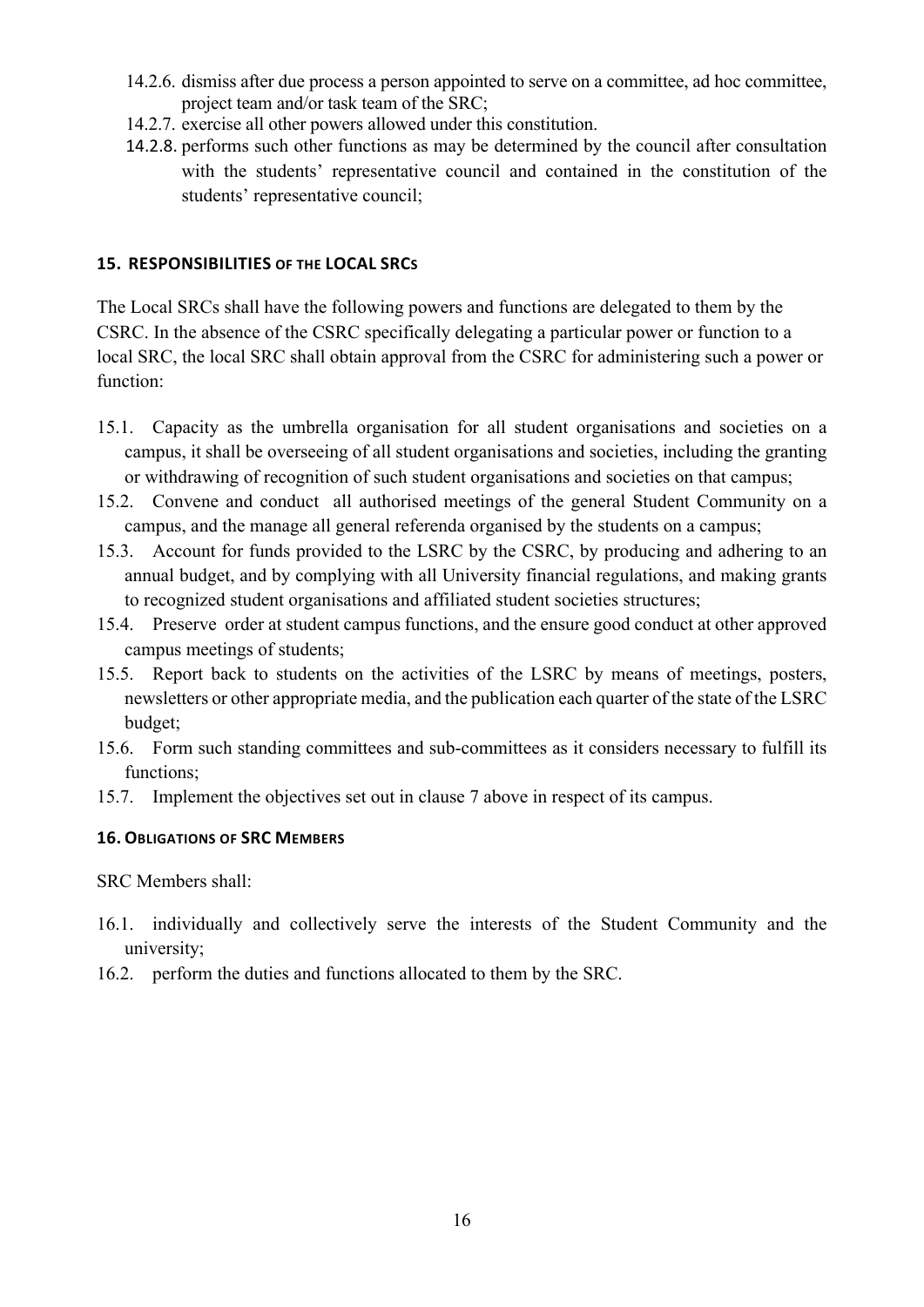- 14.2.6. dismiss after due process a person appointed to serve on a committee, ad hoc committee, project team and/or task team of the SRC;
- 14.2.7. exercise all other powers allowed under this constitution.
- 14.2.8. performs such other functions as may be determined by the council after consultation with the students' representative council and contained in the constitution of the students' representative council;

#### <span id="page-16-0"></span>**15. RESPONSIBILITIES OF THE LOCAL SRCS**

The Local SRCs shall have the following powers and functions are delegated to them by the CSRC. In the absence of the CSRC specifically delegating a particular power or function to a local SRC, the local SRC shall obtain approval from the CSRC for administering such a power or function:

- 15.1. Capacity as the umbrella organisation for all student organisations and societies on a campus, it shall be overseeing of all student organisations and societies, including the granting or withdrawing of recognition of such student organisations and societies on that campus;
- 15.2. Convene and conduct all authorised meetings of the general Student Community on a campus, and the manage all general referenda organised by the students on a campus;
- 15.3. Account for funds provided to the LSRC by the CSRC, by producing and adhering to an annual budget, and by complying with all University financial regulations, and making grants to recognized student organisations and affiliated student societies structures;
- 15.4. Preserve order at student campus functions, and the ensure good conduct at other approved campus meetings of students;
- 15.5. Report back to students on the activities of the LSRC by means of meetings, posters, newsletters or other appropriate media, and the publication each quarter of the state of the LSRC budget;
- 15.6. Form such standing committees and sub-committees as it considers necessary to fulfill its functions;
- 15.7. Implement the objectives set out in clause 7 above in respect of its campus.

#### <span id="page-16-1"></span>**16. OBLIGATIONS OF SRC MEMBERS**

SRC Members shall:

- 16.1. individually and collectively serve the interests of the Student Community and the university;
- <span id="page-16-2"></span>16.2. perform the duties and functions allocated to them by the SRC.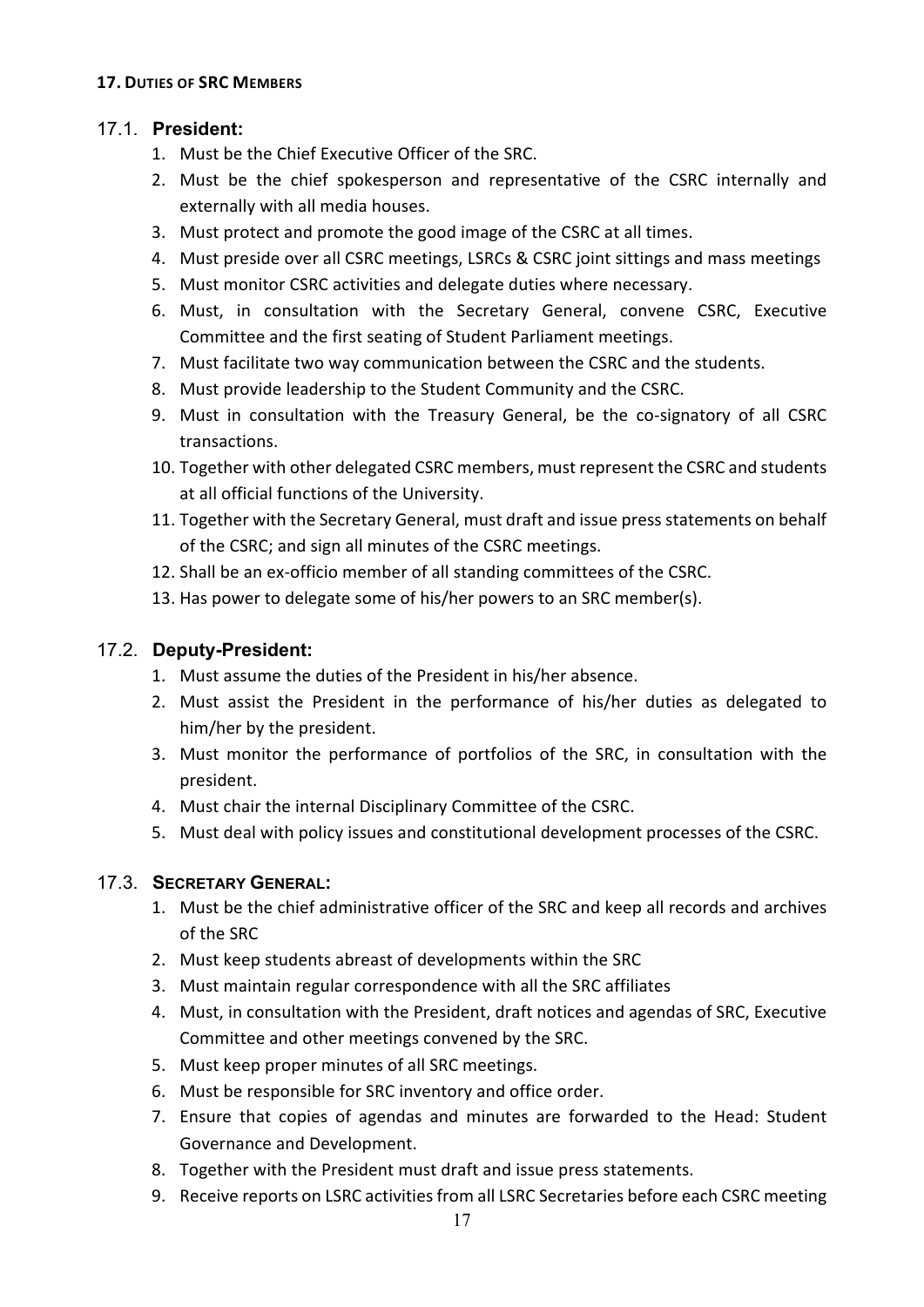## 17.1. **President:**

- 1. Must be the Chief Executive Officer of the SRC.
- 2. Must be the chief spokesperson and representative of the CSRC internally and externally with all media houses.
- 3. Must protect and promote the good image of the CSRC at all times.
- 4. Must preside over all CSRC meetings, LSRCs & CSRC joint sittings and mass meetings
- 5. Must monitor CSRC activities and delegate duties where necessary.
- 6. Must, in consultation with the Secretary General, convene CSRC, Executive Committee and the first seating of Student Parliament meetings.
- 7. Must facilitate two way communication between the CSRC and the students.
- 8. Must provide leadership to the Student Community and the CSRC.
- 9. Must in consultation with the Treasury General, be the co-signatory of all CSRC transactions.
- 10. Together with other delegated CSRC members, must represent the CSRC and students at all official functions of the University.
- 11. Together with the Secretary General, must draft and issue press statements on behalf of the CSRC; and sign all minutes of the CSRC meetings.
- 12. Shall be an ex-officio member of all standing committees of the CSRC.
- 13. Has power to delegate some of his/her powers to an SRC member(s).

## 17.2. **Deputy-President:**

- 1. Must assume the duties of the President in his/her absence.
- 2. Must assist the President in the performance of his/her duties as delegated to him/her by the president.
- 3. Must monitor the performance of portfolios of the SRC, in consultation with the president.
- 4. Must chair the internal Disciplinary Committee of the CSRC.
- 5. Must deal with policy issues and constitutional development processes of the CSRC.

## 17.3. **SECRETARY GENERAL:**

- 1. Must be the chief administrative officer of the SRC and keep all records and archives of the SRC
- 2. Must keep students abreast of developments within the SRC
- 3. Must maintain regular correspondence with all the SRC affiliates
- 4. Must, in consultation with the President, draft notices and agendas of SRC, Executive Committee and other meetings convened by the SRC.
- 5. Must keep proper minutes of all SRC meetings.
- 6. Must be responsible for SRC inventory and office order.
- 7. Ensure that copies of agendas and minutes are forwarded to the Head: Student Governance and Development.
- 8. Together with the President must draft and issue press statements.
- 9. Receive reports on LSRC activities from all LSRC Secretaries before each CSRC meeting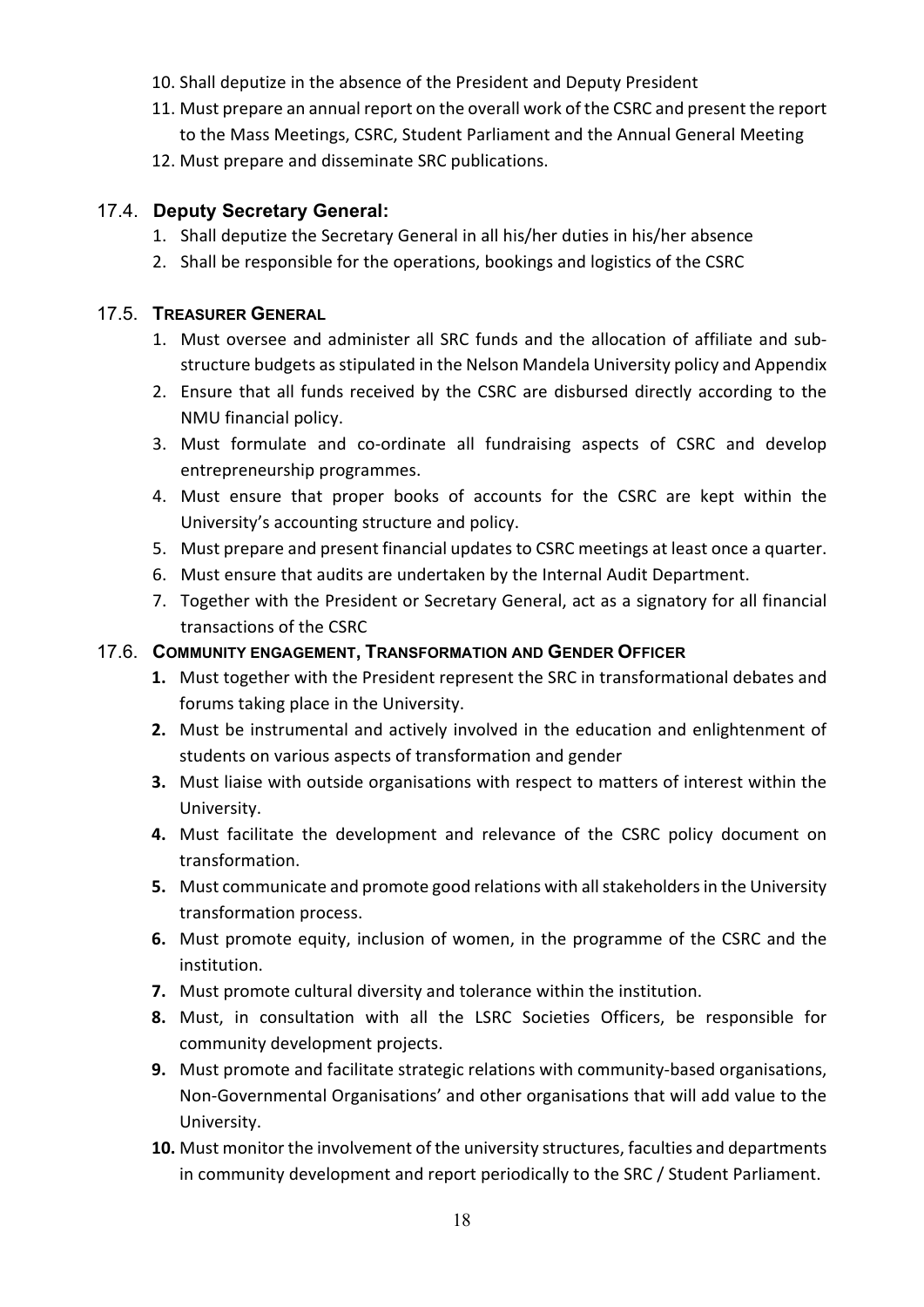- 10. Shall deputize in the absence of the President and Deputy President
- 11. Must prepare an annual report on the overall work of the CSRC and present the report to the Mass Meetings, CSRC, Student Parliament and the Annual General Meeting
- 12. Must prepare and disseminate SRC publications.

## 17.4. **Deputy Secretary General:**

- 1. Shall deputize the Secretary General in all his/her duties in his/her absence
- 2. Shall be responsible for the operations, bookings and logistics of the CSRC

### 17.5. **TREASURER GENERAL**

- 1. Must oversee and administer all SRC funds and the allocation of affiliate and substructure budgets as stipulated in the Nelson Mandela University policy and Appendix
- 2. Ensure that all funds received by the CSRC are disbursed directly according to the NMU financial policy.
- 3. Must formulate and co-ordinate all fundraising aspects of CSRC and develop entrepreneurship programmes.
- 4. Must ensure that proper books of accounts for the CSRC are kept within the University's accounting structure and policy.
- 5. Must prepare and present financial updates to CSRC meetings at least once a quarter.
- 6. Must ensure that audits are undertaken by the Internal Audit Department.
- 7. Together with the President or Secretary General, act as a signatory for all financial transactions of the CSRC

## 17.6. **COMMUNITY ENGAGEMENT, TRANSFORMATION AND GENDER OFFICER**

- **1.** Must together with the President represent the SRC in transformational debates and forums taking place in the University.
- **2.** Must be instrumental and actively involved in the education and enlightenment of students on various aspects of transformation and gender
- **3.** Must liaise with outside organisations with respect to matters of interest within the University.
- **4.** Must facilitate the development and relevance of the CSRC policy document on transformation.
- **5.** Must communicate and promote good relations with all stakeholders in the University transformation process.
- **6.** Must promote equity, inclusion of women, in the programme of the CSRC and the institution.
- **7.** Must promote cultural diversity and tolerance within the institution.
- **8.** Must, in consultation with all the LSRC Societies Officers, be responsible for community development projects.
- **9.** Must promote and facilitate strategic relations with community-based organisations, Non-Governmental Organisations' and other organisations that will add value to the University.
- **10.** Must monitor the involvement of the university structures, faculties and departments in community development and report periodically to the SRC / Student Parliament.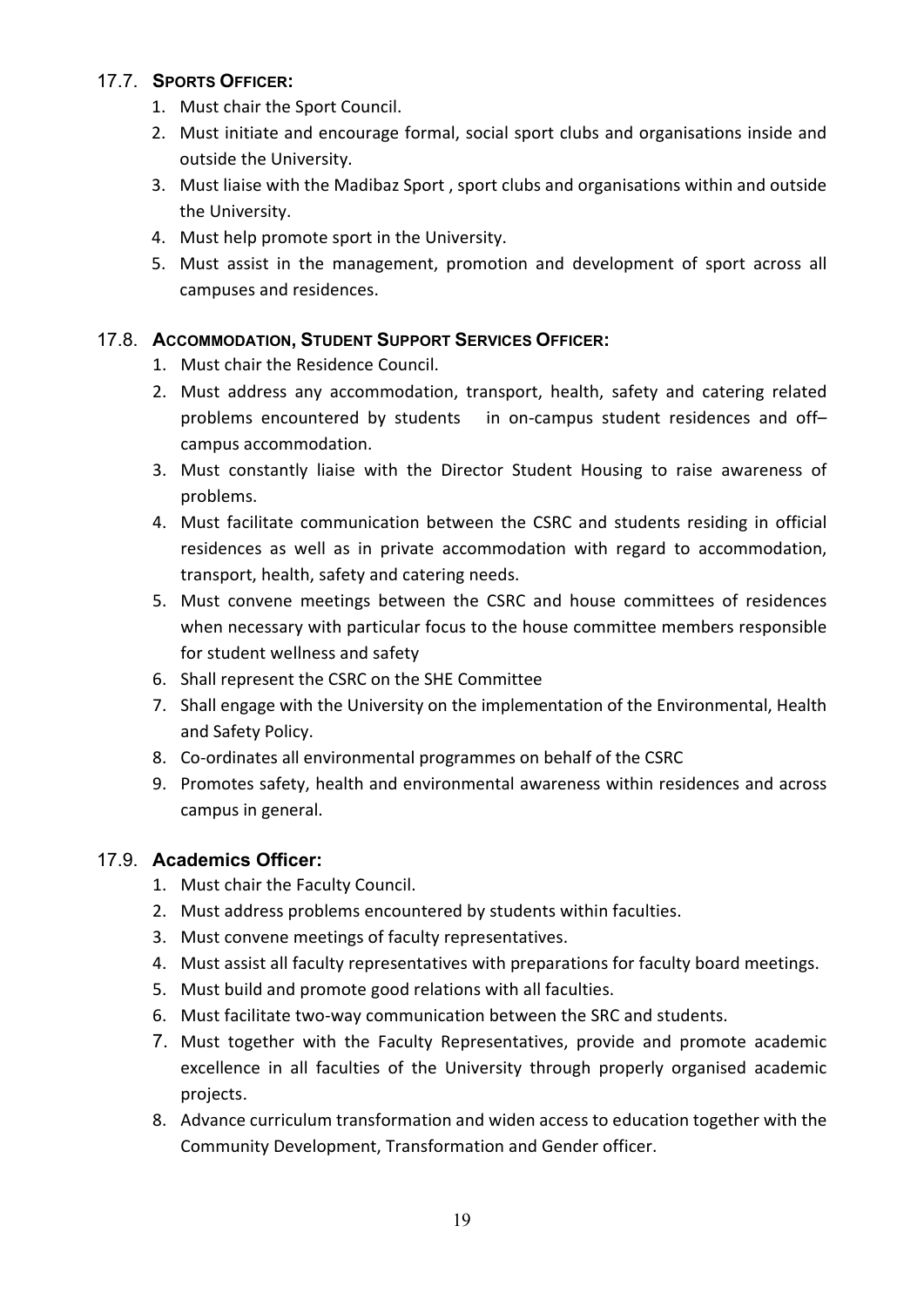## 17.7. **SPORTS OFFICER:**

- 1. Must chair the Sport Council.
- 2. Must initiate and encourage formal, social sport clubs and organisations inside and outside the University.
- 3. Must liaise with the Madibaz Sport , sport clubs and organisations within and outside the University.
- 4. Must help promote sport in the University.
- 5. Must assist in the management, promotion and development of sport across all campuses and residences.

## 17.8. **ACCOMMODATION, STUDENT SUPPORT SERVICES OFFICER:**

- 1. Must chair the Residence Council.
- 2. Must address any accommodation, transport, health, safety and catering related problems encountered by students in on-campus student residences and off– campus accommodation.
- 3. Must constantly liaise with the Director Student Housing to raise awareness of problems.
- 4. Must facilitate communication between the CSRC and students residing in official residences as well as in private accommodation with regard to accommodation, transport, health, safety and catering needs.
- 5. Must convene meetings between the CSRC and house committees of residences when necessary with particular focus to the house committee members responsible for student wellness and safety
- 6. Shall represent the CSRC on the SHE Committee
- 7. Shall engage with the University on the implementation of the Environmental, Health and Safety Policy.
- 8. Co-ordinates all environmental programmes on behalf of the CSRC
- 9. Promotes safety, health and environmental awareness within residences and across campus in general.

## 17.9. **Academics Officer:**

- 1. Must chair the Faculty Council.
- 2. Must address problems encountered by students within faculties.
- 3. Must convene meetings of faculty representatives.
- 4. Must assist all faculty representatives with preparations for faculty board meetings.
- 5. Must build and promote good relations with all faculties.
- 6. Must facilitate two-way communication between the SRC and students.
- 7. Must together with the Faculty Representatives, provide and promote academic excellence in all faculties of the University through properly organised academic projects.
- 8. Advance curriculum transformation and widen access to education together with the Community Development, Transformation and Gender officer.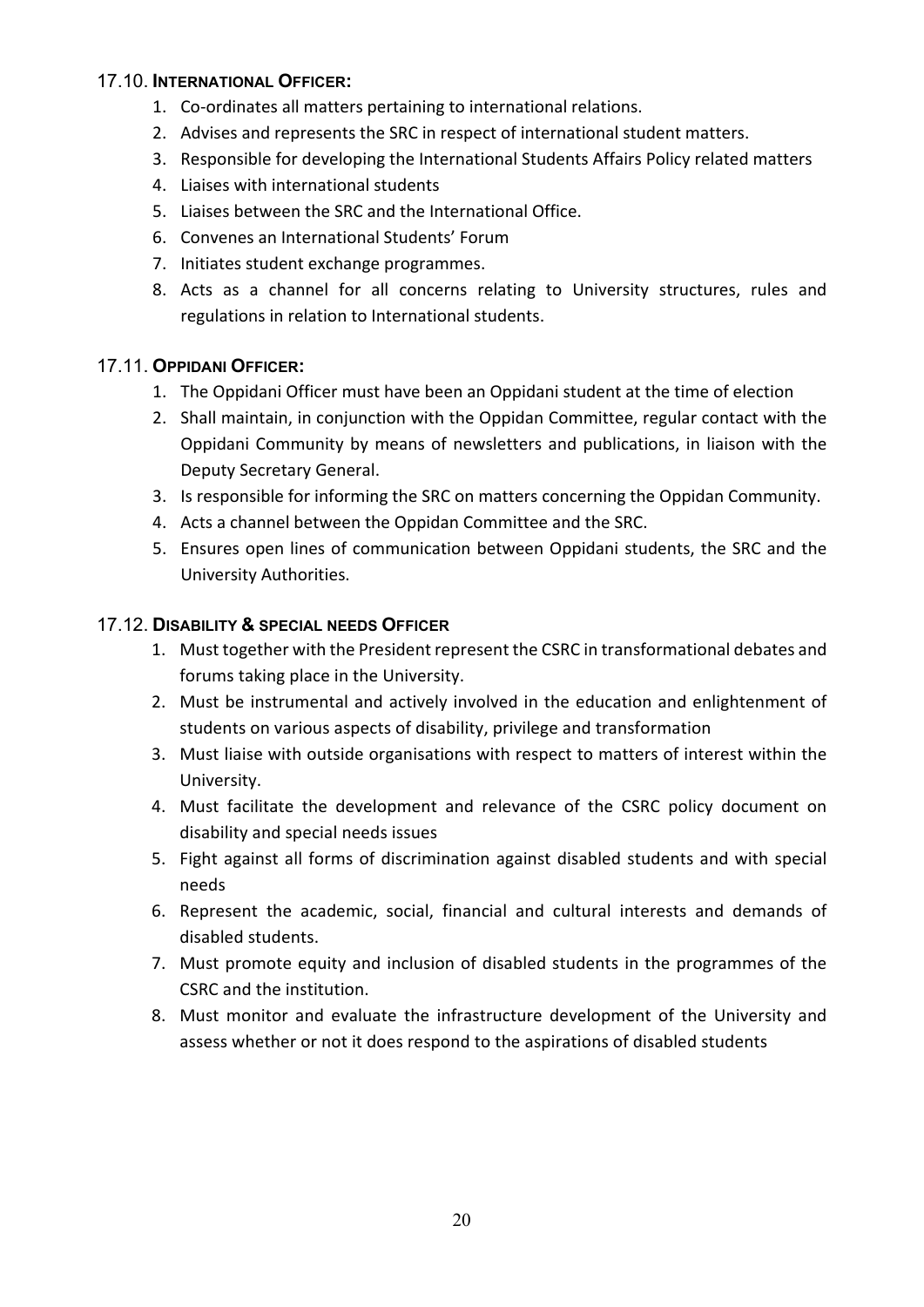#### 17.10. **INTERNATIONAL OFFICER:**

- 1. Co-ordinates all matters pertaining to international relations.
- 2. Advises and represents the SRC in respect of international student matters.
- 3. Responsible for developing the International Students Affairs Policy related matters
- 4. Liaises with international students
- 5. Liaises between the SRC and the International Office.
- 6. Convenes an International Students' Forum
- 7. Initiates student exchange programmes.
- 8. Acts as a channel for all concerns relating to University structures, rules and regulations in relation to International students.

## 17.11. **OPPIDANI OFFICER:**

- 1. The Oppidani Officer must have been an Oppidani student at the time of election
- 2. Shall maintain, in conjunction with the Oppidan Committee, regular contact with the Oppidani Community by means of newsletters and publications, in liaison with the Deputy Secretary General.
- 3. Is responsible for informing the SRC on matters concerning the Oppidan Community.
- 4. Acts a channel between the Oppidan Committee and the SRC.
- 5. Ensures open lines of communication between Oppidani students, the SRC and the University Authorities.

## 17.12. **DISABILITY & SPECIAL NEEDS OFFICER**

- 1. Must together with the President represent the CSRC in transformational debates and forums taking place in the University.
- 2. Must be instrumental and actively involved in the education and enlightenment of students on various aspects of disability, privilege and transformation
- 3. Must liaise with outside organisations with respect to matters of interest within the University.
- 4. Must facilitate the development and relevance of the CSRC policy document on disability and special needs issues
- 5. Fight against all forms of discrimination against disabled students and with special needs
- 6. Represent the academic, social, financial and cultural interests and demands of disabled students.
- 7. Must promote equity and inclusion of disabled students in the programmes of the CSRC and the institution.
- 8. Must monitor and evaluate the infrastructure development of the University and assess whether or not it does respond to the aspirations of disabled students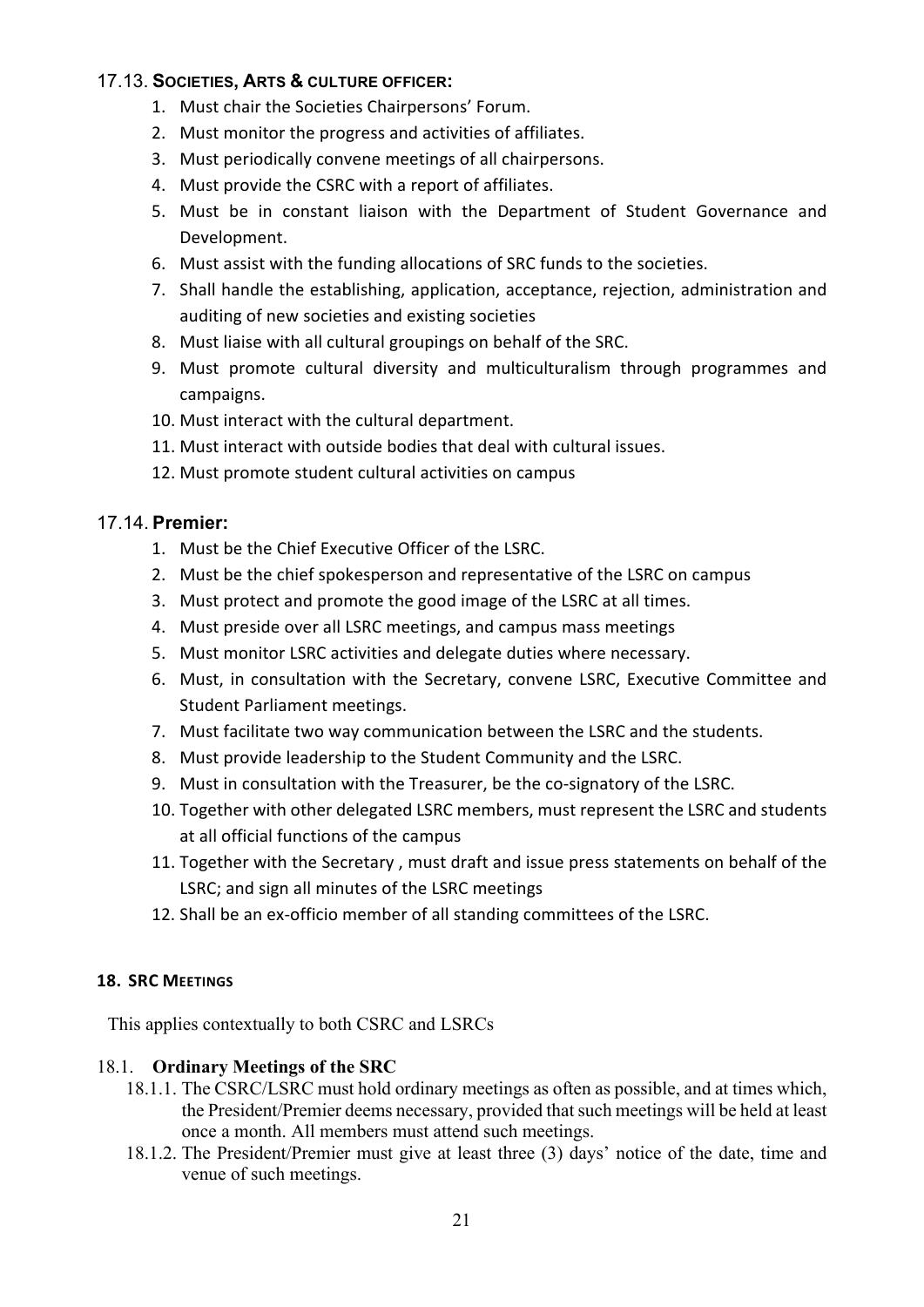### 17.13. **SOCIETIES, ARTS & CULTURE OFFICER:**

- 1. Must chair the Societies Chairpersons' Forum.
- 2. Must monitor the progress and activities of affiliates.
- 3. Must periodically convene meetings of all chairpersons.
- 4. Must provide the CSRC with a report of affiliates.
- 5. Must be in constant liaison with the Department of Student Governance and Development.
- 6. Must assist with the funding allocations of SRC funds to the societies.
- 7. Shall handle the establishing, application, acceptance, rejection, administration and auditing of new societies and existing societies
- 8. Must liaise with all cultural groupings on behalf of the SRC.
- 9. Must promote cultural diversity and multiculturalism through programmes and campaigns.
- 10. Must interact with the cultural department.
- 11. Must interact with outside bodies that deal with cultural issues.
- 12. Must promote student cultural activities on campus

## 17.14. **Premier:**

- 1. Must be the Chief Executive Officer of the LSRC.
- 2. Must be the chief spokesperson and representative of the LSRC on campus
- 3. Must protect and promote the good image of the LSRC at all times.
- 4. Must preside over all LSRC meetings, and campus mass meetings
- 5. Must monitor LSRC activities and delegate duties where necessary.
- 6. Must, in consultation with the Secretary, convene LSRC, Executive Committee and Student Parliament meetings.
- 7. Must facilitate two way communication between the LSRC and the students.
- 8. Must provide leadership to the Student Community and the LSRC.
- 9. Must in consultation with the Treasurer, be the co-signatory of the LSRC.
- 10. Together with other delegated LSRC members, must represent the LSRC and students at all official functions of the campus
- 11. Together with the Secretary , must draft and issue press statements on behalf of the LSRC; and sign all minutes of the LSRC meetings
- 12. Shall be an ex-officio member of all standing committees of the LSRC.

#### <span id="page-21-0"></span>**18. SRC MEETINGS**

This applies contextually to both CSRC and LSRCs

#### 18.1. **Ordinary Meetings of the SRC**

- 18.1.1. The CSRC/LSRC must hold ordinary meetings as often as possible, and at times which, the President/Premier deems necessary, provided that such meetings will be held at least once a month. All members must attend such meetings.
- 18.1.2. The President/Premier must give at least three (3) days' notice of the date, time and venue of such meetings.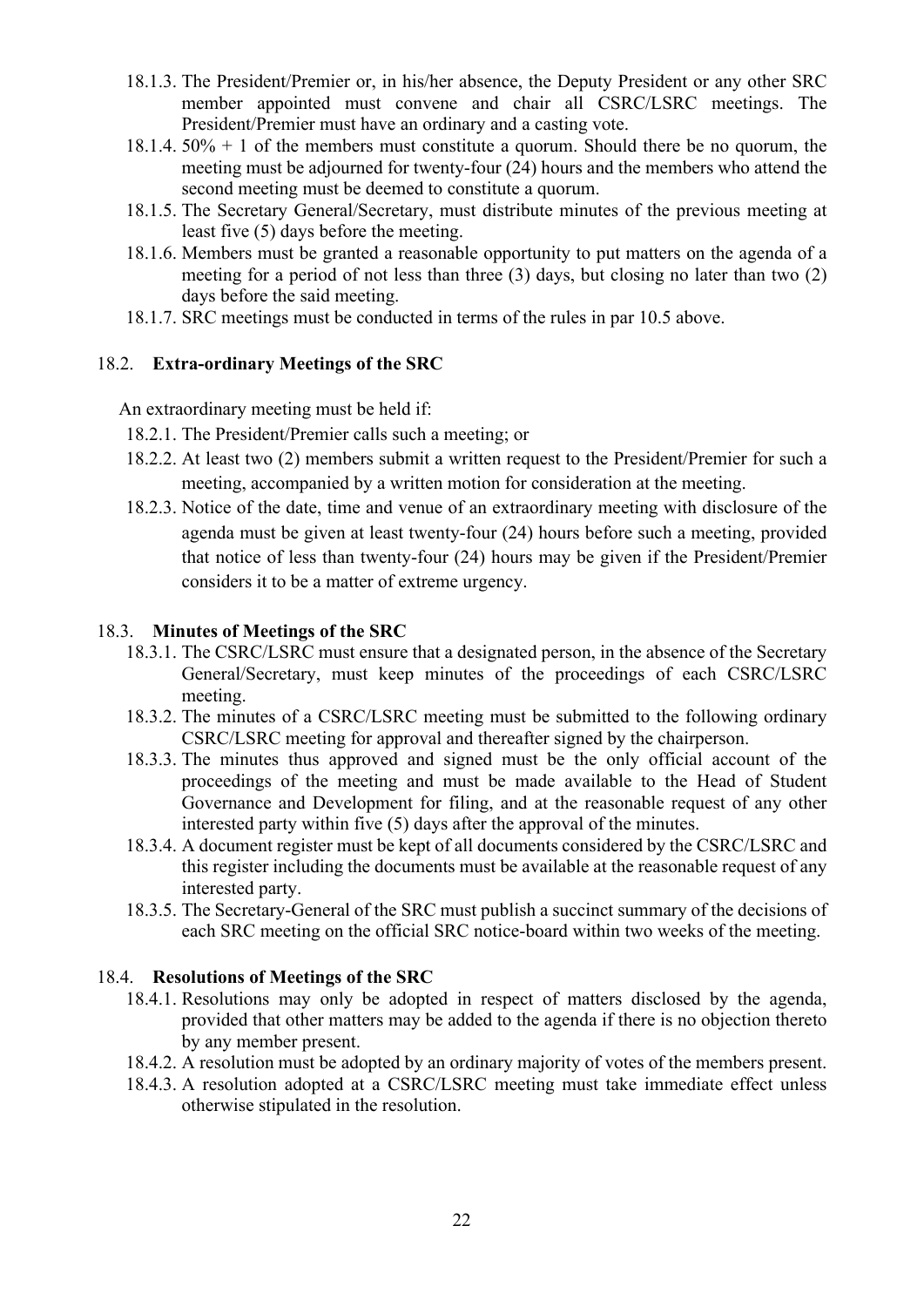- 18.1.3. The President/Premier or, in his/her absence, the Deputy President or any other SRC member appointed must convene and chair all CSRC/LSRC meetings. The President/Premier must have an ordinary and a casting vote.
- 18.1.4.  $50\% + 1$  of the members must constitute a quorum. Should there be no quorum, the meeting must be adjourned for twenty-four (24) hours and the members who attend the second meeting must be deemed to constitute a quorum.
- 18.1.5. The Secretary General/Secretary, must distribute minutes of the previous meeting at least five (5) days before the meeting.
- 18.1.6. Members must be granted a reasonable opportunity to put matters on the agenda of a meeting for a period of not less than three (3) days, but closing no later than two (2) days before the said meeting.
- 18.1.7. SRC meetings must be conducted in terms of the rules in par 10.5 above.

#### 18.2. **Extra-ordinary Meetings of the SRC**

An extraordinary meeting must be held if:

- 18.2.1. The President/Premier calls such a meeting; or
- 18.2.2. At least two (2) members submit a written request to the President/Premier for such a meeting, accompanied by a written motion for consideration at the meeting.
- 18.2.3. Notice of the date, time and venue of an extraordinary meeting with disclosure of the agenda must be given at least twenty-four (24) hours before such a meeting, provided that notice of less than twenty-four (24) hours may be given if the President/Premier considers it to be a matter of extreme urgency.

#### 18.3. **Minutes of Meetings of the SRC**

- 18.3.1. The CSRC/LSRC must ensure that a designated person, in the absence of the Secretary General/Secretary, must keep minutes of the proceedings of each CSRC/LSRC meeting.
- 18.3.2. The minutes of a CSRC/LSRC meeting must be submitted to the following ordinary CSRC/LSRC meeting for approval and thereafter signed by the chairperson.
- 18.3.3. The minutes thus approved and signed must be the only official account of the proceedings of the meeting and must be made available to the Head of Student Governance and Development for filing, and at the reasonable request of any other interested party within five (5) days after the approval of the minutes.
- 18.3.4. A document register must be kept of all documents considered by the CSRC/LSRC and this register including the documents must be available at the reasonable request of any interested party.
- 18.3.5. The Secretary-General of the SRC must publish a succinct summary of the decisions of each SRC meeting on the official SRC notice-board within two weeks of the meeting.

#### 18.4. **Resolutions of Meetings of the SRC**

- 18.4.1. Resolutions may only be adopted in respect of matters disclosed by the agenda, provided that other matters may be added to the agenda if there is no objection thereto by any member present.
- 18.4.2. A resolution must be adopted by an ordinary majority of votes of the members present.
- 18.4.3. A resolution adopted at a CSRC/LSRC meeting must take immediate effect unless otherwise stipulated in the resolution.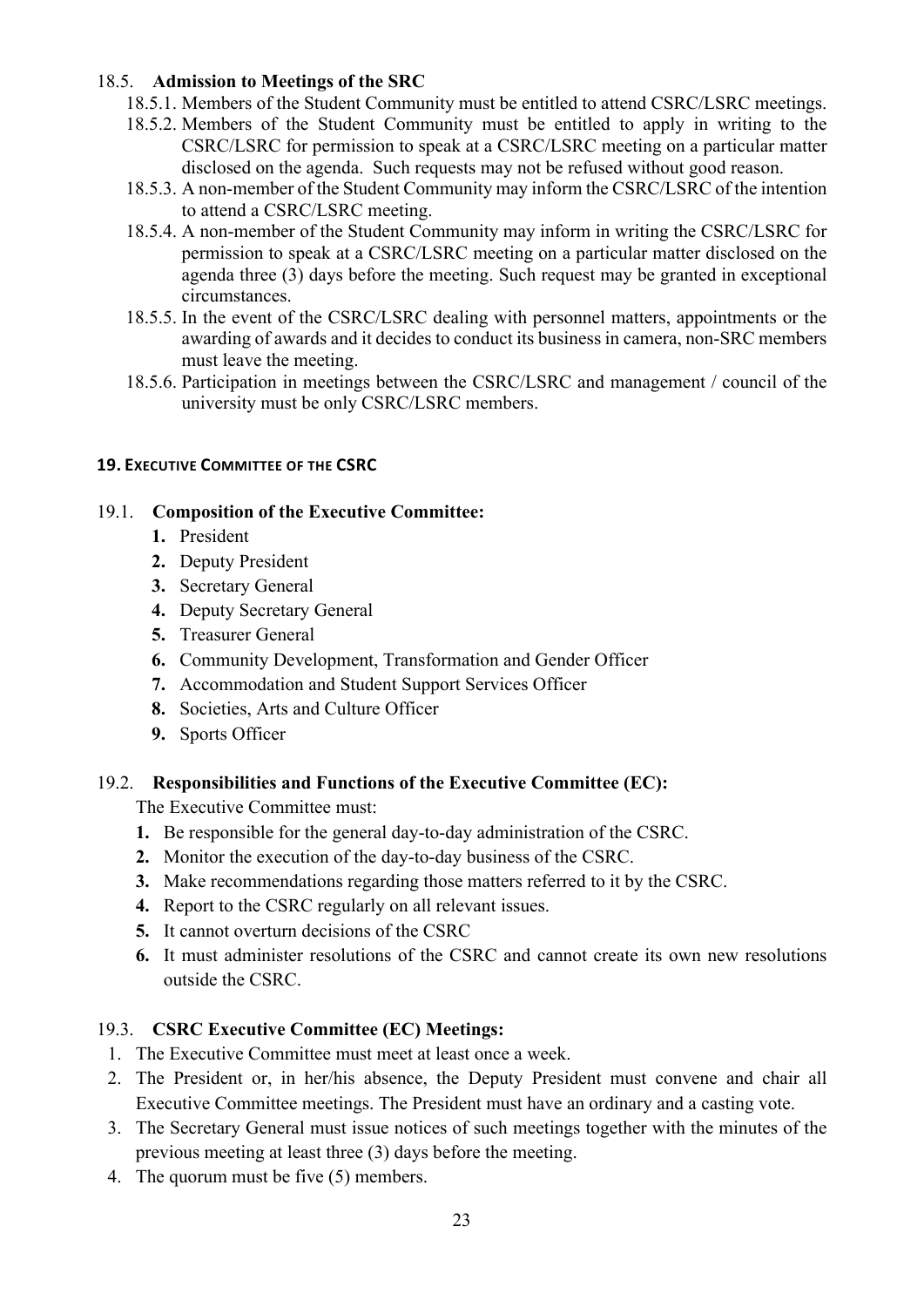#### 18.5. **Admission to Meetings of the SRC**

- 18.5.1. Members of the Student Community must be entitled to attend CSRC/LSRC meetings.
- 18.5.2. Members of the Student Community must be entitled to apply in writing to the CSRC/LSRC for permission to speak at a CSRC/LSRC meeting on a particular matter disclosed on the agenda. Such requests may not be refused without good reason.
- 18.5.3. A non-member of the Student Community may inform the CSRC/LSRC of the intention to attend a CSRC/LSRC meeting.
- 18.5.4. A non-member of the Student Community may inform in writing the CSRC/LSRC for permission to speak at a CSRC/LSRC meeting on a particular matter disclosed on the agenda three (3) days before the meeting. Such request may be granted in exceptional circumstances.
- 18.5.5. In the event of the CSRC/LSRC dealing with personnel matters, appointments or the awarding of awards and it decides to conduct its business in camera, non-SRC members must leave the meeting.
- 18.5.6. Participation in meetings between the CSRC/LSRC and management / council of the university must be only CSRC/LSRC members.

#### <span id="page-23-0"></span>**19. EXECUTIVE COMMITTEE OF THE CSRC**

#### 19.1. **Composition of the Executive Committee:**

- **1.** President
- **2.** Deputy President
- **3.** Secretary General
- **4.** Deputy Secretary General
- **5.** Treasurer General
- **6.** Community Development, Transformation and Gender Officer
- **7.** Accommodation and Student Support Services Officer
- **8.** Societies, Arts and Culture Officer
- **9.** Sports Officer

#### 19.2. **Responsibilities and Functions of the Executive Committee (EC):**

The Executive Committee must:

- **1.** Be responsible for the general day-to-day administration of the CSRC.
- **2.** Monitor the execution of the day-to-day business of the CSRC.
- **3.** Make recommendations regarding those matters referred to it by the CSRC.
- **4.** Report to the CSRC regularly on all relevant issues.
- **5.** It cannot overturn decisions of the CSRC
- **6.** It must administer resolutions of the CSRC and cannot create its own new resolutions outside the CSRC.

#### 19.3. **CSRC Executive Committee (EC) Meetings:**

- 1. The Executive Committee must meet at least once a week.
- 2. The President or, in her/his absence, the Deputy President must convene and chair all Executive Committee meetings. The President must have an ordinary and a casting vote.
- 3. The Secretary General must issue notices of such meetings together with the minutes of the previous meeting at least three (3) days before the meeting.
- 4. The quorum must be five (5) members.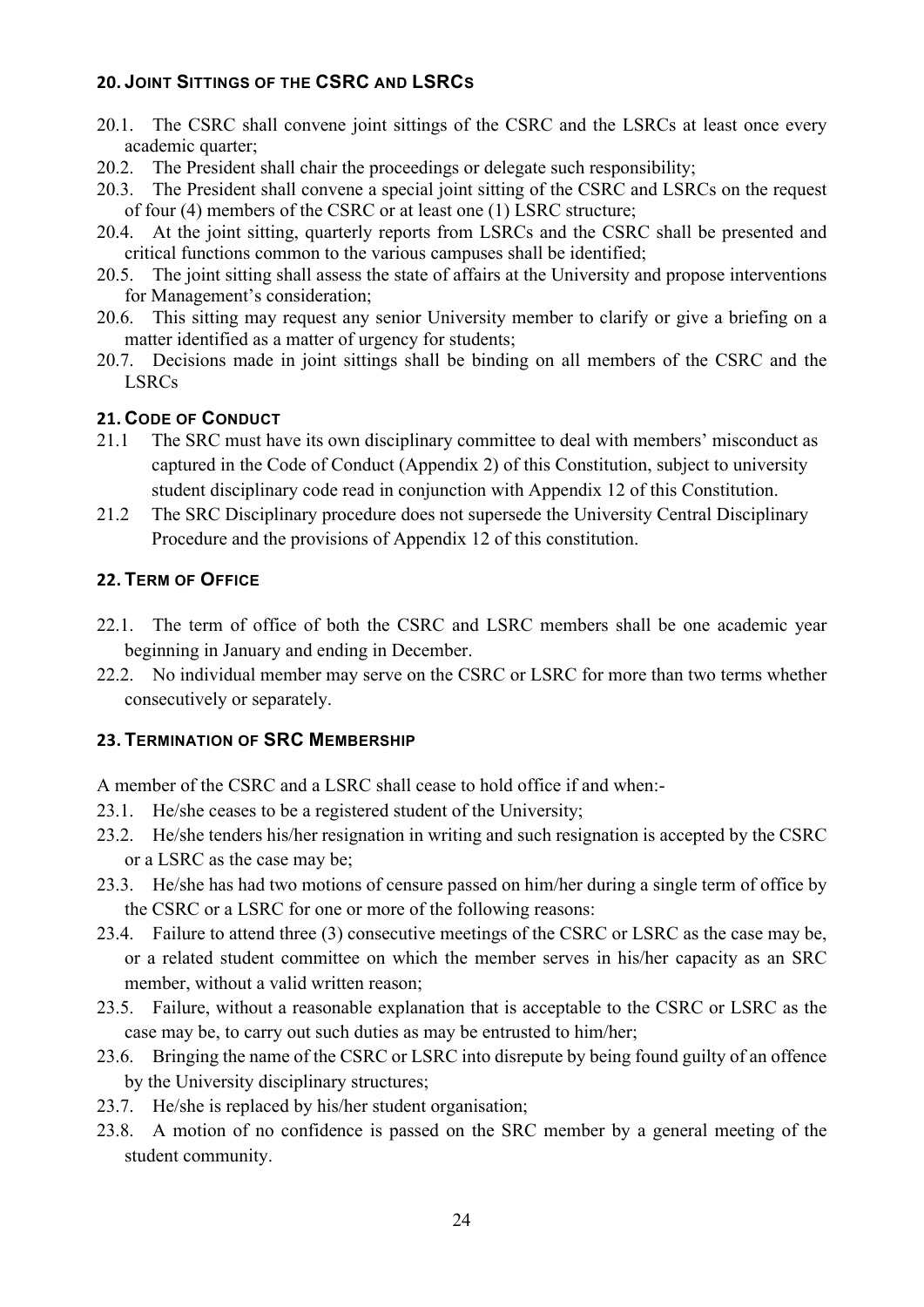## <span id="page-24-0"></span>**20. JOINT SITTINGS OF THE CSRC AND LSRCS**

- 20.1. The CSRC shall convene joint sittings of the CSRC and the LSRCs at least once every academic quarter;
- 20.2. The President shall chair the proceedings or delegate such responsibility;
- 20.3. The President shall convene a special joint sitting of the CSRC and LSRCs on the request of four (4) members of the CSRC or at least one (1) LSRC structure;
- 20.4. At the joint sitting, quarterly reports from LSRCs and the CSRC shall be presented and critical functions common to the various campuses shall be identified;
- 20.5. The joint sitting shall assess the state of affairs at the University and propose interventions for Management's consideration;
- 20.6. This sitting may request any senior University member to clarify or give a briefing on a matter identified as a matter of urgency for students;
- 20.7. Decisions made in joint sittings shall be binding on all members of the CSRC and the LSRCs

## <span id="page-24-1"></span>**21. CODE OF CONDUCT**

- 21.1 The SRC must have its own disciplinary committee to deal with members' misconduct as captured in the Code of Conduct (Appendix 2) of this Constitution, subject to university student disciplinary code read in conjunction with Appendix 12 of this Constitution.
- 21.2 The SRC Disciplinary procedure does not supersede the University Central Disciplinary Procedure and the provisions of Appendix 12 of this constitution.

#### <span id="page-24-2"></span>**22. TERM OF OFFICE**

- 22.1. The term of office of both the CSRC and LSRC members shall be one academic year beginning in January and ending in December.
- 22.2. No individual member may serve on the CSRC or LSRC for more than two terms whether consecutively or separately.

#### <span id="page-24-3"></span>**23. TERMINATION OF SRC MEMBERSHIP**

A member of the CSRC and a LSRC shall cease to hold office if and when:-

- 23.1. He/she ceases to be a registered student of the University;
- 23.2. He/she tenders his/her resignation in writing and such resignation is accepted by the CSRC or a LSRC as the case may be;
- 23.3. He/she has had two motions of censure passed on him/her during a single term of office by the CSRC or a LSRC for one or more of the following reasons:
- 23.4. Failure to attend three (3) consecutive meetings of the CSRC or LSRC as the case may be, or a related student committee on which the member serves in his/her capacity as an SRC member, without a valid written reason;
- 23.5. Failure, without a reasonable explanation that is acceptable to the CSRC or LSRC as the case may be, to carry out such duties as may be entrusted to him/her;
- 23.6. Bringing the name of the CSRC or LSRC into disrepute by being found guilty of an offence by the University disciplinary structures;
- 23.7. He/she is replaced by his/her student organisation;
- 23.8. A motion of no confidence is passed on the SRC member by a general meeting of the student community.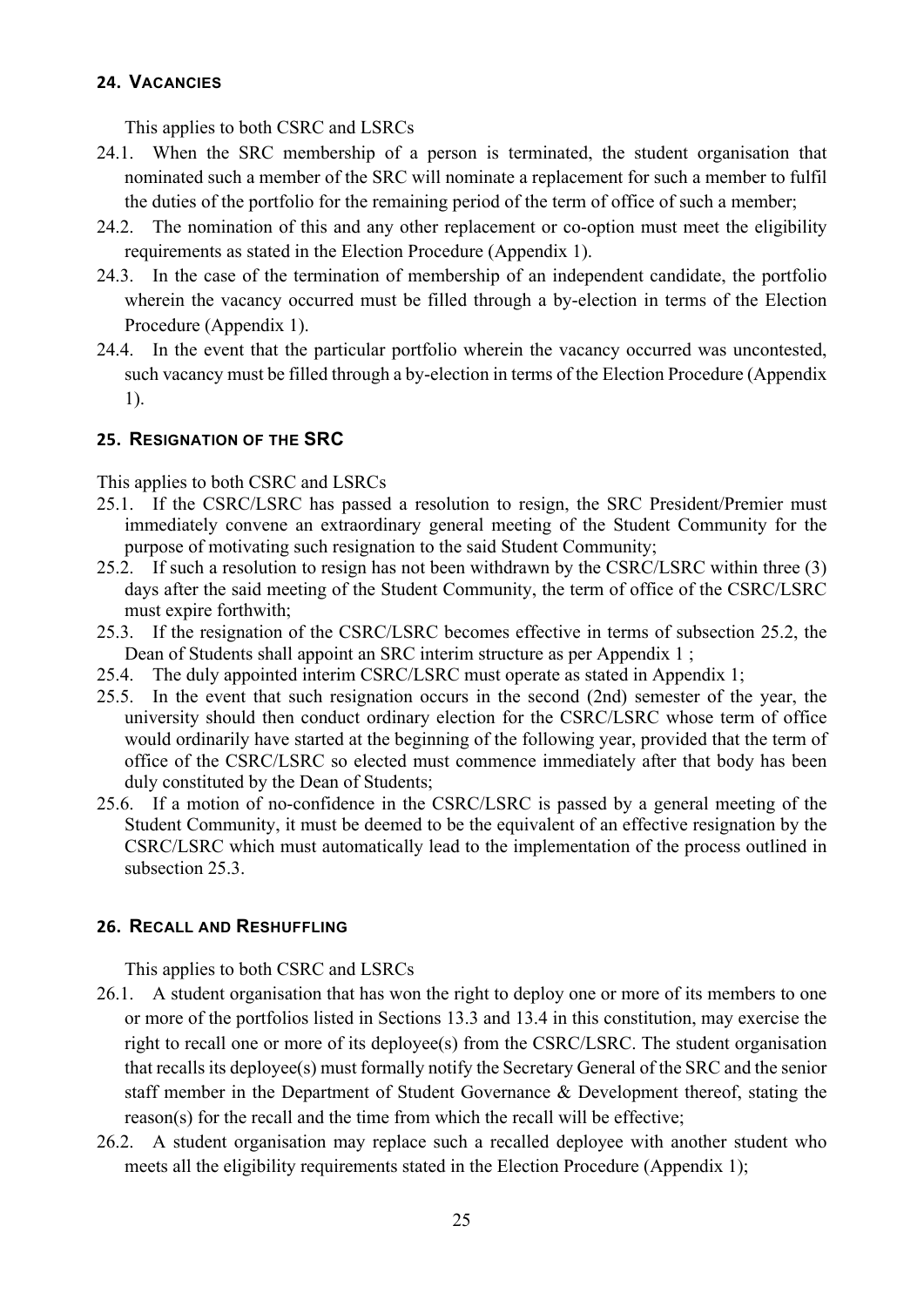#### <span id="page-25-0"></span>**24. VACANCIES**

This applies to both CSRC and LSRCs

- 24.1. When the SRC membership of a person is terminated, the student organisation that nominated such a member of the SRC will nominate a replacement for such a member to fulfil the duties of the portfolio for the remaining period of the term of office of such a member;
- 24.2. The nomination of this and any other replacement or co-option must meet the eligibility requirements as stated in the Election Procedure (Appendix 1).
- 24.3. In the case of the termination of membership of an independent candidate, the portfolio wherein the vacancy occurred must be filled through a by-election in terms of the Election Procedure (Appendix 1).
- 24.4. In the event that the particular portfolio wherein the vacancy occurred was uncontested, such vacancy must be filled through a by-election in terms of the Election Procedure (Appendix 1).

#### <span id="page-25-1"></span>**25. RESIGNATION OF THE SRC**

This applies to both CSRC and LSRCs

- 25.1. If the CSRC/LSRC has passed a resolution to resign, the SRC President/Premier must immediately convene an extraordinary general meeting of the Student Community for the purpose of motivating such resignation to the said Student Community;
- 25.2. If such a resolution to resign has not been withdrawn by the CSRC/LSRC within three (3) days after the said meeting of the Student Community, the term of office of the CSRC/LSRC must expire forthwith;
- 25.3. If the resignation of the CSRC/LSRC becomes effective in terms of subsection 25.2, the Dean of Students shall appoint an SRC interim structure as per Appendix 1 ;
- 25.4. The duly appointed interim CSRC/LSRC must operate as stated in Appendix 1;
- 25.5. In the event that such resignation occurs in the second (2nd) semester of the year, the university should then conduct ordinary election for the CSRC/LSRC whose term of office would ordinarily have started at the beginning of the following year, provided that the term of office of the CSRC/LSRC so elected must commence immediately after that body has been duly constituted by the Dean of Students;
- 25.6. If a motion of no-confidence in the CSRC/LSRC is passed by a general meeting of the Student Community, it must be deemed to be the equivalent of an effective resignation by the CSRC/LSRC which must automatically lead to the implementation of the process outlined in subsection 25.3.

#### <span id="page-25-2"></span>**26. RECALL AND RESHUFFLING**

This applies to both CSRC and LSRCs

- 26.1. A student organisation that has won the right to deploy one or more of its members to one or more of the portfolios listed in Sections 13.3 and 13.4 in this constitution, may exercise the right to recall one or more of its deployee(s) from the CSRC/LSRC. The student organisation that recalls its deployee(s) must formally notify the Secretary General of the SRC and the senior staff member in the Department of Student Governance & Development thereof, stating the reason(s) for the recall and the time from which the recall will be effective;
- 26.2. A student organisation may replace such a recalled deployee with another student who meets all the eligibility requirements stated in the Election Procedure (Appendix 1);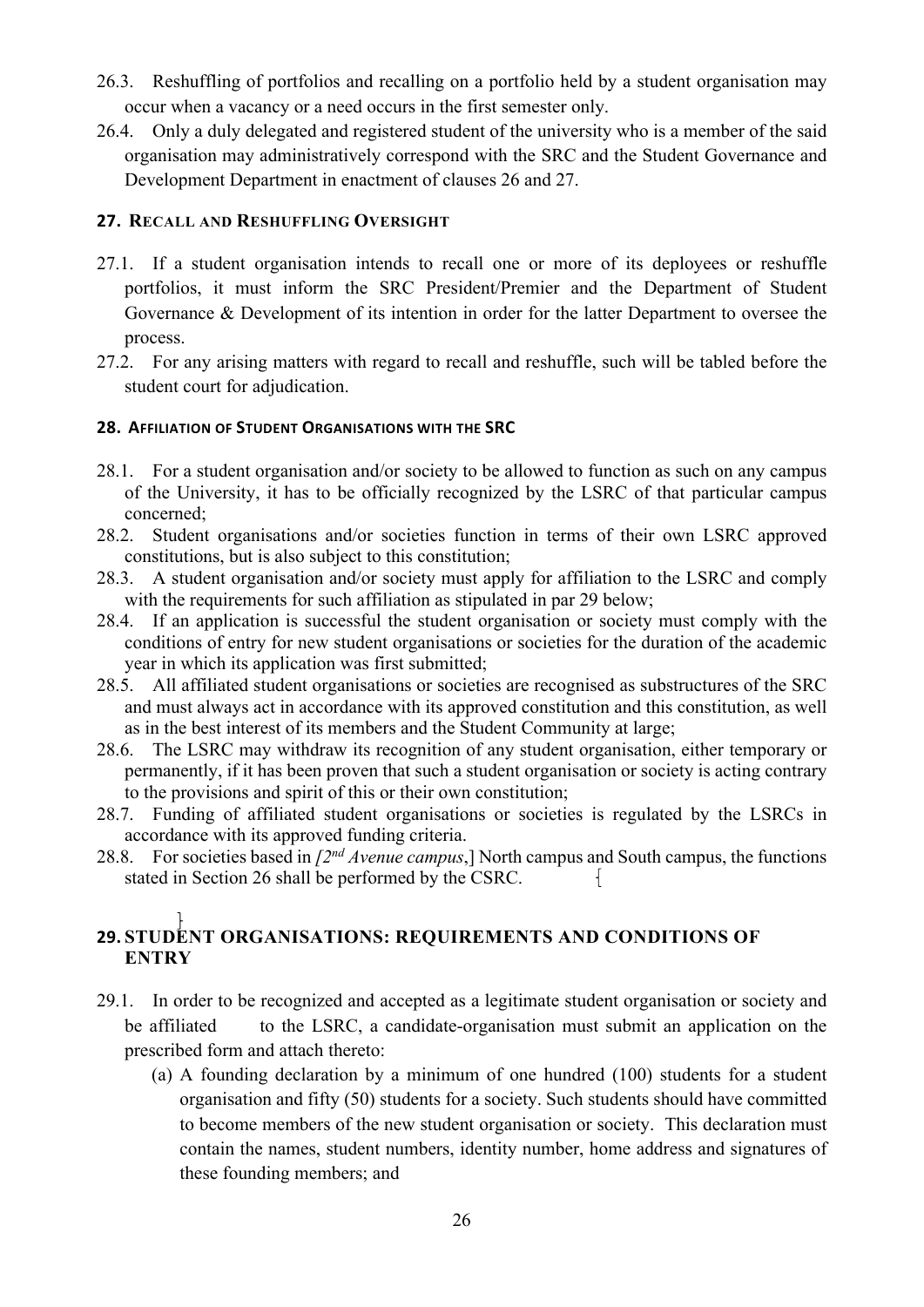- 26.3. Reshuffling of portfolios and recalling on a portfolio held by a student organisation may occur when a vacancy or a need occurs in the first semester only.
- 26.4. Only a duly delegated and registered student of the university who is a member of the said organisation may administratively correspond with the SRC and the Student Governance and Development Department in enactment of clauses 26 and 27.

#### <span id="page-26-0"></span>**27. RECALL AND RESHUFFLING OVERSIGHT**

- 27.1. If a student organisation intends to recall one or more of its deployees or reshuffle portfolios, it must inform the SRC President/Premier and the Department of Student Governance & Development of its intention in order for the latter Department to oversee the process.
- 27.2. For any arising matters with regard to recall and reshuffle, such will be tabled before the student court for adjudication.

#### <span id="page-26-1"></span>**28. AFFILIATION OF STUDENT ORGANISATIONS WITH THE SRC**

- 28.1. For a student organisation and/or society to be allowed to function as such on any campus of the University, it has to be officially recognized by the LSRC of that particular campus concerned;
- 28.2. Student organisations and/or societies function in terms of their own LSRC approved constitutions, but is also subject to this constitution;
- 28.3. A student organisation and/or society must apply for affiliation to the LSRC and comply with the requirements for such affiliation as stipulated in par 29 below;
- 28.4. If an application is successful the student organisation or society must comply with the conditions of entry for new student organisations or societies for the duration of the academic year in which its application was first submitted;
- 28.5. All affiliated student organisations or societies are recognised as substructures of the SRC and must always act in accordance with its approved constitution and this constitution, as well as in the best interest of its members and the Student Community at large;
- 28.6. The LSRC may withdraw its recognition of any student organisation, either temporary or permanently, if it has been proven that such a student organisation or society is acting contrary to the provisions and spirit of this or their own constitution;
- 28.7. Funding of affiliated student organisations or societies is regulated by the LSRCs in accordance with its approved funding criteria.
- 28.8. For societies based in *[2nd Avenue campus*,] North campus and South campus, the functions stated in Section 26 shall be performed by the CSRC.  $\mathbf{1}$

## <span id="page-26-2"></span>**29. STUDENT ORGANISATIONS: REQUIREMENTS AND CONDITIONS OF ENTRY**

- 29.1. In order to be recognized and accepted as a legitimate student organisation or society and be affiliated to the LSRC, a candidate-organisation must submit an application on the prescribed form and attach thereto:
	- (a) A founding declaration by a minimum of one hundred (100) students for a student organisation and fifty (50) students for a society. Such students should have committed to become members of the new student organisation or society. This declaration must contain the names, student numbers, identity number, home address and signatures of these founding members; and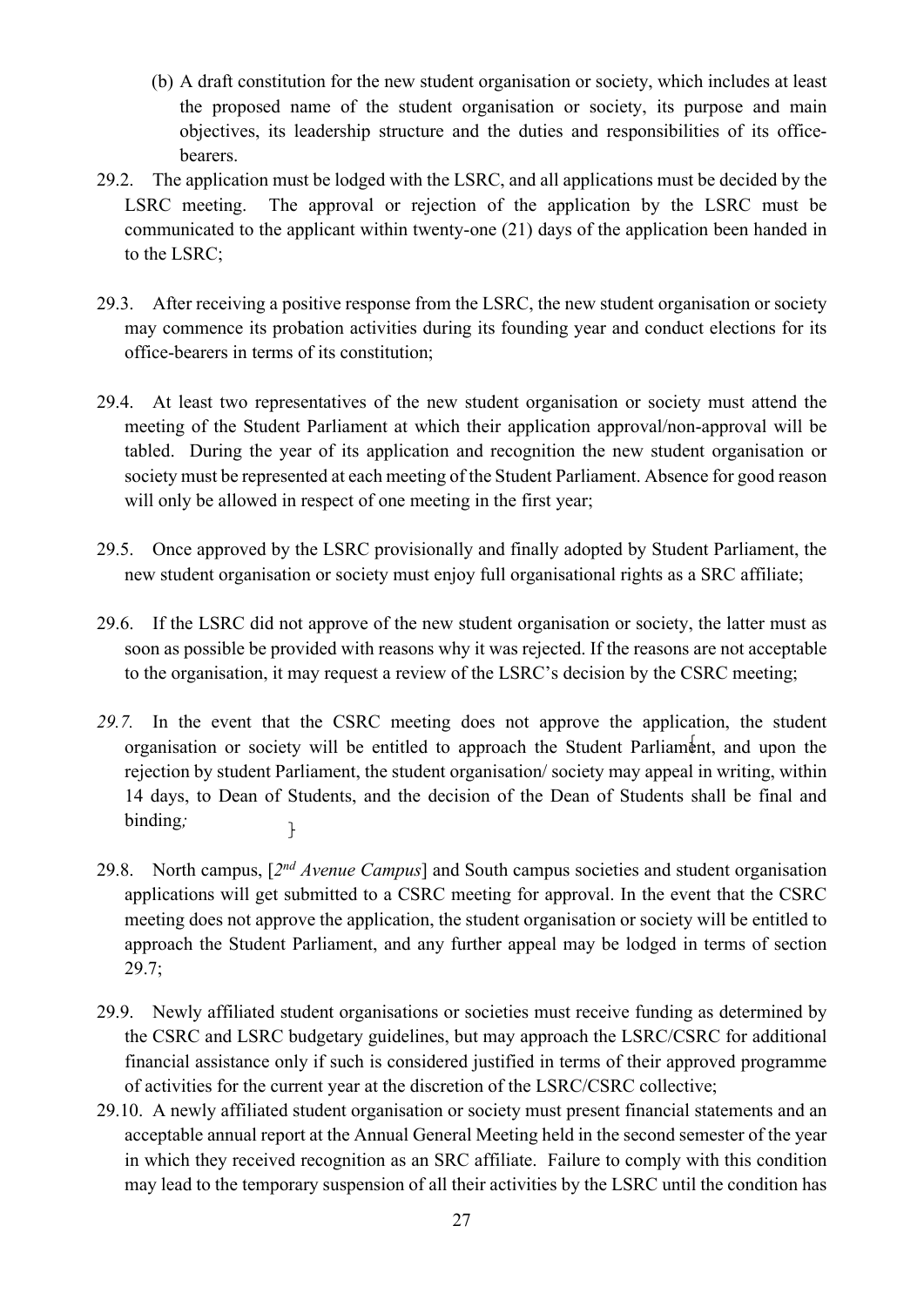- (b) A draft constitution for the new student organisation or society, which includes at least the proposed name of the student organisation or society, its purpose and main objectives, its leadership structure and the duties and responsibilities of its officebearers.
- 29.2. The application must be lodged with the LSRC, and all applications must be decided by the LSRC meeting. The approval or rejection of the application by the LSRC must be communicated to the applicant within twenty-one (21) days of the application been handed in to the LSRC;
- 29.3. After receiving a positive response from the LSRC, the new student organisation or society may commence its probation activities during its founding year and conduct elections for its office-bearers in terms of its constitution;
- 29.4. At least two representatives of the new student organisation or society must attend the meeting of the Student Parliament at which their application approval/non-approval will be tabled. During the year of its application and recognition the new student organisation or society must be represented at each meeting of the Student Parliament. Absence for good reason will only be allowed in respect of one meeting in the first year;
- 29.5. Once approved by the LSRC provisionally and finally adopted by Student Parliament, the new student organisation or society must enjoy full organisational rights as a SRC affiliate;
- 29.6. If the LSRC did not approve of the new student organisation or society, the latter must as soon as possible be provided with reasons why it was rejected. If the reasons are not acceptable to the organisation, it may request a review of the LSRC's decision by the CSRC meeting;
- *29.7.* In the event that the CSRC meeting does not approve the application, the student organisation or society will be entitled to approach the Student Parliament, and upon the rejection by student Parliament, the student organisation/ society may appeal in writing, within 14 days, to Dean of Students, and the decision of the Dean of Students shall be final and binding*;*  $\mathbf{r}$
- 29.8. North campus, [*2nd Avenue Campus*] and South campus societies and student organisation applications will get submitted to a CSRC meeting for approval. In the event that the CSRC meeting does not approve the application, the student organisation or society will be entitled to approach the Student Parliament, and any further appeal may be lodged in terms of section 29.7;
- 29.9. Newly affiliated student organisations or societies must receive funding as determined by the CSRC and LSRC budgetary guidelines, but may approach the LSRC/CSRC for additional financial assistance only if such is considered justified in terms of their approved programme of activities for the current year at the discretion of the LSRC/CSRC collective;
- 29.10. A newly affiliated student organisation or society must present financial statements and an acceptable annual report at the Annual General Meeting held in the second semester of the year in which they received recognition as an SRC affiliate. Failure to comply with this condition may lead to the temporary suspension of all their activities by the LSRC until the condition has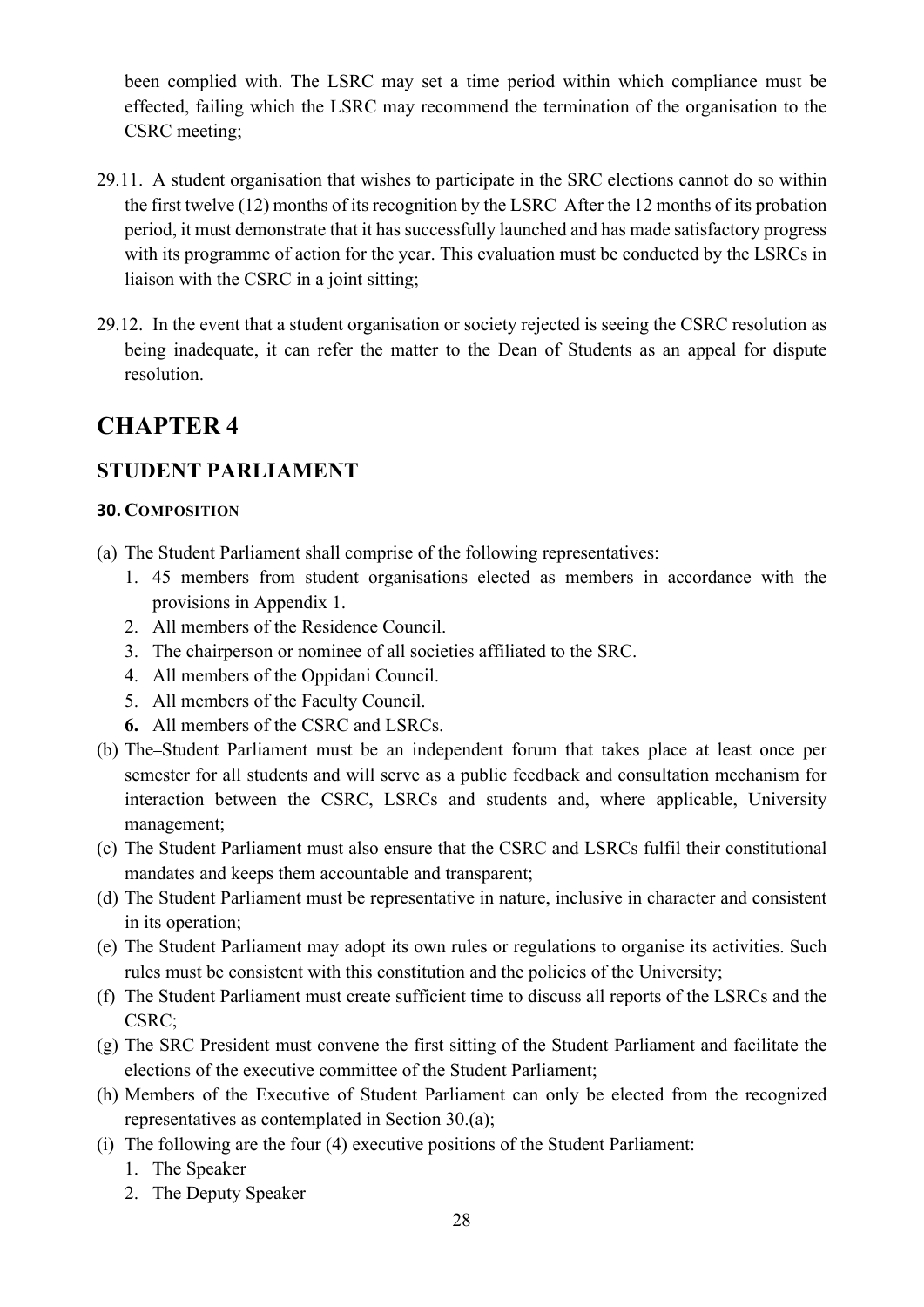been complied with. The LSRC may set a time period within which compliance must be effected, failing which the LSRC may recommend the termination of the organisation to the CSRC meeting;

- 29.11. A student organisation that wishes to participate in the SRC elections cannot do so within the first twelve (12) months of its recognition by the LSRC After the 12 months of its probation period, it must demonstrate that it has successfully launched and has made satisfactory progress with its programme of action for the year. This evaluation must be conducted by the LSRCs in liaison with the CSRC in a joint sitting;
- 29.12. In the event that a student organisation or society rejected is seeing the CSRC resolution as being inadequate, it can refer the matter to the Dean of Students as an appeal for dispute resolution.

# <span id="page-28-0"></span>**CHAPTER 4**

## <span id="page-28-1"></span>**STUDENT PARLIAMENT**

## <span id="page-28-2"></span>**30. COMPOSITION**

- (a) The Student Parliament shall comprise of the following representatives:
	- 1. 45 members from student organisations elected as members in accordance with the provisions in Appendix 1.
	- 2. All members of the Residence Council.
	- 3. The chairperson or nominee of all societies affiliated to the SRC.
	- 4. All members of the Oppidani Council.
	- 5. All members of the Faculty Council.
	- **6.** All members of the CSRC and LSRCs.
- (b) The Student Parliament must be an independent forum that takes place at least once per semester for all students and will serve as a public feedback and consultation mechanism for interaction between the CSRC, LSRCs and students and, where applicable, University management;
- (c) The Student Parliament must also ensure that the CSRC and LSRCs fulfil their constitutional mandates and keeps them accountable and transparent;
- (d) The Student Parliament must be representative in nature, inclusive in character and consistent in its operation;
- (e) The Student Parliament may adopt its own rules or regulations to organise its activities. Such rules must be consistent with this constitution and the policies of the University;
- (f) The Student Parliament must create sufficient time to discuss all reports of the LSRCs and the CSRC;
- (g) The SRC President must convene the first sitting of the Student Parliament and facilitate the elections of the executive committee of the Student Parliament;
- (h) Members of the Executive of Student Parliament can only be elected from the recognized representatives as contemplated in Section 30.(a);
- (i) The following are the four (4) executive positions of the Student Parliament:
	- 1. The Speaker
	- 2. The Deputy Speaker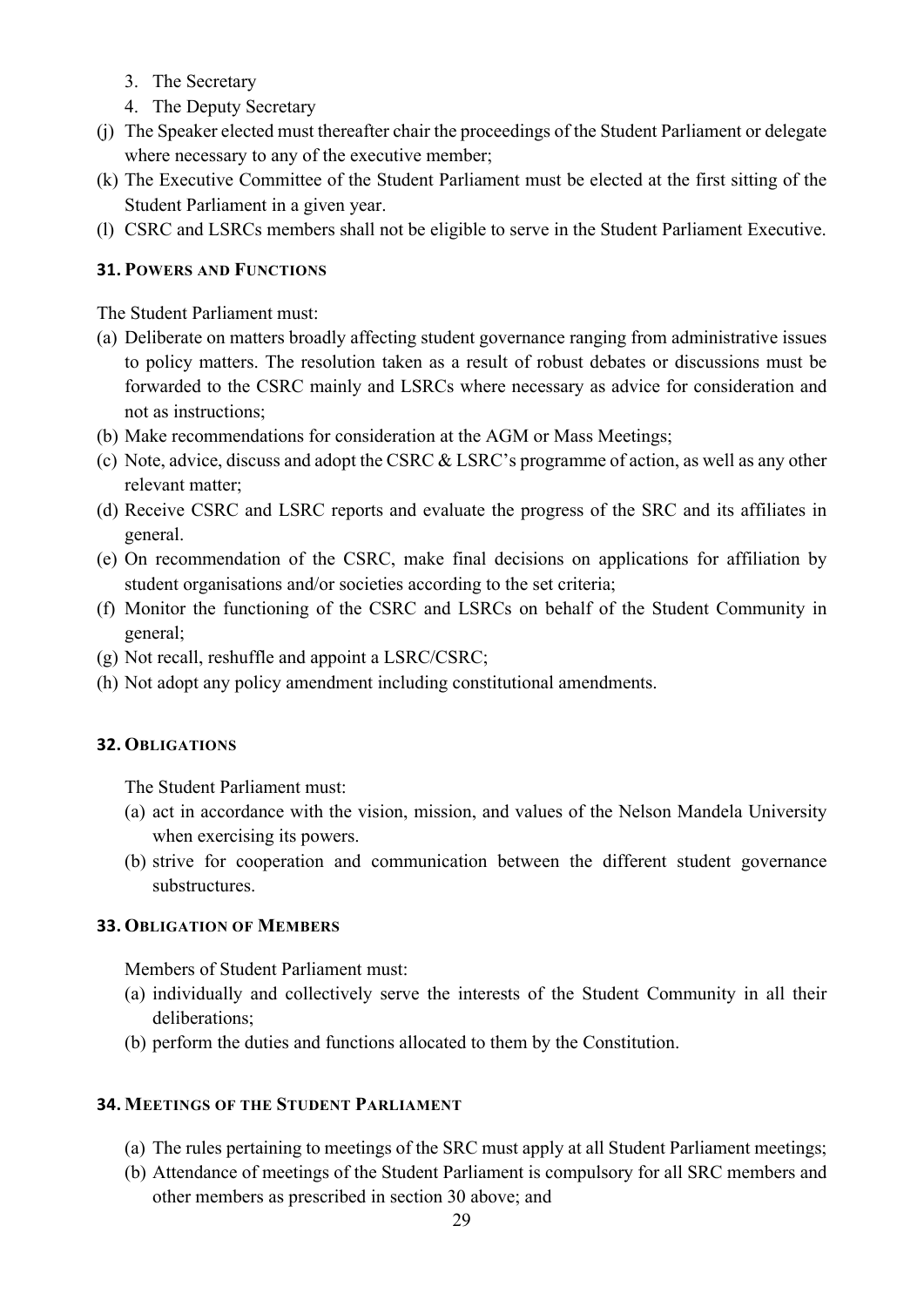- 3. The Secretary
- 4. The Deputy Secretary
- (j) The Speaker elected must thereafter chair the proceedings of the Student Parliament or delegate where necessary to any of the executive member;
- (k) The Executive Committee of the Student Parliament must be elected at the first sitting of the Student Parliament in a given year.
- (l) CSRC and LSRCs members shall not be eligible to serve in the Student Parliament Executive.

## <span id="page-29-0"></span>**31. POWERS AND FUNCTIONS**

The Student Parliament must:

- (a) Deliberate on matters broadly affecting student governance ranging from administrative issues to policy matters. The resolution taken as a result of robust debates or discussions must be forwarded to the CSRC mainly and LSRCs where necessary as advice for consideration and not as instructions;
- (b) Make recommendations for consideration at the AGM or Mass Meetings;
- (c) Note, advice, discuss and adopt the CSRC & LSRC's programme of action, as well as any other relevant matter;
- (d) Receive CSRC and LSRC reports and evaluate the progress of the SRC and its affiliates in general.
- (e) On recommendation of the CSRC, make final decisions on applications for affiliation by student organisations and/or societies according to the set criteria;
- (f) Monitor the functioning of the CSRC and LSRCs on behalf of the Student Community in general;
- (g) Not recall, reshuffle and appoint a LSRC/CSRC;
- (h) Not adopt any policy amendment including constitutional amendments.

#### <span id="page-29-1"></span>**32. OBLIGATIONS**

The Student Parliament must:

- (a) act in accordance with the vision, mission, and values of the Nelson Mandela University when exercising its powers.
- (b) strive for cooperation and communication between the different student governance substructures.

## <span id="page-29-2"></span>**33. OBLIGATION OF MEMBERS**

Members of Student Parliament must:

- (a) individually and collectively serve the interests of the Student Community in all their deliberations;
- (b) perform the duties and functions allocated to them by the Constitution.

#### <span id="page-29-3"></span>**34. MEETINGS OF THE STUDENT PARLIAMENT**

- (a) The rules pertaining to meetings of the SRC must apply at all Student Parliament meetings;
- (b) Attendance of meetings of the Student Parliament is compulsory for all SRC members and other members as prescribed in section 30 above; and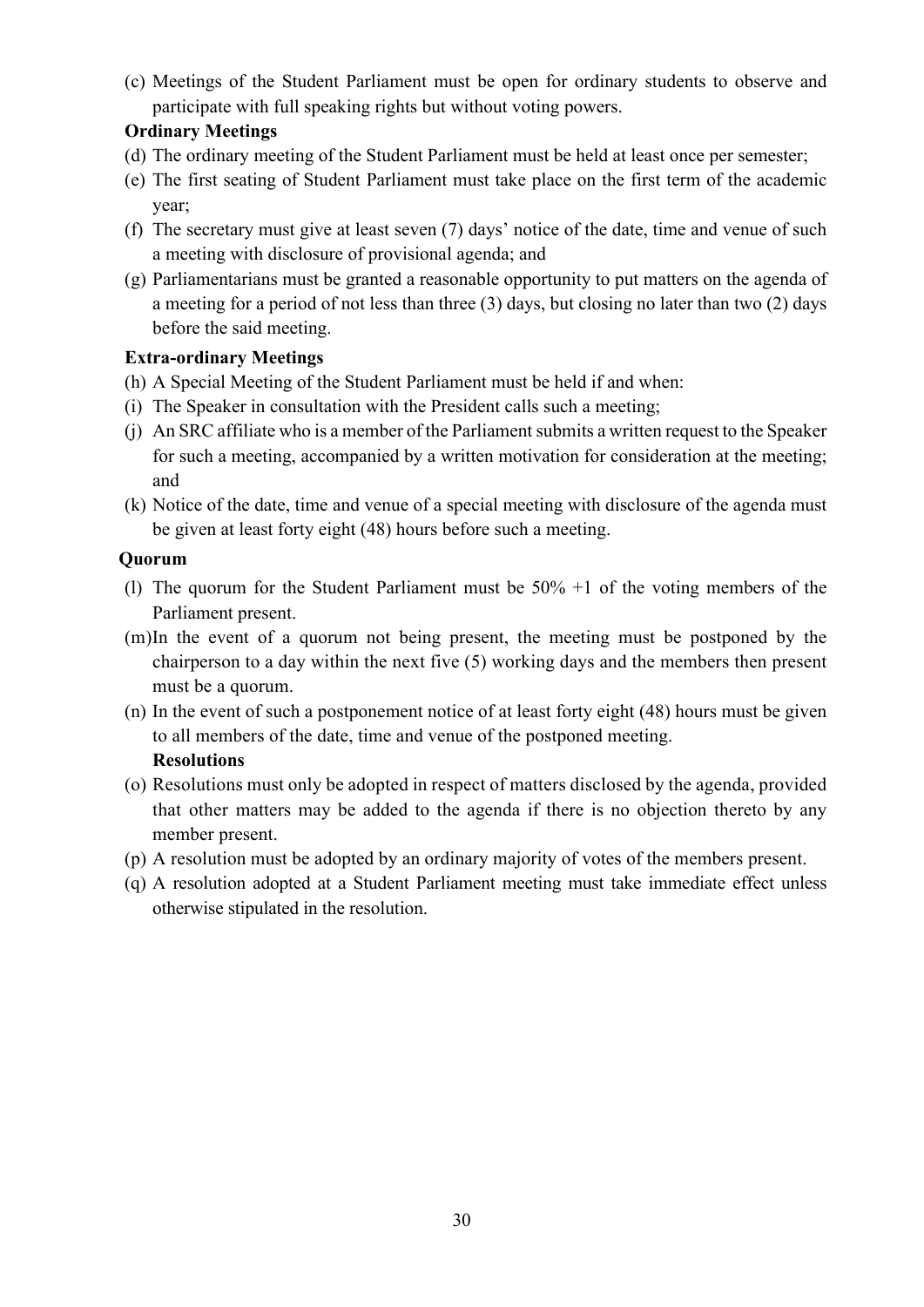(c) Meetings of the Student Parliament must be open for ordinary students to observe and participate with full speaking rights but without voting powers.

## **Ordinary Meetings**

- (d) The ordinary meeting of the Student Parliament must be held at least once per semester;
- (e) The first seating of Student Parliament must take place on the first term of the academic year;
- (f) The secretary must give at least seven (7) days' notice of the date, time and venue of such a meeting with disclosure of provisional agenda; and
- (g) Parliamentarians must be granted a reasonable opportunity to put matters on the agenda of a meeting for a period of not less than three (3) days, but closing no later than two (2) days before the said meeting.

## **Extra-ordinary Meetings**

- (h) A Special Meeting of the Student Parliament must be held if and when:
- (i) The Speaker in consultation with the President calls such a meeting;
- (j) An SRC affiliate who is a member of the Parliament submits a written request to the Speaker for such a meeting, accompanied by a written motivation for consideration at the meeting; and
- (k) Notice of the date, time and venue of a special meeting with disclosure of the agenda must be given at least forty eight (48) hours before such a meeting.

#### **Quorum**

- (l) The quorum for the Student Parliament must be 50% +1 of the voting members of the Parliament present.
- (m)In the event of a quorum not being present, the meeting must be postponed by the chairperson to a day within the next five (5) working days and the members then present must be a quorum.
- (n) In the event of such a postponement notice of at least forty eight (48) hours must be given to all members of the date, time and venue of the postponed meeting.

## **Resolutions**

- (o) Resolutions must only be adopted in respect of matters disclosed by the agenda, provided that other matters may be added to the agenda if there is no objection thereto by any member present.
- (p) A resolution must be adopted by an ordinary majority of votes of the members present.
- (q) A resolution adopted at a Student Parliament meeting must take immediate effect unless otherwise stipulated in the resolution.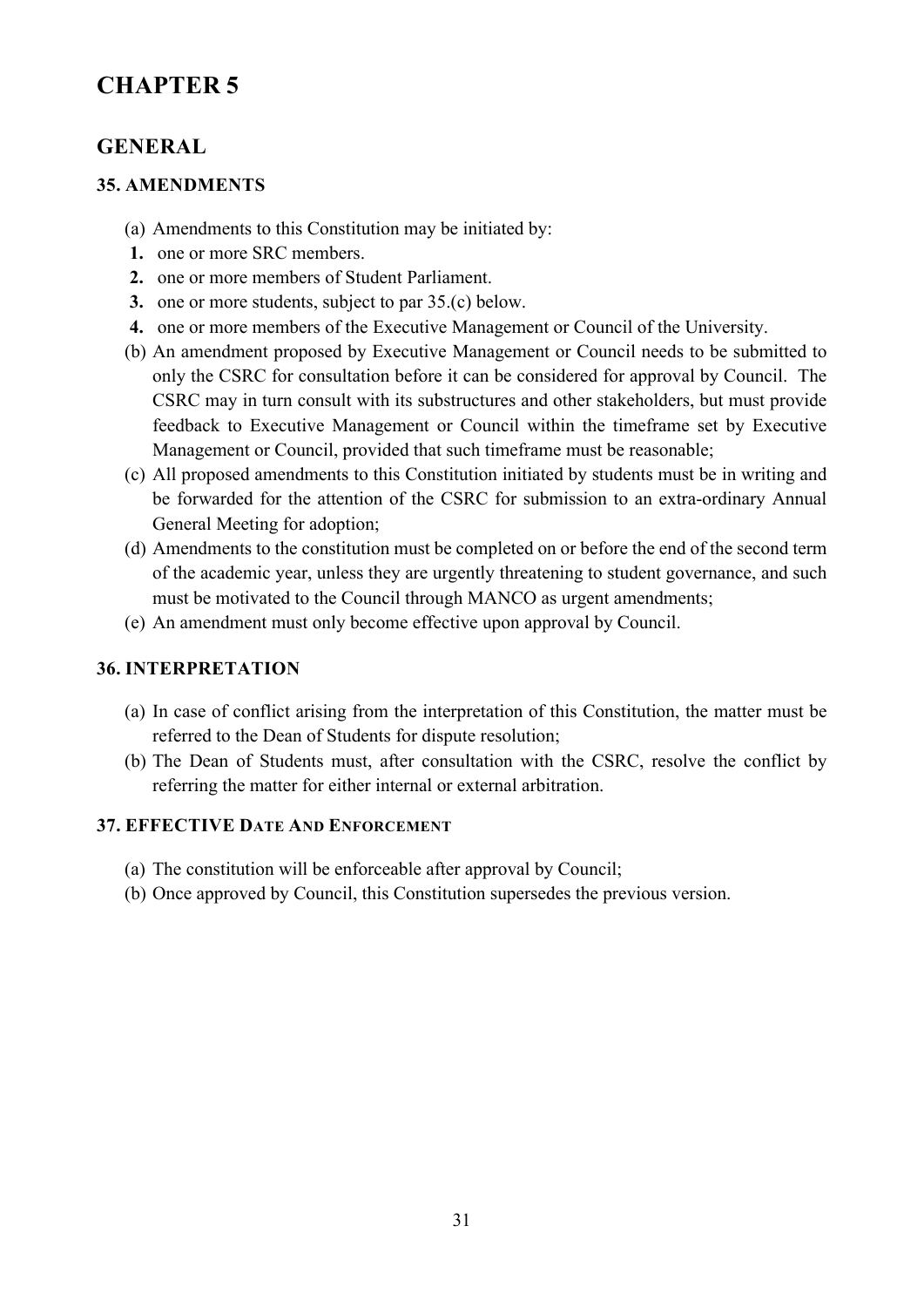# <span id="page-31-0"></span>**CHAPTER 5**

## <span id="page-31-1"></span>**GENERAL**

#### <span id="page-31-2"></span>**35. AMENDMENTS**

- (a) Amendments to this Constitution may be initiated by:
- **1.** one or more SRC members.
- **2.** one or more members of Student Parliament.
- **3.** one or more students, subject to par 35.(c) below.
- **4.** one or more members of the Executive Management or Council of the University.
- (b) An amendment proposed by Executive Management or Council needs to be submitted to only the CSRC for consultation before it can be considered for approval by Council. The CSRC may in turn consult with its substructures and other stakeholders, but must provide feedback to Executive Management or Council within the timeframe set by Executive Management or Council, provided that such timeframe must be reasonable;
- (c) All proposed amendments to this Constitution initiated by students must be in writing and be forwarded for the attention of the CSRC for submission to an extra-ordinary Annual General Meeting for adoption;
- (d) Amendments to the constitution must be completed on or before the end of the second term of the academic year, unless they are urgently threatening to student governance, and such must be motivated to the Council through MANCO as urgent amendments;
- (e) An amendment must only become effective upon approval by Council.

#### <span id="page-31-3"></span>**36. INTERPRETATION**

- (a) In case of conflict arising from the interpretation of this Constitution, the matter must be referred to the Dean of Students for dispute resolution;
- (b) The Dean of Students must, after consultation with the CSRC, resolve the conflict by referring the matter for either internal or external arbitration.

### <span id="page-31-4"></span>**37. EFFECTIVE DATE AND ENFORCEMENT**

- (a) The constitution will be enforceable after approval by Council;
- (b) Once approved by Council, this Constitution supersedes the previous version.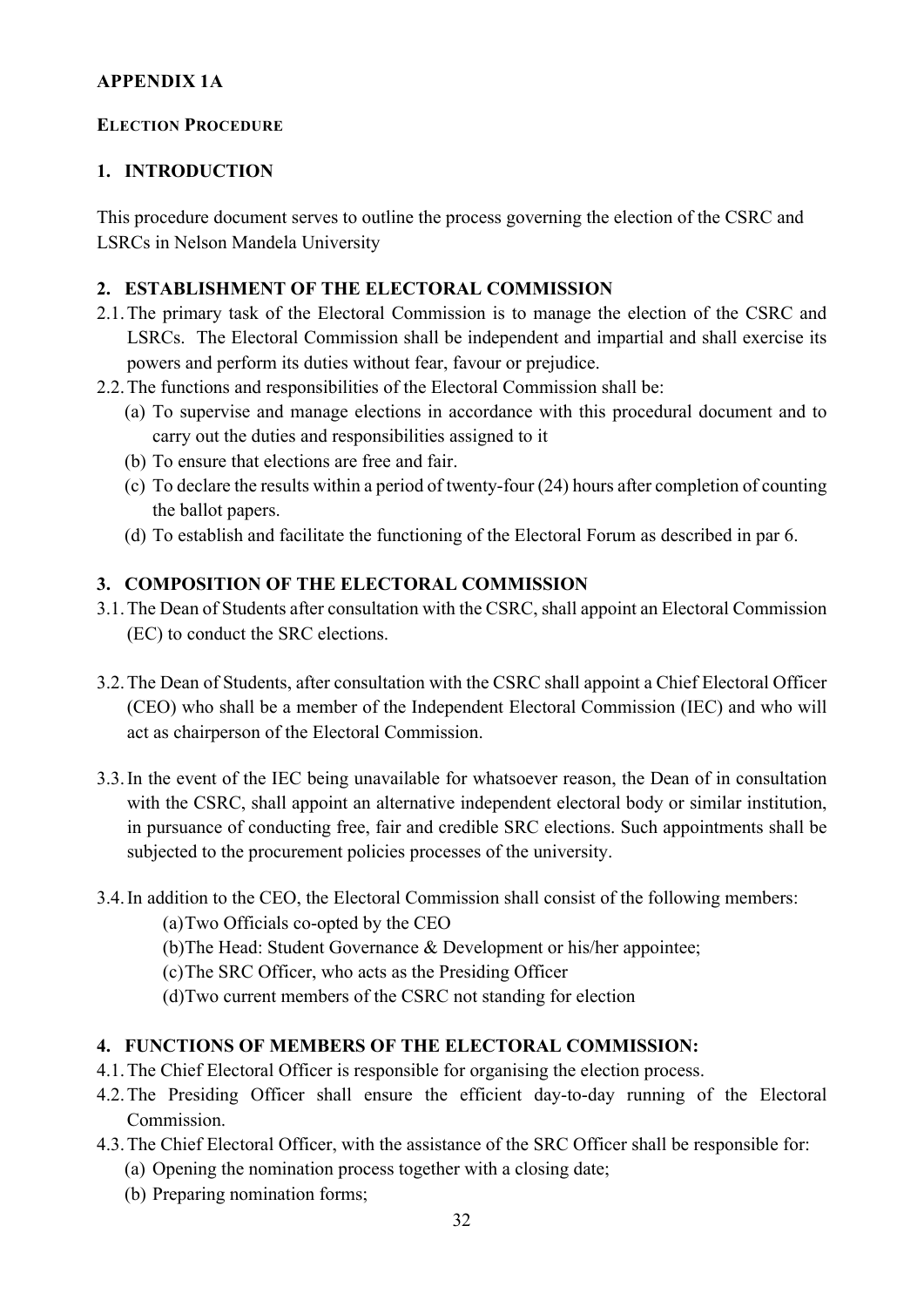#### <span id="page-32-0"></span>**APPENDIX 1A**

#### <span id="page-32-1"></span>**ELECTION PROCEDURE**

## **1. INTRODUCTION**

This procedure document serves to outline the process governing the election of the CSRC and LSRCs in Nelson Mandela University

## **2. ESTABLISHMENT OF THE ELECTORAL COMMISSION**

- 2.1.The primary task of the Electoral Commission is to manage the election of the CSRC and LSRCs. The Electoral Commission shall be independent and impartial and shall exercise its powers and perform its duties without fear, favour or prejudice.
- 2.2.The functions and responsibilities of the Electoral Commission shall be:
	- (a) To supervise and manage elections in accordance with this procedural document and to carry out the duties and responsibilities assigned to it
	- (b) To ensure that elections are free and fair.
	- (c) To declare the results within a period of twenty-four (24) hours after completion of counting the ballot papers.
	- (d) To establish and facilitate the functioning of the Electoral Forum as described in par 6.

## **3. COMPOSITION OF THE ELECTORAL COMMISSION**

- 3.1.The Dean of Students after consultation with the CSRC, shall appoint an Electoral Commission (EC) to conduct the SRC elections.
- 3.2.The Dean of Students, after consultation with the CSRC shall appoint a Chief Electoral Officer (CEO) who shall be a member of the Independent Electoral Commission (IEC) and who will act as chairperson of the Electoral Commission.
- 3.3.In the event of the IEC being unavailable for whatsoever reason, the Dean of in consultation with the CSRC, shall appoint an alternative independent electoral body or similar institution, in pursuance of conducting free, fair and credible SRC elections. Such appointments shall be subjected to the procurement policies processes of the university.
- 3.4.In addition to the CEO, the Electoral Commission shall consist of the following members:

(a)Two Officials co-opted by the CEO

- (b)The Head: Student Governance & Development or his/her appointee;
- (c)The SRC Officer, who acts as the Presiding Officer
- (d)Two current members of the CSRC not standing for election

## **4. FUNCTIONS OF MEMBERS OF THE ELECTORAL COMMISSION:**

- 4.1.The Chief Electoral Officer is responsible for organising the election process.
- 4.2.The Presiding Officer shall ensure the efficient day-to-day running of the Electoral Commission.
- 4.3.The Chief Electoral Officer, with the assistance of the SRC Officer shall be responsible for:
	- (a) Opening the nomination process together with a closing date;
	- (b) Preparing nomination forms;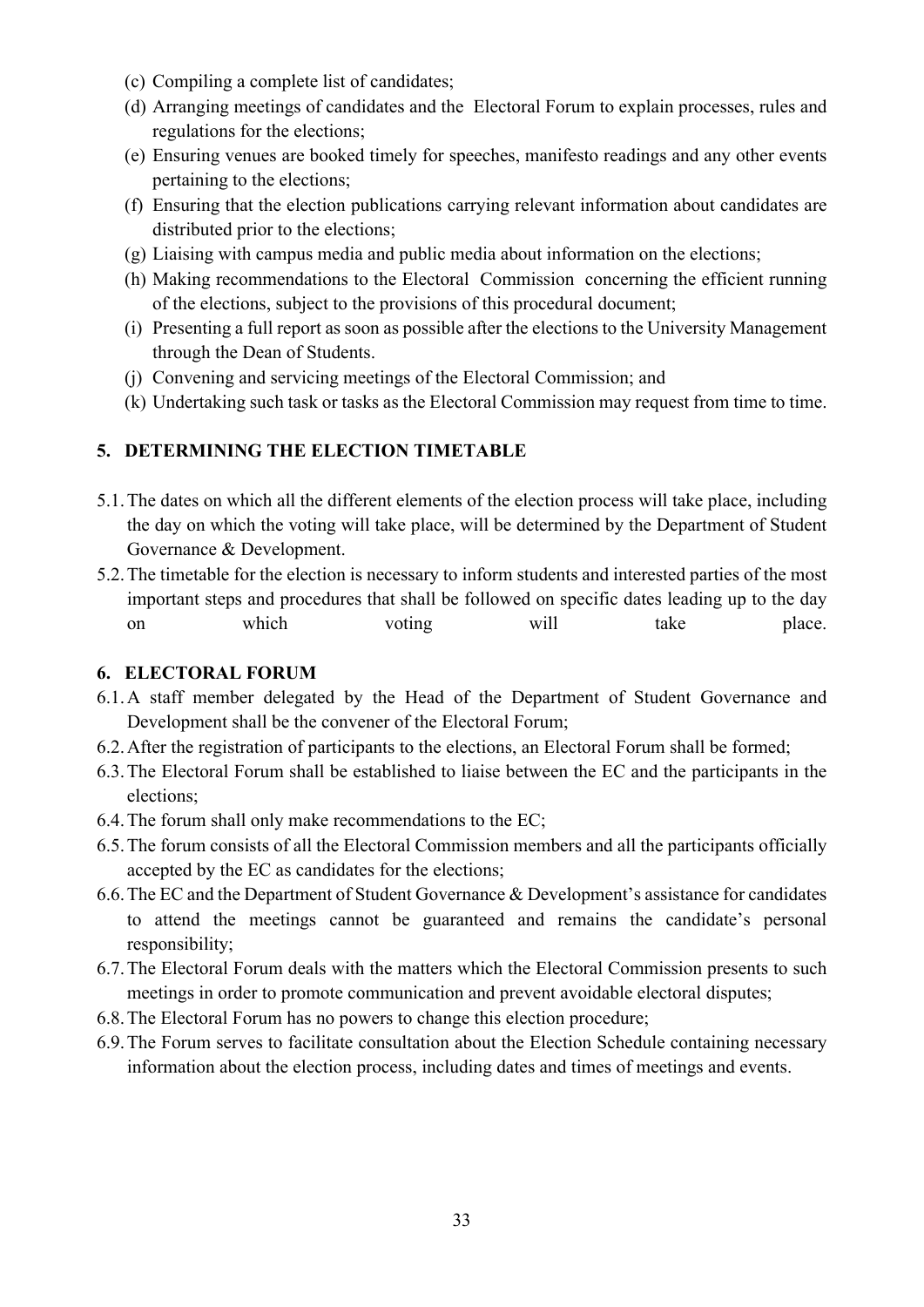- (c) Compiling a complete list of candidates;
- (d) Arranging meetings of candidates and the Electoral Forum to explain processes, rules and regulations for the elections;
- (e) Ensuring venues are booked timely for speeches, manifesto readings and any other events pertaining to the elections;
- (f) Ensuring that the election publications carrying relevant information about candidates are distributed prior to the elections;
- (g) Liaising with campus media and public media about information on the elections;
- (h) Making recommendations to the Electoral Commission concerning the efficient running of the elections, subject to the provisions of this procedural document;
- (i) Presenting a full report as soon as possible after the elections to the University Management through the Dean of Students.
- (j) Convening and servicing meetings of the Electoral Commission; and
- (k) Undertaking such task or tasks as the Electoral Commission may request from time to time.

## **5. DETERMINING THE ELECTION TIMETABLE**

- 5.1.The dates on which all the different elements of the election process will take place, including the day on which the voting will take place, will be determined by the Department of Student Governance & Development.
- 5.2.The timetable for the election is necessary to inform students and interested parties of the most important steps and procedures that shall be followed on specific dates leading up to the day on which voting will take place.

## **6. ELECTORAL FORUM**

- 6.1.A staff member delegated by the Head of the Department of Student Governance and Development shall be the convener of the Electoral Forum;
- 6.2.After the registration of participants to the elections, an Electoral Forum shall be formed;
- 6.3.The Electoral Forum shall be established to liaise between the EC and the participants in the elections;
- 6.4.The forum shall only make recommendations to the EC;
- 6.5.The forum consists of all the Electoral Commission members and all the participants officially accepted by the EC as candidates for the elections;
- 6.6.The EC and the Department of Student Governance & Development's assistance for candidates to attend the meetings cannot be guaranteed and remains the candidate's personal responsibility;
- 6.7.The Electoral Forum deals with the matters which the Electoral Commission presents to such meetings in order to promote communication and prevent avoidable electoral disputes;
- 6.8.The Electoral Forum has no powers to change this election procedure;
- 6.9.The Forum serves to facilitate consultation about the Election Schedule containing necessary information about the election process, including dates and times of meetings and events.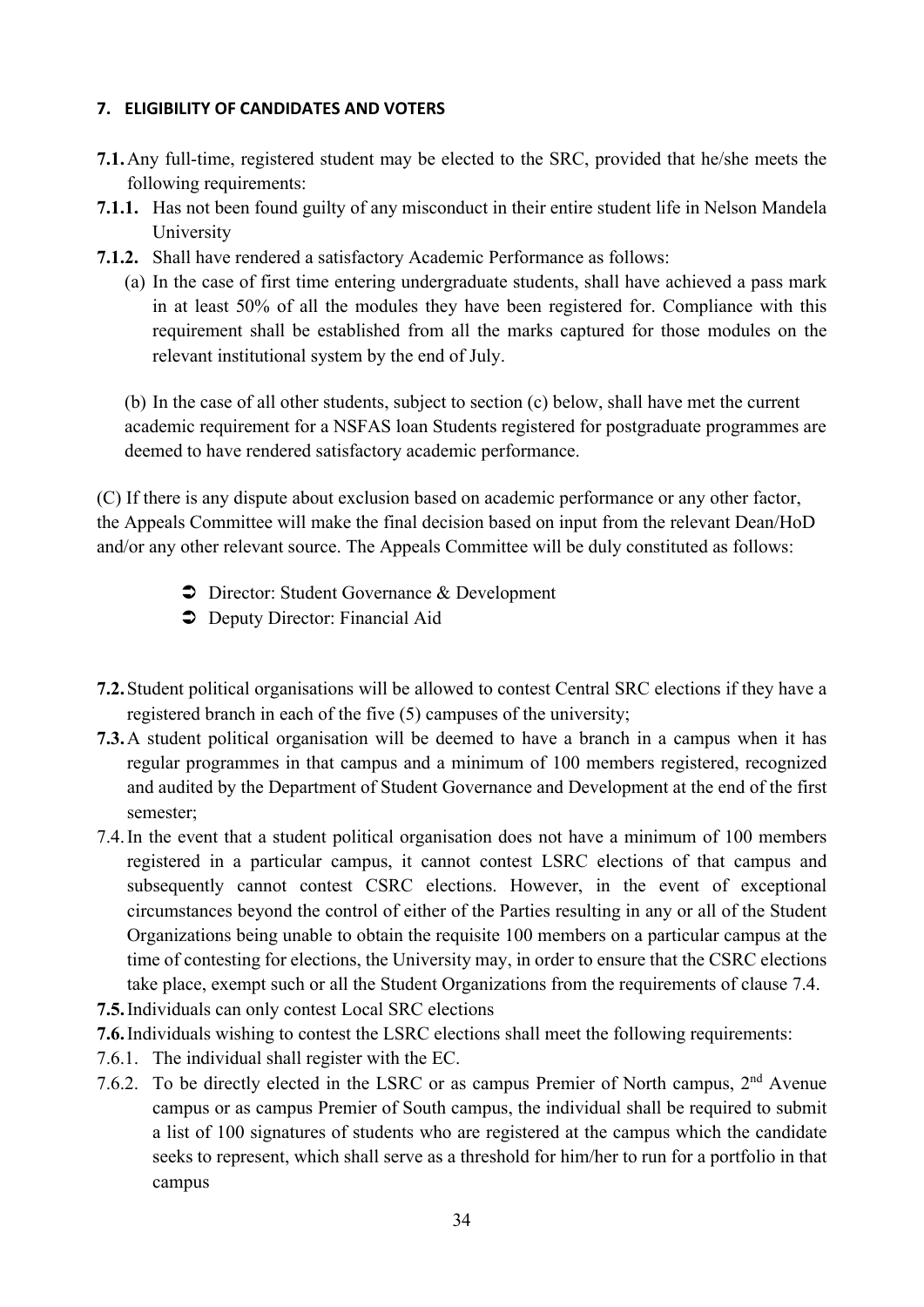#### **7. ELIGIBILITY OF CANDIDATES AND VOTERS**

- **7.1.**Any full-time, registered student may be elected to the SRC, provided that he/she meets the following requirements:
- **7.1.1.** Has not been found guilty of any misconduct in their entire student life in Nelson Mandela University
- **7.1.2.** Shall have rendered a satisfactory Academic Performance as follows:
	- (a) In the case of first time entering undergraduate students, shall have achieved a pass mark in at least 50% of all the modules they have been registered for. Compliance with this requirement shall be established from all the marks captured for those modules on the relevant institutional system by the end of July.

(b) In the case of all other students, subject to section (c) below, shall have met the current academic requirement for a NSFAS loan Students registered for postgraduate programmes are deemed to have rendered satisfactory academic performance.

(C) If there is any dispute about exclusion based on academic performance or any other factor, the Appeals Committee will make the final decision based on input from the relevant Dean/HoD and/or any other relevant source. The Appeals Committee will be duly constituted as follows:

- $\supset$  Director: Student Governance & Development
- $\supset$  Deputy Director: Financial Aid
- **7.2.**Student political organisations will be allowed to contest Central SRC elections if they have a registered branch in each of the five (5) campuses of the university;
- **7.3.**A student political organisation will be deemed to have a branch in a campus when it has regular programmes in that campus and a minimum of 100 members registered, recognized and audited by the Department of Student Governance and Development at the end of the first semester;
- 7.4.In the event that a student political organisation does not have a minimum of 100 members registered in a particular campus, it cannot contest LSRC elections of that campus and subsequently cannot contest CSRC elections. However, in the event of exceptional circumstances beyond the control of either of the Parties resulting in any or all of the Student Organizations being unable to obtain the requisite 100 members on a particular campus at the time of contesting for elections, the University may, in order to ensure that the CSRC elections take place, exempt such or all the Student Organizations from the requirements of clause 7.4.
- **7.5.**Individuals can only contest Local SRC elections
- **7.6.**Individuals wishing to contest the LSRC elections shall meet the following requirements:
- 7.6.1. The individual shall register with the EC.
- 7.6.2. To be directly elected in the LSRC or as campus Premier of North campus, 2<sup>nd</sup> Avenue campus or as campus Premier of South campus, the individual shall be required to submit a list of 100 signatures of students who are registered at the campus which the candidate seeks to represent, which shall serve as a threshold for him/her to run for a portfolio in that campus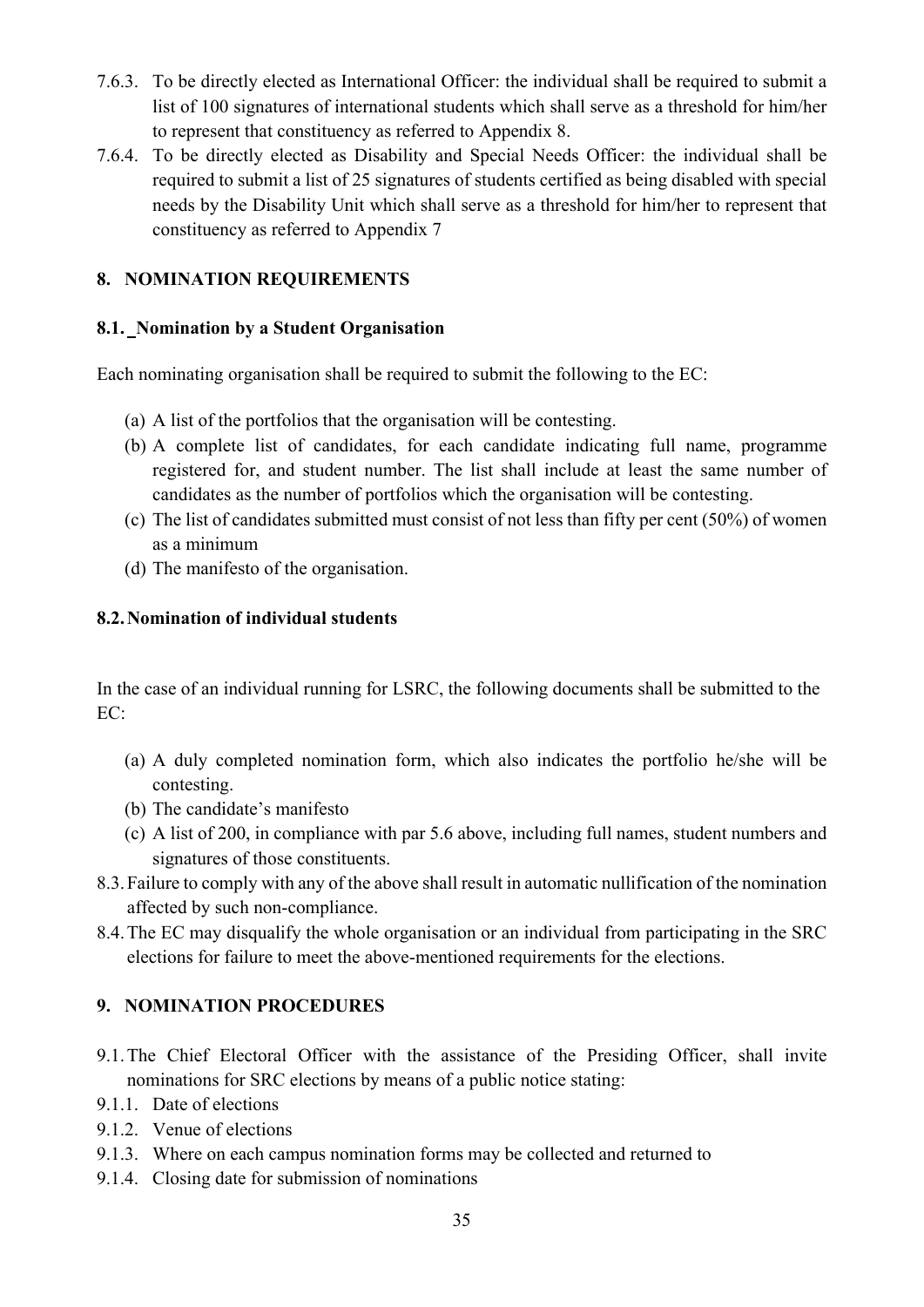- 7.6.3. To be directly elected as International Officer: the individual shall be required to submit a list of 100 signatures of international students which shall serve as a threshold for him/her to represent that constituency as referred to Appendix 8.
- 7.6.4. To be directly elected as Disability and Special Needs Officer: the individual shall be required to submit a list of 25 signatures of students certified as being disabled with special needs by the Disability Unit which shall serve as a threshold for him/her to represent that constituency as referred to Appendix 7

## **8. NOMINATION REQUIREMENTS**

## **8.1. Nomination by a Student Organisation**

Each nominating organisation shall be required to submit the following to the EC:

- (a) A list of the portfolios that the organisation will be contesting.
- (b) A complete list of candidates, for each candidate indicating full name, programme registered for, and student number. The list shall include at least the same number of candidates as the number of portfolios which the organisation will be contesting.
- (c) The list of candidates submitted must consist of not less than fifty per cent (50%) of women as a minimum
- (d) The manifesto of the organisation.

## **8.2.Nomination of individual students**

In the case of an individual running for LSRC, the following documents shall be submitted to the  $EC<sup>2</sup>$ 

- (a) A duly completed nomination form, which also indicates the portfolio he/she will be contesting.
- (b) The candidate's manifesto
- (c) A list of 200, in compliance with par 5.6 above, including full names, student numbers and signatures of those constituents.
- 8.3.Failure to comply with any of the above shall result in automatic nullification of the nomination affected by such non-compliance.
- 8.4.The EC may disqualify the whole organisation or an individual from participating in the SRC elections for failure to meet the above-mentioned requirements for the elections.

## **9. NOMINATION PROCEDURES**

- 9.1.The Chief Electoral Officer with the assistance of the Presiding Officer, shall invite nominations for SRC elections by means of a public notice stating:
- 9.1.1. Date of elections
- 9.1.2. Venue of elections
- 9.1.3. Where on each campus nomination forms may be collected and returned to
- 9.1.4. Closing date for submission of nominations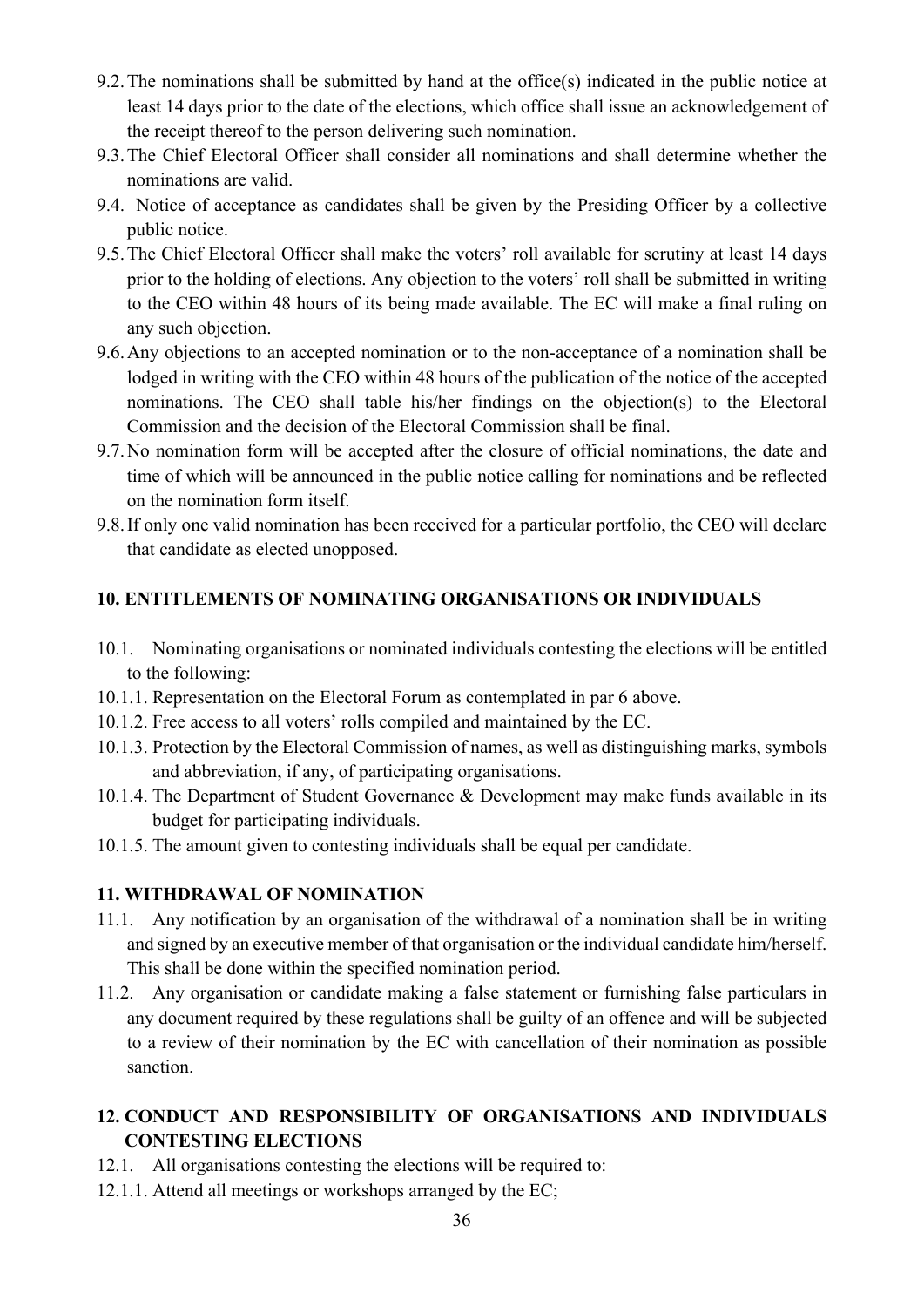- 9.2.The nominations shall be submitted by hand at the office(s) indicated in the public notice at least 14 days prior to the date of the elections, which office shall issue an acknowledgement of the receipt thereof to the person delivering such nomination.
- 9.3.The Chief Electoral Officer shall consider all nominations and shall determine whether the nominations are valid.
- 9.4. Notice of acceptance as candidates shall be given by the Presiding Officer by a collective public notice.
- 9.5.The Chief Electoral Officer shall make the voters' roll available for scrutiny at least 14 days prior to the holding of elections. Any objection to the voters' roll shall be submitted in writing to the CEO within 48 hours of its being made available. The EC will make a final ruling on any such objection.
- 9.6.Any objections to an accepted nomination or to the non-acceptance of a nomination shall be lodged in writing with the CEO within 48 hours of the publication of the notice of the accepted nominations. The CEO shall table his/her findings on the objection(s) to the Electoral Commission and the decision of the Electoral Commission shall be final.
- 9.7.No nomination form will be accepted after the closure of official nominations, the date and time of which will be announced in the public notice calling for nominations and be reflected on the nomination form itself.
- 9.8.If only one valid nomination has been received for a particular portfolio, the CEO will declare that candidate as elected unopposed.

## **10. ENTITLEMENTS OF NOMINATING ORGANISATIONS OR INDIVIDUALS**

- 10.1. Nominating organisations or nominated individuals contesting the elections will be entitled to the following:
- 10.1.1. Representation on the Electoral Forum as contemplated in par 6 above.
- 10.1.2. Free access to all voters' rolls compiled and maintained by the EC.
- 10.1.3. Protection by the Electoral Commission of names, as well as distinguishing marks, symbols and abbreviation, if any, of participating organisations.
- 10.1.4. The Department of Student Governance & Development may make funds available in its budget for participating individuals.
- 10.1.5. The amount given to contesting individuals shall be equal per candidate.

## **11. WITHDRAWAL OF NOMINATION**

- 11.1. Any notification by an organisation of the withdrawal of a nomination shall be in writing and signed by an executive member of that organisation or the individual candidate him/herself. This shall be done within the specified nomination period.
- 11.2. Any organisation or candidate making a false statement or furnishing false particulars in any document required by these regulations shall be guilty of an offence and will be subjected to a review of their nomination by the EC with cancellation of their nomination as possible sanction.

## **12. CONDUCT AND RESPONSIBILITY OF ORGANISATIONS AND INDIVIDUALS CONTESTING ELECTIONS**

- 12.1. All organisations contesting the elections will be required to:
- 12.1.1. Attend all meetings or workshops arranged by the EC;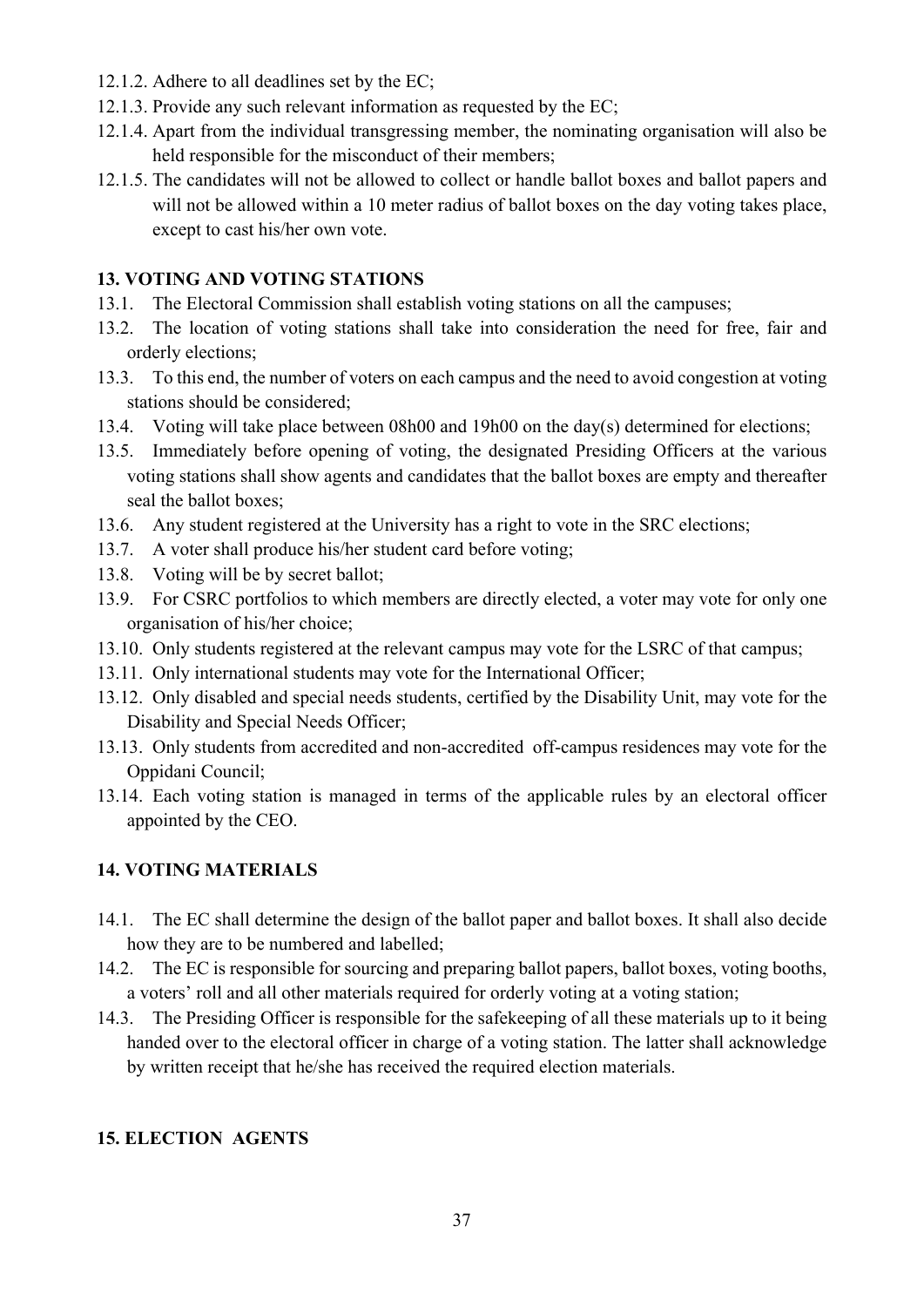- 12.1.2. Adhere to all deadlines set by the EC;
- 12.1.3. Provide any such relevant information as requested by the EC;
- 12.1.4. Apart from the individual transgressing member, the nominating organisation will also be held responsible for the misconduct of their members;
- 12.1.5. The candidates will not be allowed to collect or handle ballot boxes and ballot papers and will not be allowed within a 10 meter radius of ballot boxes on the day voting takes place, except to cast his/her own vote.

## **13. VOTING AND VOTING STATIONS**

- 13.1. The Electoral Commission shall establish voting stations on all the campuses;
- 13.2. The location of voting stations shall take into consideration the need for free, fair and orderly elections;
- 13.3. To this end, the number of voters on each campus and the need to avoid congestion at voting stations should be considered;
- 13.4. Voting will take place between 08h00 and 19h00 on the day(s) determined for elections;
- 13.5. Immediately before opening of voting, the designated Presiding Officers at the various voting stations shall show agents and candidates that the ballot boxes are empty and thereafter seal the ballot boxes;
- 13.6. Any student registered at the University has a right to vote in the SRC elections;
- 13.7. A voter shall produce his/her student card before voting;
- 13.8. Voting will be by secret ballot;
- 13.9. For CSRC portfolios to which members are directly elected, a voter may vote for only one organisation of his/her choice;
- 13.10. Only students registered at the relevant campus may vote for the LSRC of that campus;
- 13.11. Only international students may vote for the International Officer;
- 13.12. Only disabled and special needs students, certified by the Disability Unit, may vote for the Disability and Special Needs Officer;
- 13.13. Only students from accredited and non-accredited off-campus residences may vote for the Oppidani Council;
- 13.14. Each voting station is managed in terms of the applicable rules by an electoral officer appointed by the CEO.

## **14. VOTING MATERIALS**

- 14.1. The EC shall determine the design of the ballot paper and ballot boxes. It shall also decide how they are to be numbered and labelled;
- 14.2. The EC is responsible for sourcing and preparing ballot papers, ballot boxes, voting booths, a voters' roll and all other materials required for orderly voting at a voting station;
- 14.3. The Presiding Officer is responsible for the safekeeping of all these materials up to it being handed over to the electoral officer in charge of a voting station. The latter shall acknowledge by written receipt that he/she has received the required election materials.

## **15. ELECTION AGENTS**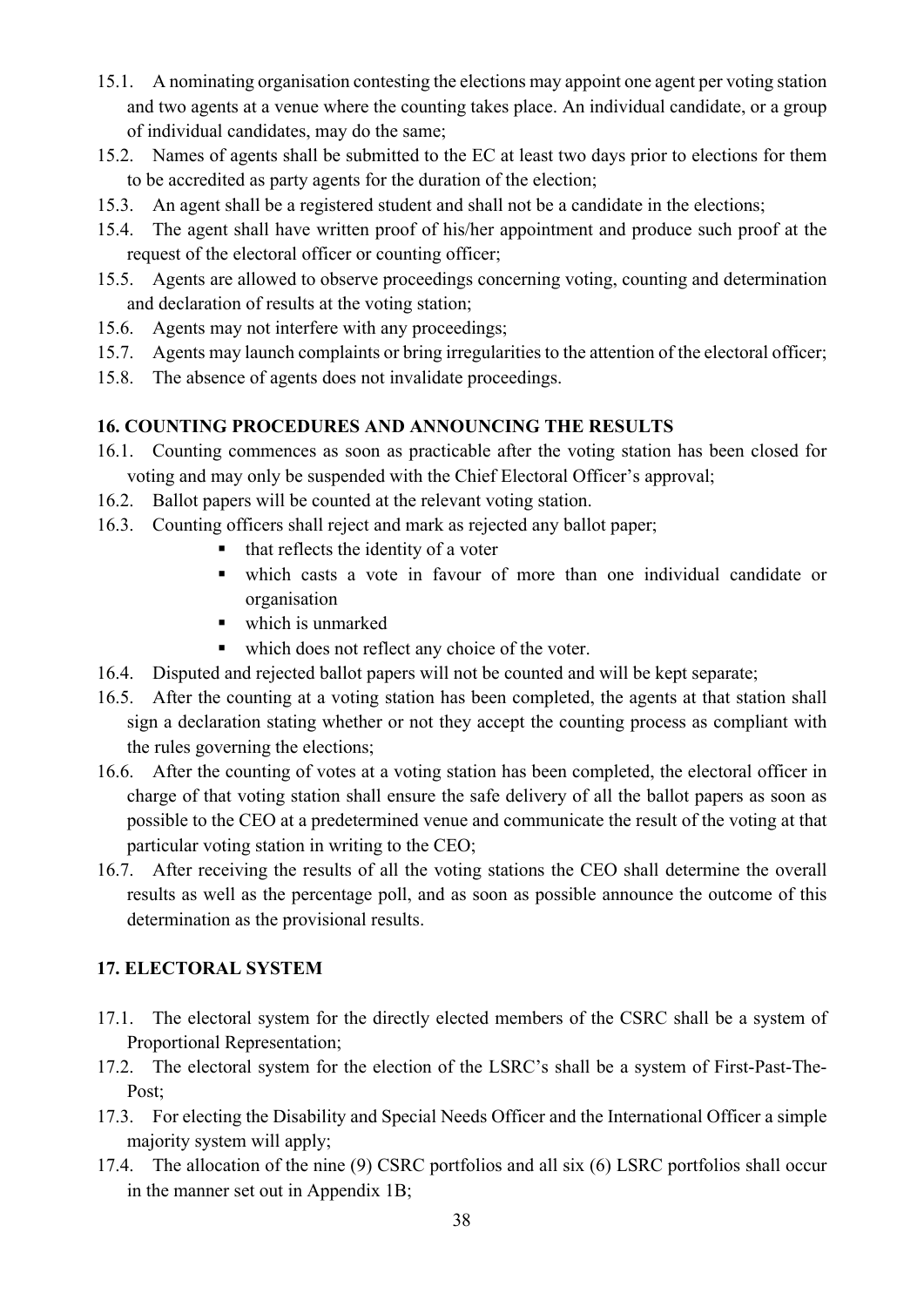- 15.1. A nominating organisation contesting the elections may appoint one agent per voting station and two agents at a venue where the counting takes place. An individual candidate, or a group of individual candidates, may do the same;
- 15.2. Names of agents shall be submitted to the EC at least two days prior to elections for them to be accredited as party agents for the duration of the election;
- 15.3. An agent shall be a registered student and shall not be a candidate in the elections;
- 15.4. The agent shall have written proof of his/her appointment and produce such proof at the request of the electoral officer or counting officer;
- 15.5. Agents are allowed to observe proceedings concerning voting, counting and determination and declaration of results at the voting station;
- 15.6. Agents may not interfere with any proceedings;
- 15.7. Agents may launch complaints or bring irregularities to the attention of the electoral officer;
- 15.8. The absence of agents does not invalidate proceedings.

## **16. COUNTING PROCEDURES AND ANNOUNCING THE RESULTS**

- 16.1. Counting commences as soon as practicable after the voting station has been closed for voting and may only be suspended with the Chief Electoral Officer's approval;
- 16.2. Ballot papers will be counted at the relevant voting station.
- 16.3. Counting officers shall reject and mark as rejected any ballot paper;
	- that reflects the identity of a voter
	- which casts a vote in favour of more than one individual candidate or organisation
	- which is unmarked
	- which does not reflect any choice of the voter.
- 16.4. Disputed and rejected ballot papers will not be counted and will be kept separate;
- 16.5. After the counting at a voting station has been completed, the agents at that station shall sign a declaration stating whether or not they accept the counting process as compliant with the rules governing the elections;
- 16.6. After the counting of votes at a voting station has been completed, the electoral officer in charge of that voting station shall ensure the safe delivery of all the ballot papers as soon as possible to the CEO at a predetermined venue and communicate the result of the voting at that particular voting station in writing to the CEO;
- 16.7. After receiving the results of all the voting stations the CEO shall determine the overall results as well as the percentage poll, and as soon as possible announce the outcome of this determination as the provisional results.

## **17. ELECTORAL SYSTEM**

- 17.1. The electoral system for the directly elected members of the CSRC shall be a system of Proportional Representation;
- 17.2. The electoral system for the election of the LSRC's shall be a system of First-Past-The-Post;
- 17.3. For electing the Disability and Special Needs Officer and the International Officer a simple majority system will apply;
- 17.4. The allocation of the nine (9) CSRC portfolios and all six (6) LSRC portfolios shall occur in the manner set out in Appendix 1B;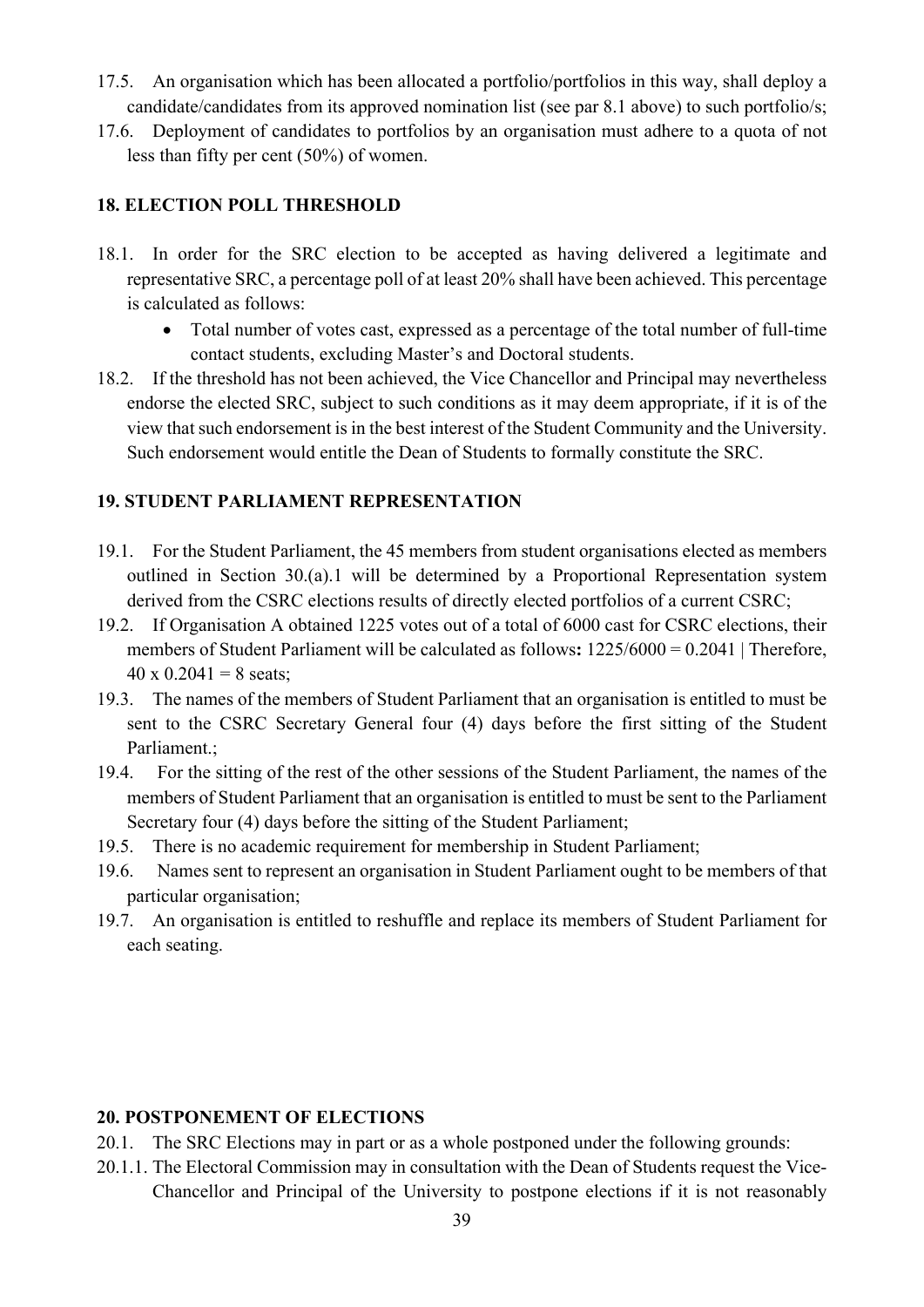- 17.5. An organisation which has been allocated a portfolio/portfolios in this way, shall deploy a candidate/candidates from its approved nomination list (see par 8.1 above) to such portfolio/s;
- 17.6. Deployment of candidates to portfolios by an organisation must adhere to a quota of not less than fifty per cent (50%) of women.

## **18. ELECTION POLL THRESHOLD**

- 18.1. In order for the SRC election to be accepted as having delivered a legitimate and representative SRC, a percentage poll of at least 20% shall have been achieved. This percentage is calculated as follows:
	- Total number of votes cast, expressed as a percentage of the total number of full-time contact students, excluding Master's and Doctoral students.
- 18.2. If the threshold has not been achieved, the Vice Chancellor and Principal may nevertheless endorse the elected SRC, subject to such conditions as it may deem appropriate, if it is of the view that such endorsement is in the best interest of the Student Community and the University. Such endorsement would entitle the Dean of Students to formally constitute the SRC.

#### **19. STUDENT PARLIAMENT REPRESENTATION**

- 19.1. For the Student Parliament, the 45 members from student organisations elected as members outlined in Section 30.(a).1 will be determined by a Proportional Representation system derived from the CSRC elections results of directly elected portfolios of a current CSRC;
- 19.2. If Organisation A obtained 1225 votes out of a total of 6000 cast for CSRC elections, their members of Student Parliament will be calculated as follows**:** 1225/6000 = 0.2041 | Therefore,  $40 \times 0.2041 = 8$  seats;
- 19.3. The names of the members of Student Parliament that an organisation is entitled to must be sent to the CSRC Secretary General four (4) days before the first sitting of the Student Parliament.;
- 19.4. For the sitting of the rest of the other sessions of the Student Parliament, the names of the members of Student Parliament that an organisation is entitled to must be sent to the Parliament Secretary four (4) days before the sitting of the Student Parliament;
- 19.5. There is no academic requirement for membership in Student Parliament;
- 19.6. Names sent to represent an organisation in Student Parliament ought to be members of that particular organisation;
- 19.7. An organisation is entitled to reshuffle and replace its members of Student Parliament for each seating.

#### **20. POSTPONEMENT OF ELECTIONS**

- 20.1. The SRC Elections may in part or as a whole postponed under the following grounds:
- 20.1.1. The Electoral Commission may in consultation with the Dean of Students request the Vice-Chancellor and Principal of the University to postpone elections if it is not reasonably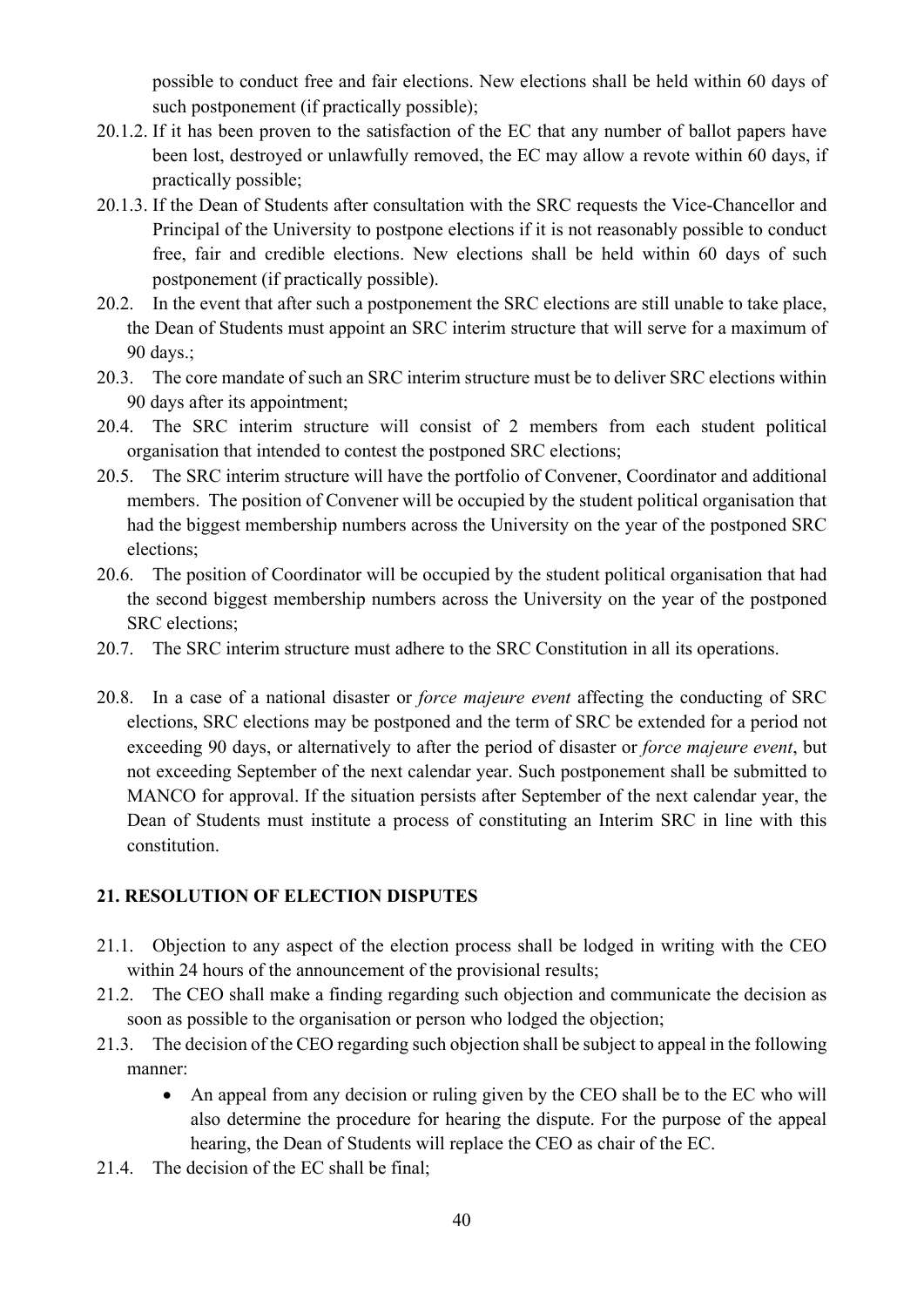possible to conduct free and fair elections. New elections shall be held within 60 days of such postponement (if practically possible);

- 20.1.2. If it has been proven to the satisfaction of the EC that any number of ballot papers have been lost, destroyed or unlawfully removed, the EC may allow a revote within 60 days, if practically possible;
- 20.1.3. If the Dean of Students after consultation with the SRC requests the Vice-Chancellor and Principal of the University to postpone elections if it is not reasonably possible to conduct free, fair and credible elections. New elections shall be held within 60 days of such postponement (if practically possible).
- 20.2. In the event that after such a postponement the SRC elections are still unable to take place, the Dean of Students must appoint an SRC interim structure that will serve for a maximum of 90 days.;
- 20.3. The core mandate of such an SRC interim structure must be to deliver SRC elections within 90 days after its appointment;
- 20.4. The SRC interim structure will consist of 2 members from each student political organisation that intended to contest the postponed SRC elections;
- 20.5. The SRC interim structure will have the portfolio of Convener, Coordinator and additional members. The position of Convener will be occupied by the student political organisation that had the biggest membership numbers across the University on the year of the postponed SRC elections;
- 20.6. The position of Coordinator will be occupied by the student political organisation that had the second biggest membership numbers across the University on the year of the postponed SRC elections;
- 20.7. The SRC interim structure must adhere to the SRC Constitution in all its operations.
- 20.8. In a case of a national disaster or *force majeure event* affecting the conducting of SRC elections, SRC elections may be postponed and the term of SRC be extended for a period not exceeding 90 days, or alternatively to after the period of disaster or *force majeure event*, but not exceeding September of the next calendar year. Such postponement shall be submitted to MANCO for approval. If the situation persists after September of the next calendar year, the Dean of Students must institute a process of constituting an Interim SRC in line with this constitution.

## **21. RESOLUTION OF ELECTION DISPUTES**

- 21.1. Objection to any aspect of the election process shall be lodged in writing with the CEO within 24 hours of the announcement of the provisional results;
- 21.2. The CEO shall make a finding regarding such objection and communicate the decision as soon as possible to the organisation or person who lodged the objection;
- 21.3. The decision of the CEO regarding such objection shall be subject to appeal in the following manner:
	- An appeal from any decision or ruling given by the CEO shall be to the EC who will also determine the procedure for hearing the dispute. For the purpose of the appeal hearing, the Dean of Students will replace the CEO as chair of the EC.
- 21.4. The decision of the EC shall be final;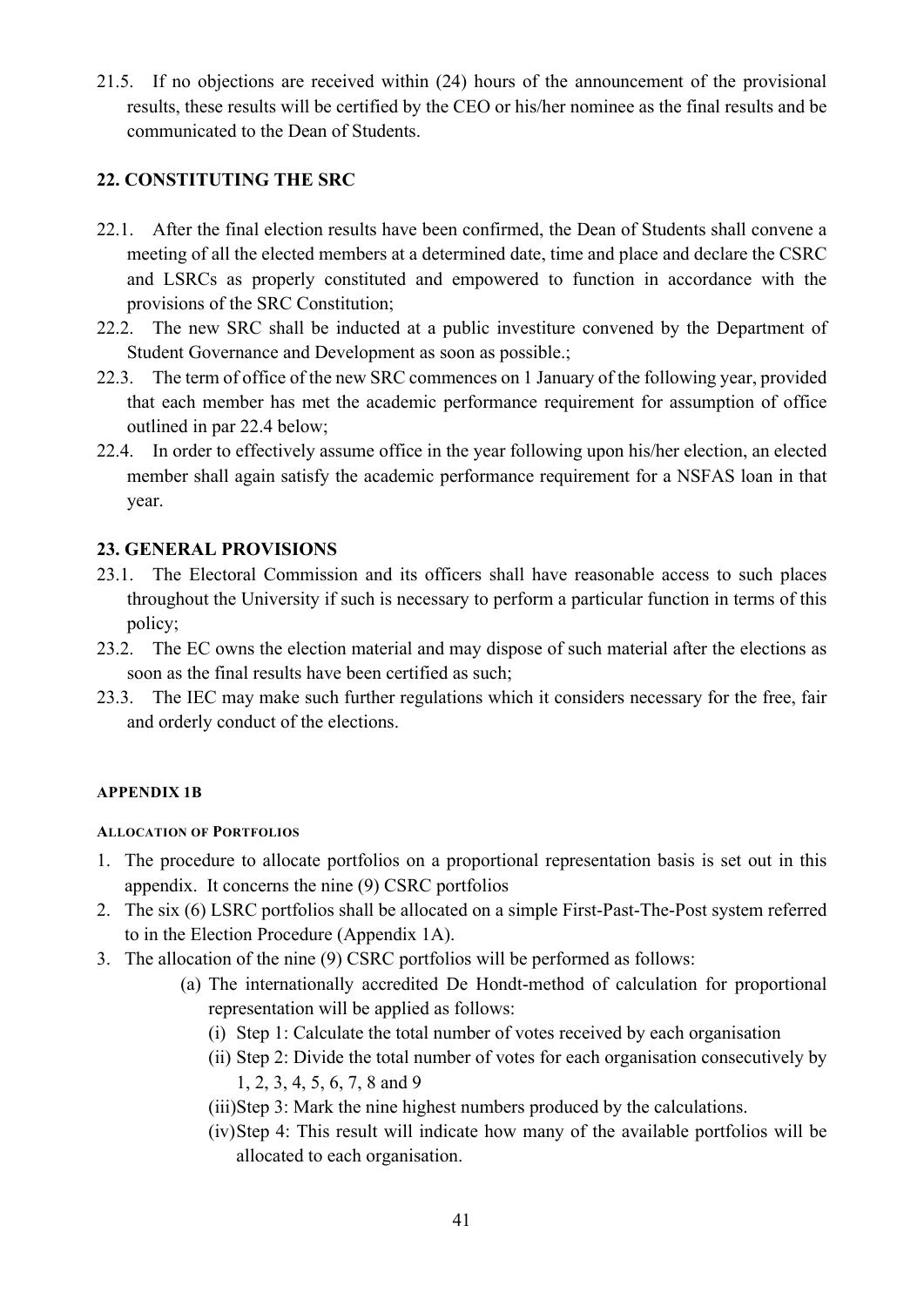21.5. If no objections are received within (24) hours of the announcement of the provisional results, these results will be certified by the CEO or his/her nominee as the final results and be communicated to the Dean of Students.

## **22. CONSTITUTING THE SRC**

- 22.1. After the final election results have been confirmed, the Dean of Students shall convene a meeting of all the elected members at a determined date, time and place and declare the CSRC and LSRCs as properly constituted and empowered to function in accordance with the provisions of the SRC Constitution;
- 22.2. The new SRC shall be inducted at a public investiture convened by the Department of Student Governance and Development as soon as possible.;
- 22.3. The term of office of the new SRC commences on 1 January of the following year, provided that each member has met the academic performance requirement for assumption of office outlined in par 22.4 below;
- 22.4. In order to effectively assume office in the year following upon his/her election, an elected member shall again satisfy the academic performance requirement for a NSFAS loan in that year.

## **23. GENERAL PROVISIONS**

- 23.1. The Electoral Commission and its officers shall have reasonable access to such places throughout the University if such is necessary to perform a particular function in terms of this policy;
- 23.2. The EC owns the election material and may dispose of such material after the elections as soon as the final results have been certified as such;
- 23.3. The IEC may make such further regulations which it considers necessary for the free, fair and orderly conduct of the elections.

#### <span id="page-41-0"></span>**APPENDIX 1B**

#### <span id="page-41-1"></span>**ALLOCATION OF PORTFOLIOS**

- 1. The procedure to allocate portfolios on a proportional representation basis is set out in this appendix. It concerns the nine (9) CSRC portfolios
- 2. The six (6) LSRC portfolios shall be allocated on a simple First-Past-The-Post system referred to in the Election Procedure (Appendix 1A).
- 3. The allocation of the nine (9) CSRC portfolios will be performed as follows:
	- (a) The internationally accredited De Hondt-method of calculation for proportional representation will be applied as follows:
		- (i) Step 1: Calculate the total number of votes received by each organisation
		- (ii) Step 2: Divide the total number of votes for each organisation consecutively by 1, 2, 3, 4, 5, 6, 7, 8 and 9
		- (iii)Step 3: Mark the nine highest numbers produced by the calculations.
		- (iv)Step 4: This result will indicate how many of the available portfolios will be allocated to each organisation.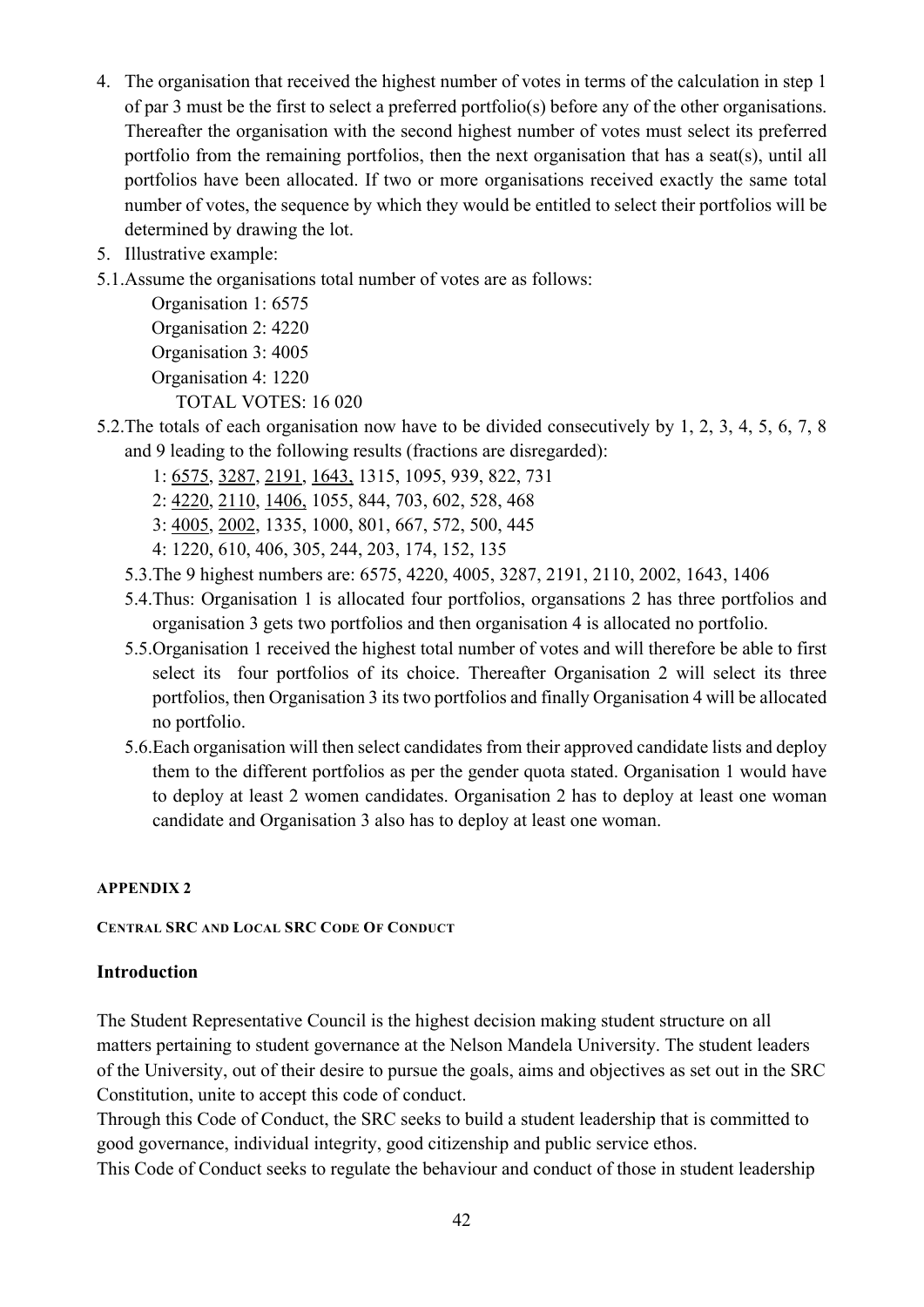- 4. The organisation that received the highest number of votes in terms of the calculation in step 1 of par 3 must be the first to select a preferred portfolio(s) before any of the other organisations. Thereafter the organisation with the second highest number of votes must select its preferred portfolio from the remaining portfolios, then the next organisation that has a seat(s), until all portfolios have been allocated. If two or more organisations received exactly the same total number of votes, the sequence by which they would be entitled to select their portfolios will be determined by drawing the lot.
- 5. Illustrative example:
- 5.1.Assume the organisations total number of votes are as follows:

Organisation 1: 6575 Organisation 2: 4220 Organisation 3: 4005 Organisation 4: 1220 TOTAL VOTES: 16 020

- 5.2.The totals of each organisation now have to be divided consecutively by 1, 2, 3, 4, 5, 6, 7, 8 and 9 leading to the following results (fractions are disregarded):
	- 1: 6575, 3287, 2191, 1643, 1315, 1095, 939, 822, 731
	- 2: 4220, 2110, 1406, 1055, 844, 703, 602, 528, 468
	- 3: 4005, 2002, 1335, 1000, 801, 667, 572, 500, 445
	- 4: 1220, 610, 406, 305, 244, 203, 174, 152, 135
	- 5.3.The 9 highest numbers are: 6575, 4220, 4005, 3287, 2191, 2110, 2002, 1643, 1406
	- 5.4.Thus: Organisation 1 is allocated four portfolios, organsations 2 has three portfolios and organisation 3 gets two portfolios and then organisation 4 is allocated no portfolio.
	- 5.5.Organisation 1 received the highest total number of votes and will therefore be able to first select its four portfolios of its choice. Thereafter Organisation 2 will select its three portfolios, then Organisation 3 its two portfolios and finally Organisation 4 will be allocated no portfolio.
	- 5.6.Each organisation will then select candidates from their approved candidate lists and deploy them to the different portfolios as per the gender quota stated. Organisation 1 would have to deploy at least 2 women candidates. Organisation 2 has to deploy at least one woman candidate and Organisation 3 also has to deploy at least one woman.

#### <span id="page-42-0"></span>**APPENDIX 2**

#### <span id="page-42-1"></span>**CENTRAL SRC AND LOCAL SRC CODE OF CONDUCT**

#### **Introduction**

The Student Representative Council is the highest decision making student structure on all matters pertaining to student governance at the Nelson Mandela University. The student leaders of the University, out of their desire to pursue the goals, aims and objectives as set out in the SRC Constitution, unite to accept this code of conduct.

Through this Code of Conduct, the SRC seeks to build a student leadership that is committed to good governance, individual integrity, good citizenship and public service ethos.

This Code of Conduct seeks to regulate the behaviour and conduct of those in student leadership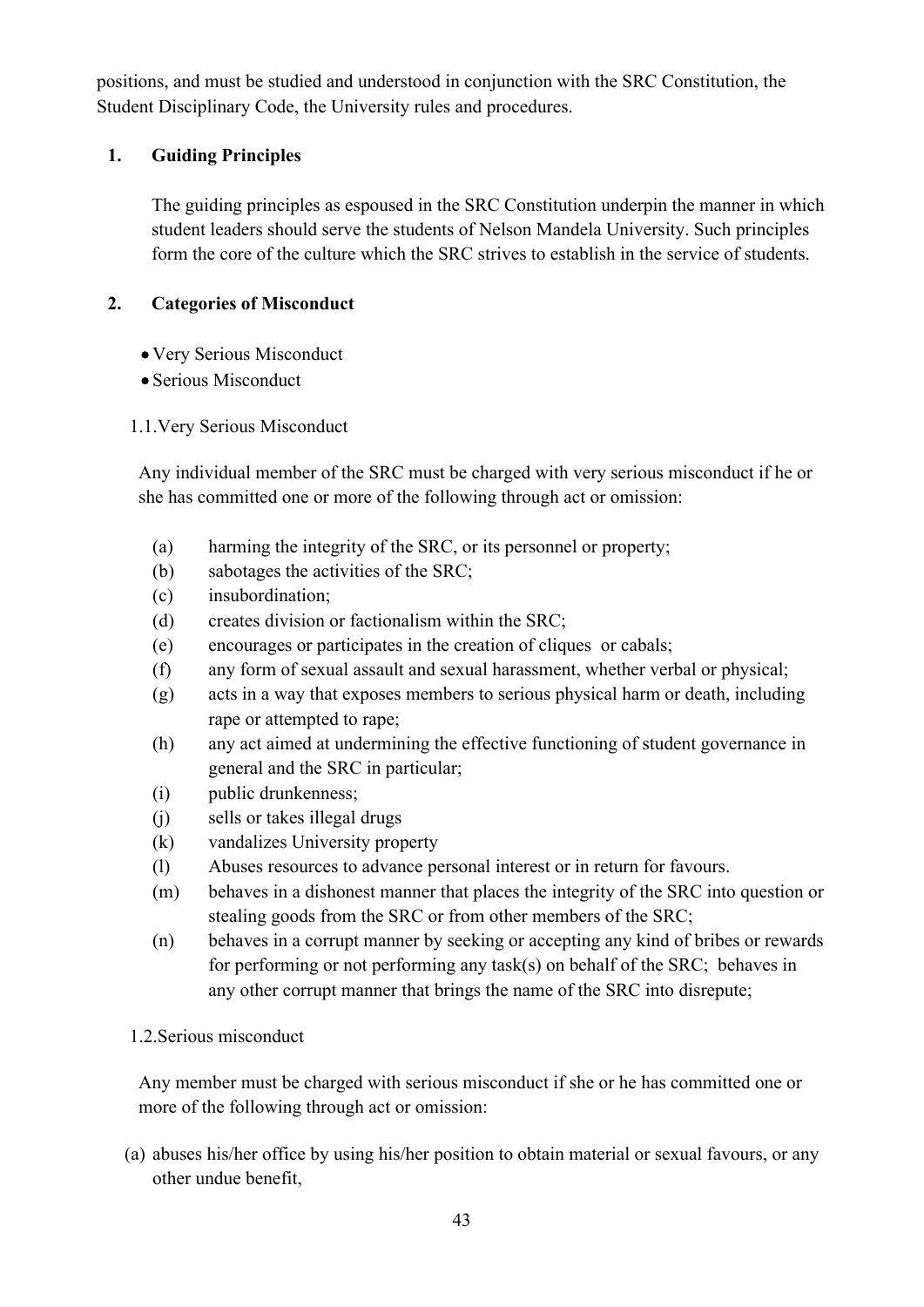positions, and must be studied and understood in conjunction with the SRC Constitution, the Student Disciplinary Code, the University rules and procedures.

## **1. Guiding Principles**

The guiding principles as espoused in the SRC Constitution underpin the manner in which student leaders should serve the students of Nelson Mandela University. Such principles form the core of the culture which the SRC strives to establish in the service of students.

## **2. Categories of Misconduct**

- Very Serious Misconduct
- Serious Misconduct
- 1.1.Very Serious Misconduct

Any individual member of the SRC must be charged with very serious misconduct if he or she has committed one or more of the following through act or omission:

- (a) harming the integrity of the SRC, or its personnel or property;
- (b) sabotages the activities of the SRC;
- (c) insubordination;
- (d) creates division or factionalism within the SRC;
- (e) encourages or participates in the creation of cliques or cabals;
- (f) any form of sexual assault and sexual harassment, whether verbal or physical;
- (g) acts in a way that exposes members to serious physical harm or death, including rape or attempted to rape;
- (h) any act aimed at undermining the effective functioning of student governance in general and the SRC in particular;
- (i) public drunkenness;
- (j) sells or takes illegal drugs
- (k) vandalizes University property
- (l) Abuses resources to advance personal interest or in return for favours.
- (m) behaves in a dishonest manner that places the integrity of the SRC into question or stealing goods from the SRC or from other members of the SRC;
- (n) behaves in a corrupt manner by seeking or accepting any kind of bribes or rewards for performing or not performing any task(s) on behalf of the SRC; behaves in any other corrupt manner that brings the name of the SRC into disrepute;

## 1.2.Serious misconduct

Any member must be charged with serious misconduct if she or he has committed one or more of the following through act or omission:

(a) abuses his/her office by using his/her position to obtain material or sexual favours, or any other undue benefit,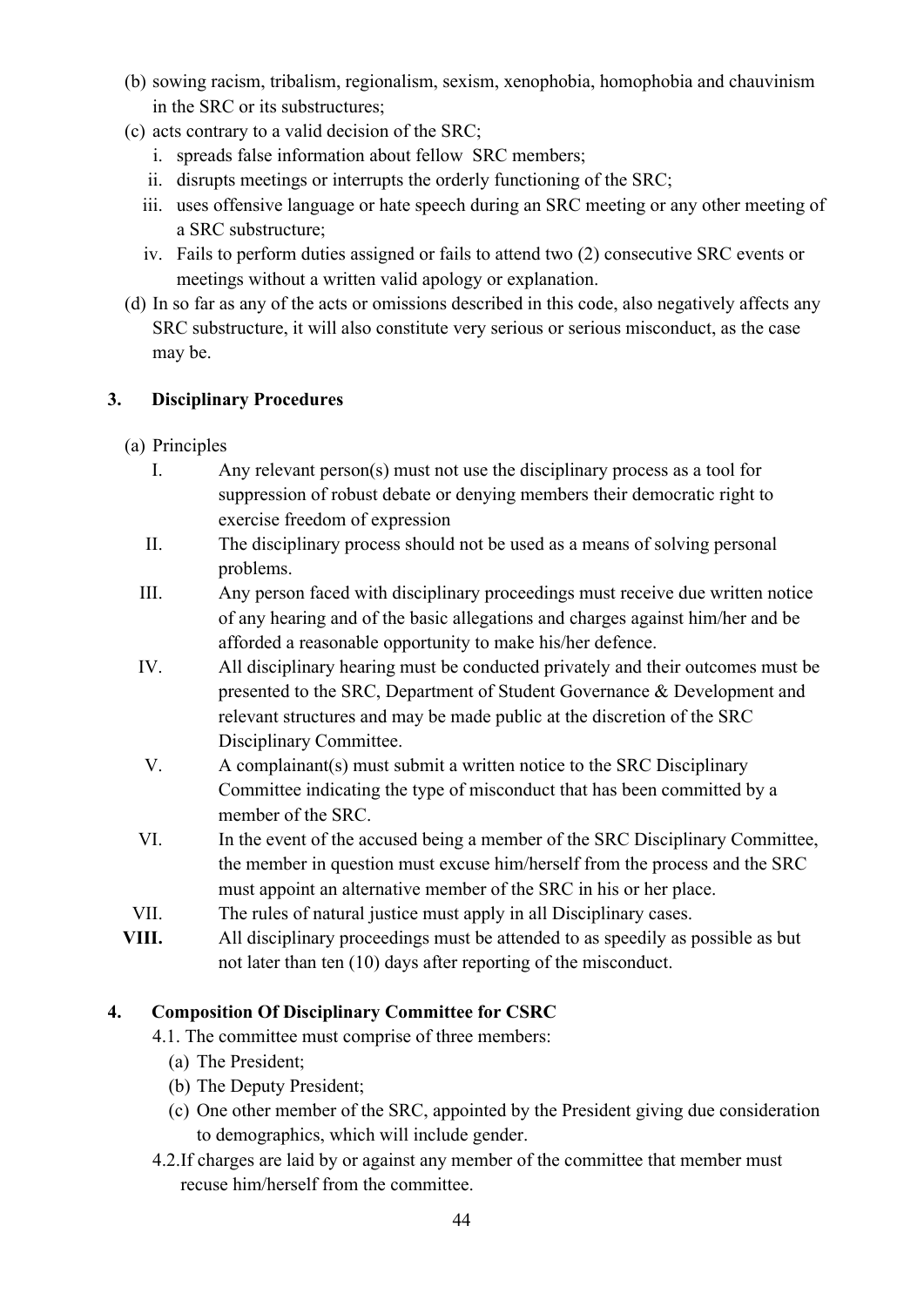- (b) sowing racism, tribalism, regionalism, sexism, xenophobia, homophobia and chauvinism in the SRC or its substructures;
- (c) acts contrary to a valid decision of the SRC;
	- i. spreads false information about fellow SRC members;
	- ii. disrupts meetings or interrupts the orderly functioning of the SRC;
	- iii. uses offensive language or hate speech during an SRC meeting or any other meeting of a SRC substructure;
	- iv. Fails to perform duties assigned or fails to attend two (2) consecutive SRC events or meetings without a written valid apology or explanation.
- (d) In so far as any of the acts or omissions described in this code, also negatively affects any SRC substructure, it will also constitute very serious or serious misconduct, as the case may be.

## **3. Disciplinary Procedures**

- (a) Principles
	- I. Any relevant person(s) must not use the disciplinary process as a tool for suppression of robust debate or denying members their democratic right to exercise freedom of expression
	- II. The disciplinary process should not be used as a means of solving personal problems.
	- III. Any person faced with disciplinary proceedings must receive due written notice of any hearing and of the basic allegations and charges against him/her and be afforded a reasonable opportunity to make his/her defence.
	- IV. All disciplinary hearing must be conducted privately and their outcomes must be presented to the SRC, Department of Student Governance & Development and relevant structures and may be made public at the discretion of the SRC Disciplinary Committee.
	- V. A complainant(s) must submit a written notice to the SRC Disciplinary Committee indicating the type of misconduct that has been committed by a member of the SRC.
	- VI. In the event of the accused being a member of the SRC Disciplinary Committee, the member in question must excuse him/herself from the process and the SRC must appoint an alternative member of the SRC in his or her place.
- VII. The rules of natural justice must apply in all Disciplinary cases.
- **VIII.** All disciplinary proceedings must be attended to as speedily as possible as but not later than ten (10) days after reporting of the misconduct.

## **4. Composition Of Disciplinary Committee for CSRC**

- 4.1. The committee must comprise of three members:
	- (a) The President;
	- (b) The Deputy President;
	- (c) One other member of the SRC, appointed by the President giving due consideration to demographics, which will include gender.
- 4.2.If charges are laid by or against any member of the committee that member must recuse him/herself from the committee.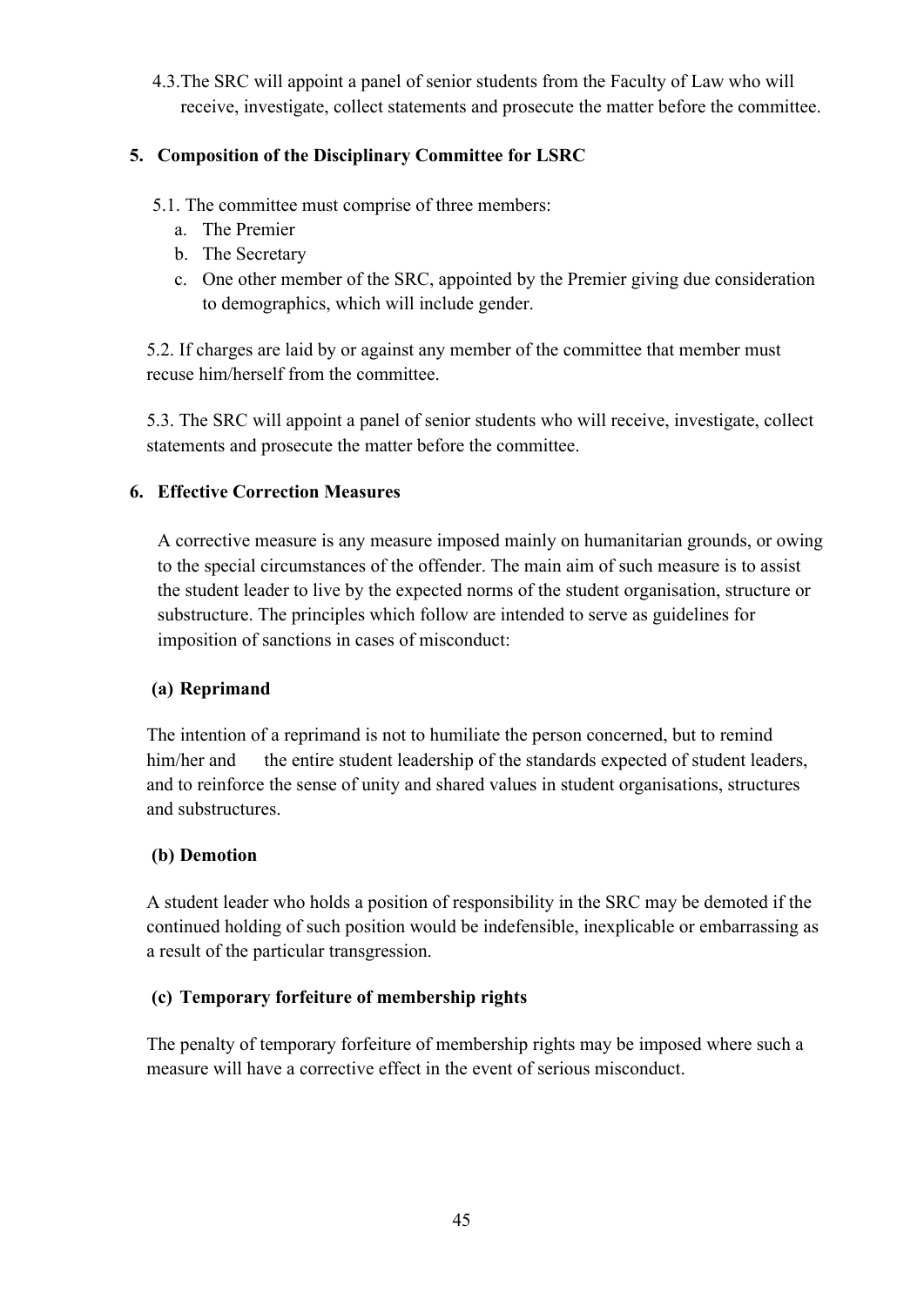4.3.The SRC will appoint a panel of senior students from the Faculty of Law who will receive, investigate, collect statements and prosecute the matter before the committee.

## **5. Composition of the Disciplinary Committee for LSRC**

- 5.1. The committee must comprise of three members:
	- a. The Premier
	- b. The Secretary
	- c. One other member of the SRC, appointed by the Premier giving due consideration to demographics, which will include gender.

5.2. If charges are laid by or against any member of the committee that member must recuse him/herself from the committee.

5.3. The SRC will appoint a panel of senior students who will receive, investigate, collect statements and prosecute the matter before the committee.

## **6. Effective Correction Measures**

A corrective measure is any measure imposed mainly on humanitarian grounds, or owing to the special circumstances of the offender. The main aim of such measure is to assist the student leader to live by the expected norms of the student organisation, structure or substructure. The principles which follow are intended to serve as guidelines for imposition of sanctions in cases of misconduct:

#### **(a) Reprimand**

The intention of a reprimand is not to humiliate the person concerned, but to remind him/her and the entire student leadership of the standards expected of student leaders, and to reinforce the sense of unity and shared values in student organisations, structures and substructures.

## **(b) Demotion**

A student leader who holds a position of responsibility in the SRC may be demoted if the continued holding of such position would be indefensible, inexplicable or embarrassing as a result of the particular transgression.

## **(c) Temporary forfeiture of membership rights**

The penalty of temporary forfeiture of membership rights may be imposed where such a measure will have a corrective effect in the event of serious misconduct.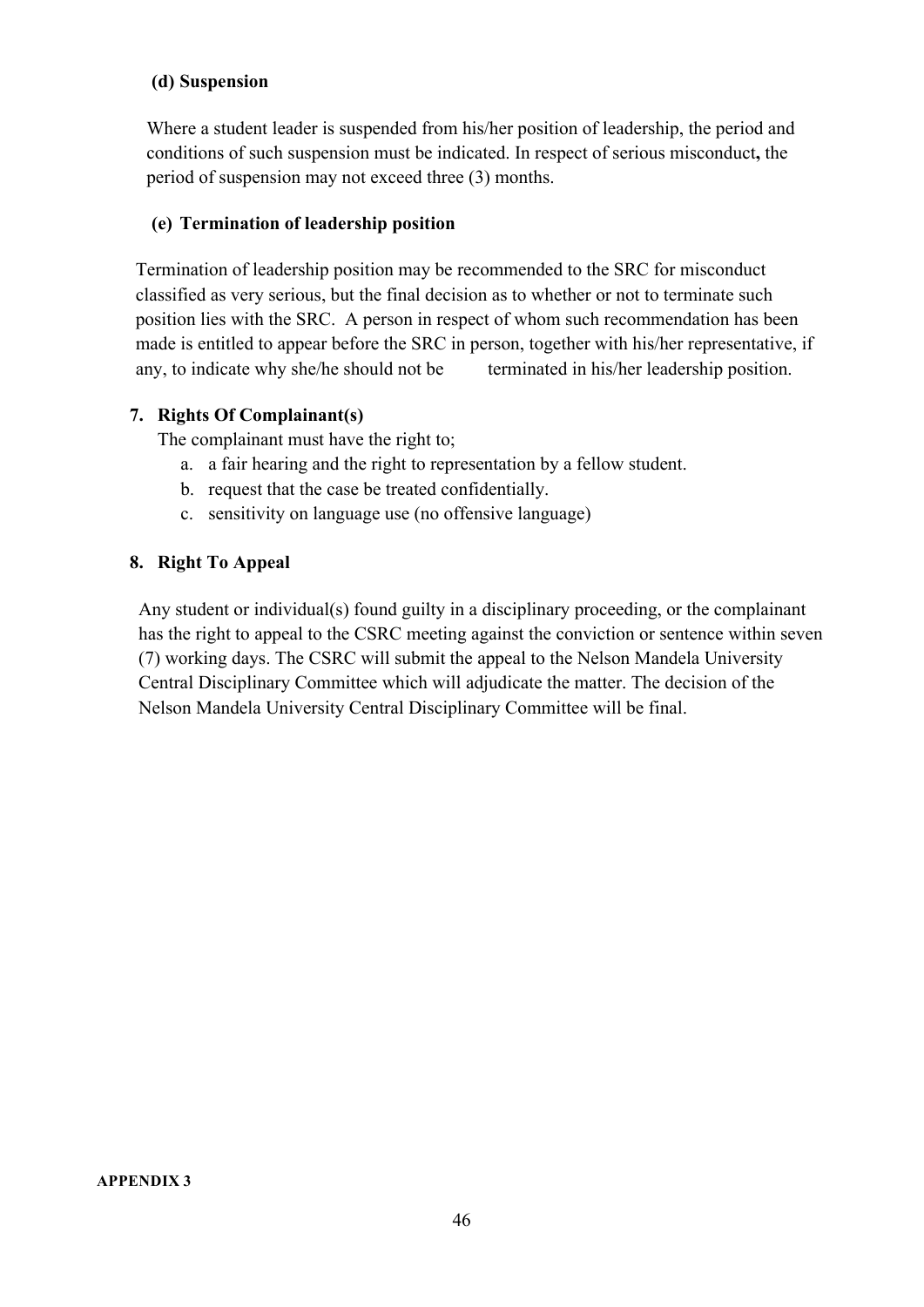#### **(d) Suspension**

Where a student leader is suspended from his/her position of leadership, the period and conditions of such suspension must be indicated. In respect of serious misconduct**,** the period of suspension may not exceed three (3) months.

#### **(e) Termination of leadership position**

Termination of leadership position may be recommended to the SRC for misconduct classified as very serious, but the final decision as to whether or not to terminate such position lies with the SRC. A person in respect of whom such recommendation has been made is entitled to appear before the SRC in person, together with his/her representative, if any, to indicate why she/he should not be terminated in his/her leadership position.

#### **7. Rights Of Complainant(s)**

The complainant must have the right to;

- a. a fair hearing and the right to representation by a fellow student.
- b. request that the case be treated confidentially.
- c. sensitivity on language use (no offensive language)

#### **8. Right To Appeal**

<span id="page-46-0"></span>Any student or individual(s) found guilty in a disciplinary proceeding, or the complainant has the right to appeal to the CSRC meeting against the conviction or sentence within seven (7) working days. The CSRC will submit the appeal to the Nelson Mandela University Central Disciplinary Committee which will adjudicate the matter. The decision of the Nelson Mandela University Central Disciplinary Committee will be final.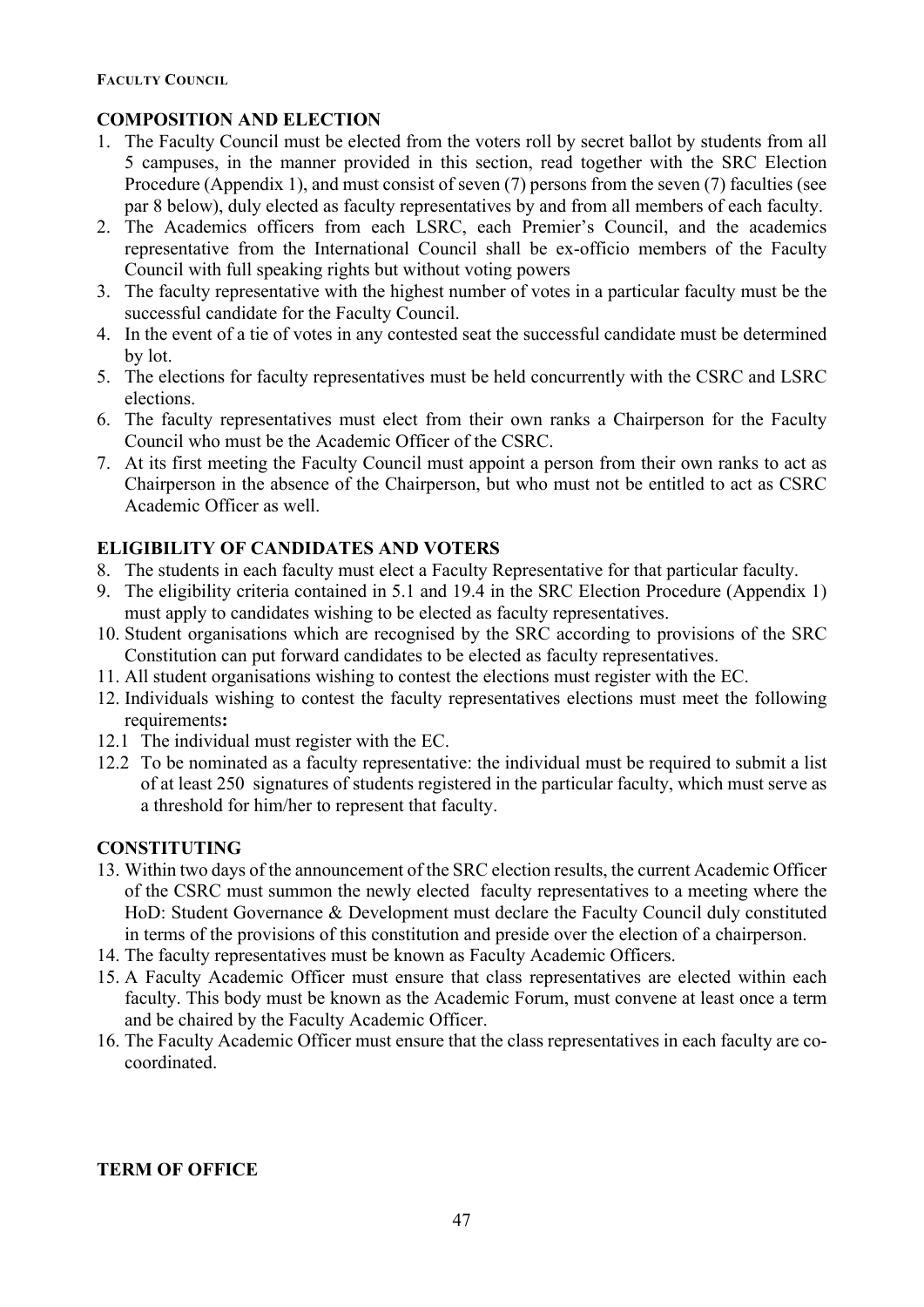#### <span id="page-47-0"></span>**COMPOSITION AND ELECTION**

- 1. The Faculty Council must be elected from the voters roll by secret ballot by students from all 5 campuses, in the manner provided in this section, read together with the SRC Election Procedure (Appendix 1), and must consist of seven (7) persons from the seven (7) faculties (see par 8 below), duly elected as faculty representatives by and from all members of each faculty.
- 2. The Academics officers from each LSRC, each Premier's Council, and the academics representative from the International Council shall be ex-officio members of the Faculty Council with full speaking rights but without voting powers
- 3. The faculty representative with the highest number of votes in a particular faculty must be the successful candidate for the Faculty Council.
- 4. In the event of a tie of votes in any contested seat the successful candidate must be determined by lot.
- 5. The elections for faculty representatives must be held concurrently with the CSRC and LSRC elections.
- 6. The faculty representatives must elect from their own ranks a Chairperson for the Faculty Council who must be the Academic Officer of the CSRC.
- 7. At its first meeting the Faculty Council must appoint a person from their own ranks to act as Chairperson in the absence of the Chairperson, but who must not be entitled to act as CSRC Academic Officer as well.

## **ELIGIBILITY OF CANDIDATES AND VOTERS**

- 8. The students in each faculty must elect a Faculty Representative for that particular faculty.
- 9. The eligibility criteria contained in 5.1 and 19.4 in the SRC Election Procedure (Appendix 1) must apply to candidates wishing to be elected as faculty representatives.
- 10. Student organisations which are recognised by the SRC according to provisions of the SRC Constitution can put forward candidates to be elected as faculty representatives.
- 11. All student organisations wishing to contest the elections must register with the EC.
- 12. Individuals wishing to contest the faculty representatives elections must meet the following requirements**:**
- 12.1 The individual must register with the EC.
- 12.2 To be nominated as a faculty representative: the individual must be required to submit a list of at least 250 signatures of students registered in the particular faculty, which must serve as a threshold for him/her to represent that faculty.

#### **CONSTITUTING**

- 13. Within two days of the announcement of the SRC election results, the current Academic Officer of the CSRC must summon the newly elected faculty representatives to a meeting where the HoD: Student Governance & Development must declare the Faculty Council duly constituted in terms of the provisions of this constitution and preside over the election of a chairperson.
- 14. The faculty representatives must be known as Faculty Academic Officers.
- 15. A Faculty Academic Officer must ensure that class representatives are elected within each faculty. This body must be known as the Academic Forum, must convene at least once a term and be chaired by the Faculty Academic Officer.
- 16. The Faculty Academic Officer must ensure that the class representatives in each faculty are cocoordinated.

#### **TERM OF OFFICE**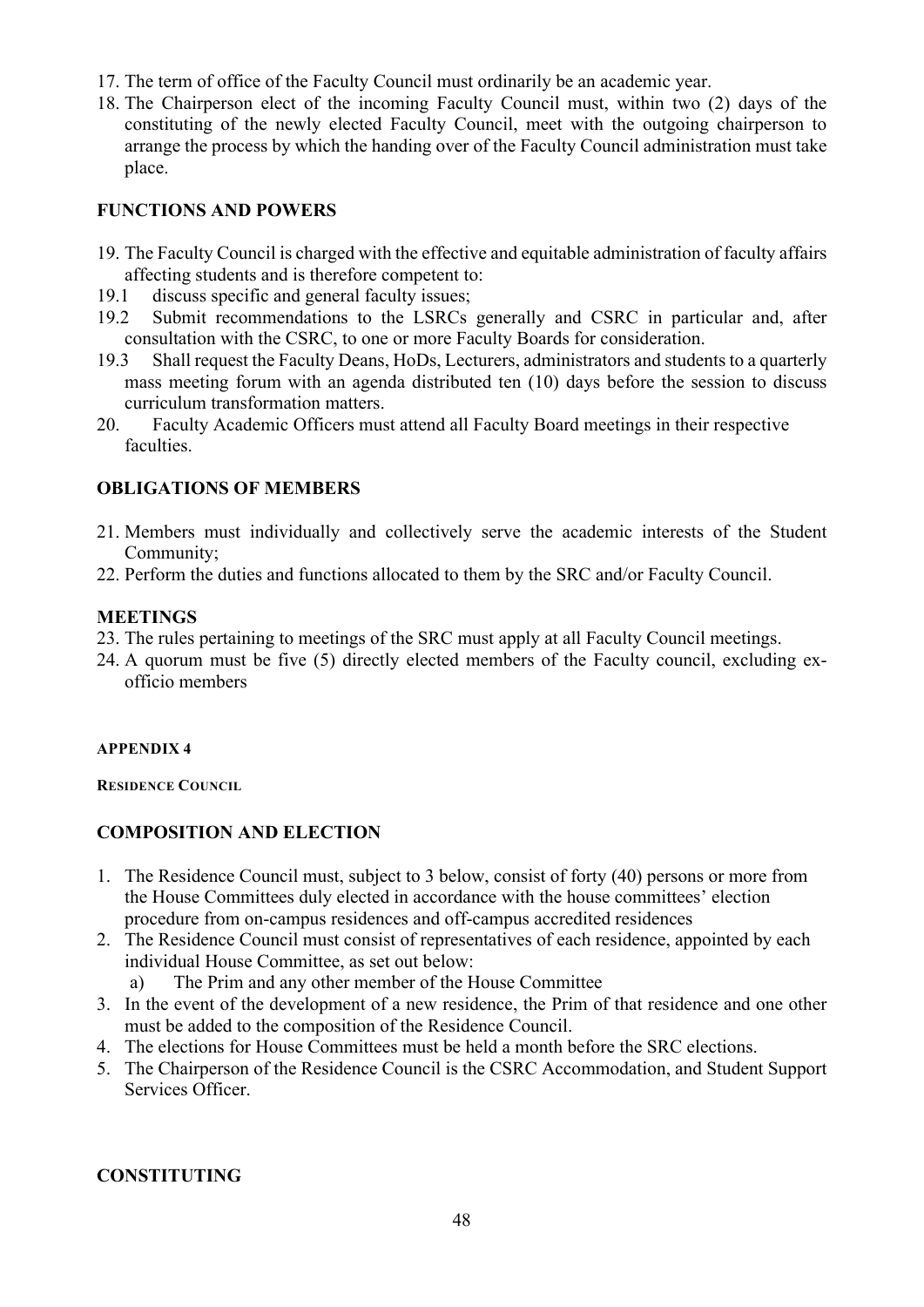- 17. The term of office of the Faculty Council must ordinarily be an academic year.
- 18. The Chairperson elect of the incoming Faculty Council must, within two (2) days of the constituting of the newly elected Faculty Council, meet with the outgoing chairperson to arrange the process by which the handing over of the Faculty Council administration must take place.

#### **FUNCTIONS AND POWERS**

- 19. The Faculty Council is charged with the effective and equitable administration of faculty affairs affecting students and is therefore competent to:
- 19.1 discuss specific and general faculty issues;
- 19.2 Submit recommendations to the LSRCs generally and CSRC in particular and, after consultation with the CSRC, to one or more Faculty Boards for consideration.
- 19.3 Shall request the Faculty Deans, HoDs, Lecturers, administrators and students to a quarterly mass meeting forum with an agenda distributed ten (10) days before the session to discuss curriculum transformation matters.
- 20. Faculty Academic Officers must attend all Faculty Board meetings in their respective faculties.

#### **OBLIGATIONS OF MEMBERS**

- 21. Members must individually and collectively serve the academic interests of the Student Community;
- 22. Perform the duties and functions allocated to them by the SRC and/or Faculty Council.

#### **MEETINGS**

- 23. The rules pertaining to meetings of the SRC must apply at all Faculty Council meetings.
- 24. A quorum must be five (5) directly elected members of the Faculty council, excluding exofficio members

#### <span id="page-48-0"></span>**APPENDIX 4**

<span id="page-48-1"></span>**RESIDENCE COUNCIL**

#### **COMPOSITION AND ELECTION**

- 1. The Residence Council must, subject to 3 below, consist of forty (40) persons or more from the House Committees duly elected in accordance with the house committees' election procedure from on-campus residences and off-campus accredited residences
- 2. The Residence Council must consist of representatives of each residence, appointed by each individual House Committee, as set out below:
	- a) The Prim and any other member of the House Committee
- 3. In the event of the development of a new residence, the Prim of that residence and one other must be added to the composition of the Residence Council.
- 4. The elections for House Committees must be held a month before the SRC elections.
- 5. The Chairperson of the Residence Council is the CSRC Accommodation, and Student Support Services Officer.

#### **CONSTITUTING**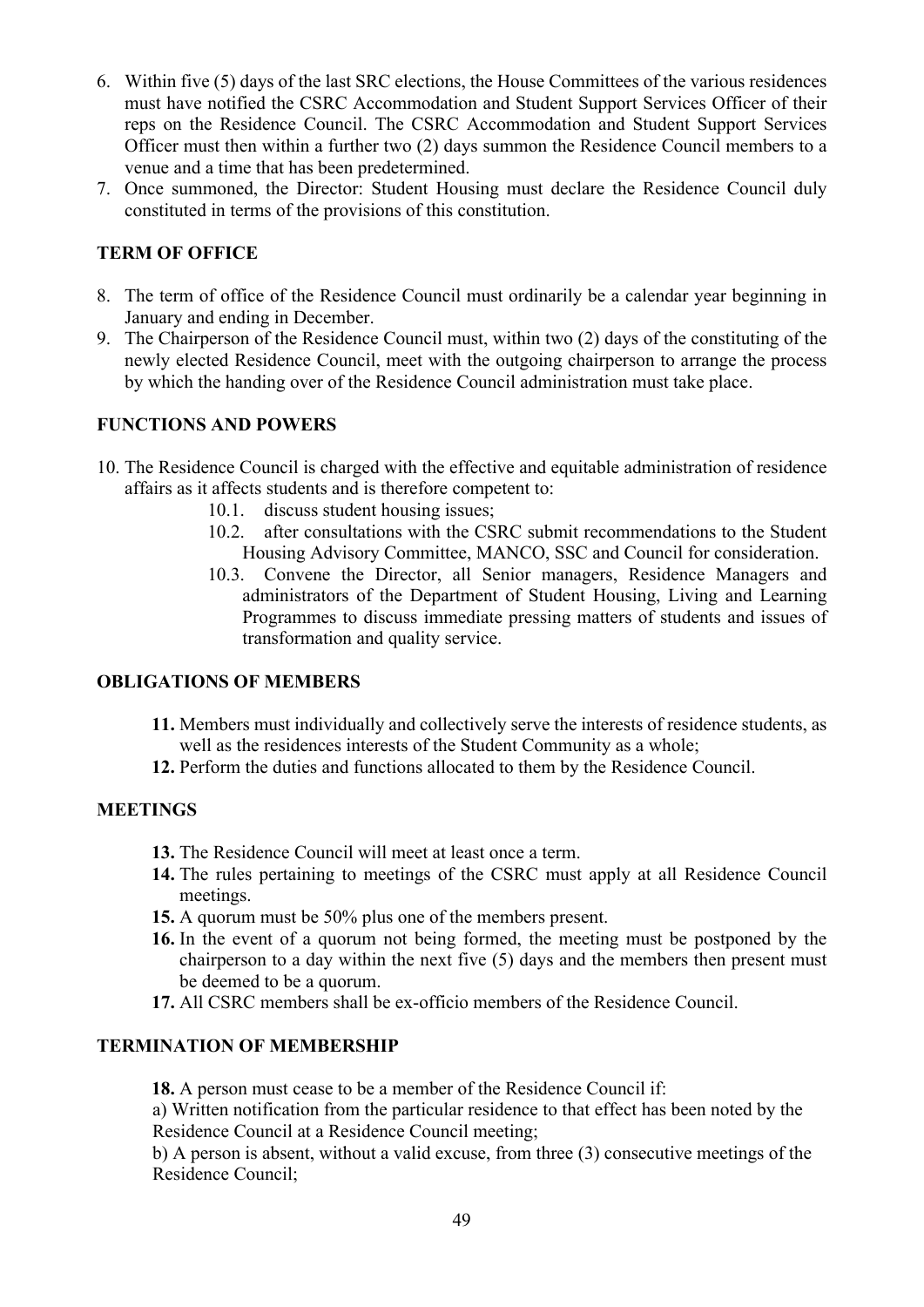- 6. Within five (5) days of the last SRC elections, the House Committees of the various residences must have notified the CSRC Accommodation and Student Support Services Officer of their reps on the Residence Council. The CSRC Accommodation and Student Support Services Officer must then within a further two (2) days summon the Residence Council members to a venue and a time that has been predetermined.
- 7. Once summoned, the Director: Student Housing must declare the Residence Council duly constituted in terms of the provisions of this constitution.

## **TERM OF OFFICE**

- 8. The term of office of the Residence Council must ordinarily be a calendar year beginning in January and ending in December.
- 9. The Chairperson of the Residence Council must, within two (2) days of the constituting of the newly elected Residence Council, meet with the outgoing chairperson to arrange the process by which the handing over of the Residence Council administration must take place.

#### **FUNCTIONS AND POWERS**

- 10. The Residence Council is charged with the effective and equitable administration of residence affairs as it affects students and is therefore competent to:
	- 10.1. discuss student housing issues;
	- 10.2. after consultations with the CSRC submit recommendations to the Student Housing Advisory Committee, MANCO, SSC and Council for consideration.
	- 10.3. Convene the Director, all Senior managers, Residence Managers and administrators of the Department of Student Housing, Living and Learning Programmes to discuss immediate pressing matters of students and issues of transformation and quality service.

#### **OBLIGATIONS OF MEMBERS**

- **11.** Members must individually and collectively serve the interests of residence students, as well as the residences interests of the Student Community as a whole;
- **12.** Perform the duties and functions allocated to them by the Residence Council.

#### **MEETINGS**

- **13.** The Residence Council will meet at least once a term.
- **14.** The rules pertaining to meetings of the CSRC must apply at all Residence Council meetings.
- **15.** A quorum must be 50% plus one of the members present.
- **16.** In the event of a quorum not being formed, the meeting must be postponed by the chairperson to a day within the next five (5) days and the members then present must be deemed to be a quorum.
- **17.** All CSRC members shall be ex-officio members of the Residence Council.

#### **TERMINATION OF MEMBERSHIP**

**18.** A person must cease to be a member of the Residence Council if:

a) Written notification from the particular residence to that effect has been noted by the Residence Council at a Residence Council meeting;

b) A person is absent, without a valid excuse, from three (3) consecutive meetings of the Residence Council;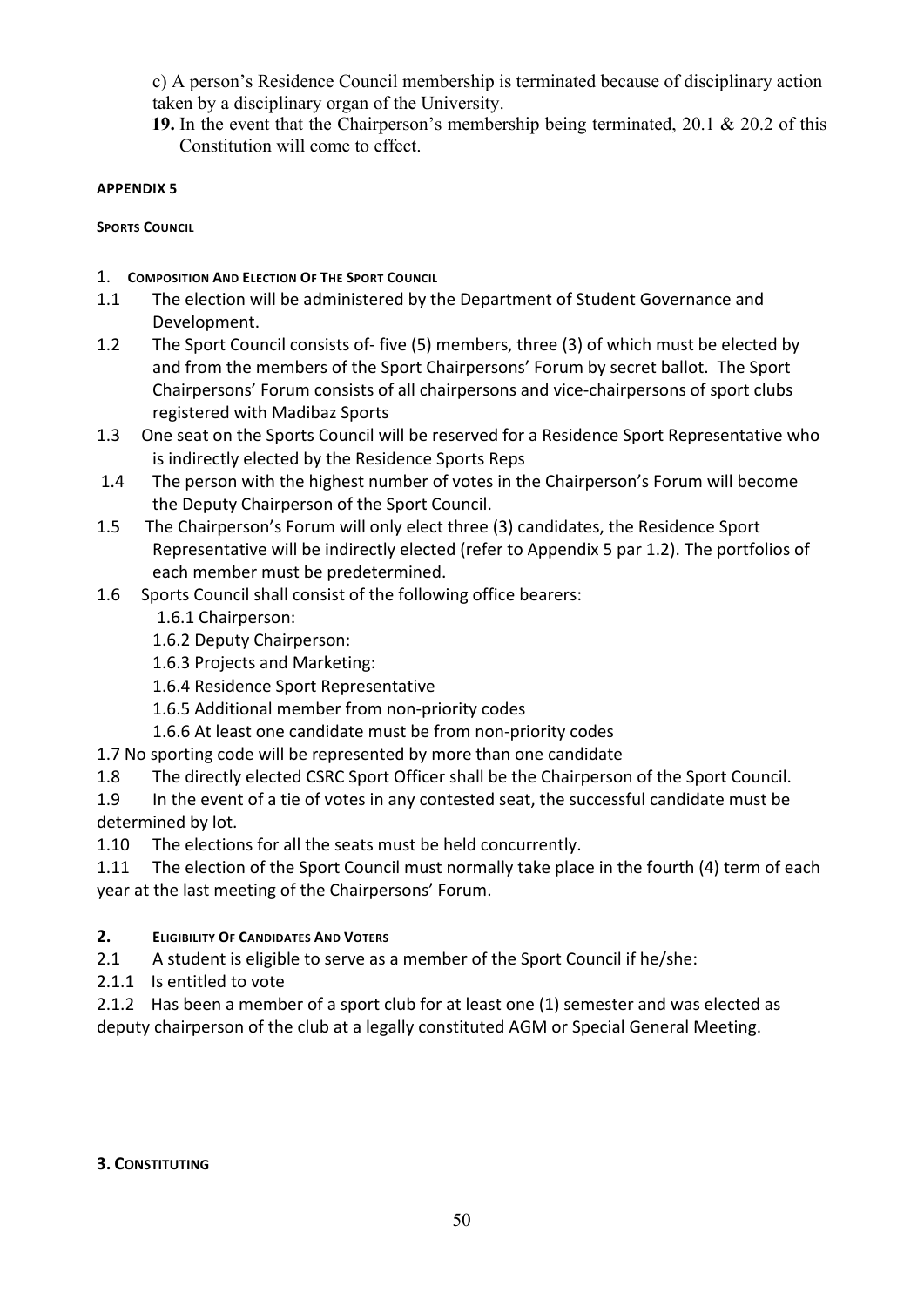c) A person's Residence Council membership is terminated because of disciplinary action taken by a disciplinary organ of the University.

**19.** In the event that the Chairperson's membership being terminated, 20.1 & 20.2 of this Constitution will come to effect.

#### <span id="page-50-0"></span>**APPENDIX 5**

<span id="page-50-1"></span>**SPORTS COUNCIL** 

- 1. **COMPOSITION AND ELECTION OF THE SPORT COUNCIL**
- 1.1 The election will be administered by the Department of Student Governance and Development.
- 1.2 The Sport Council consists of- five (5) members, three (3) of which must be elected by and from the members of the Sport Chairpersons' Forum by secret ballot. The Sport Chairpersons' Forum consists of all chairpersons and vice-chairpersons of sport clubs registered with Madibaz Sports
- 1.3 One seat on the Sports Council will be reserved for a Residence Sport Representative who is indirectly elected by the Residence Sports Reps
- 1.4The person with the highest number of votes in the Chairperson's Forum will become the Deputy Chairperson of the Sport Council.
- 1.5 The Chairperson's Forum will only elect three (3) candidates, the Residence Sport Representative will be indirectly elected (refer to Appendix 5 par 1.2). The portfolios of each member must be predetermined.
- 1.6 Sports Council shall consist of the following office bearers:
	- 1.6.1 Chairperson:
	- 1.6.2 Deputy Chairperson:
	- 1.6.3 Projects and Marketing:
	- 1.6.4 Residence Sport Representative
	- 1.6.5 Additional member from non-priority codes
	- 1.6.6 At least one candidate must be from non-priority codes
- 1.7 No sporting code will be represented by more than one candidate
- 1.8 The directly elected CSRC Sport Officer shall be the Chairperson of the Sport Council.
- 1.9 In the event of a tie of votes in any contested seat, the successful candidate must be determined by lot.
- 1.10 The elections for all the seats must be held concurrently.
- 1.11 The election of the Sport Council must normally take place in the fourth (4) term of each year at the last meeting of the Chairpersons' Forum.

## **2. ELIGIBILITY OF CANDIDATES AND VOTERS**

- 2.1 A student is eligible to serve as a member of the Sport Council if he/she:
- 2.1.1 Is entitled to vote
- 2.1.2 Has been a member of a sport club for at least one (1) semester and was elected as deputy chairperson of the club at a legally constituted AGM or Special General Meeting.

#### **3. CONSTITUTING**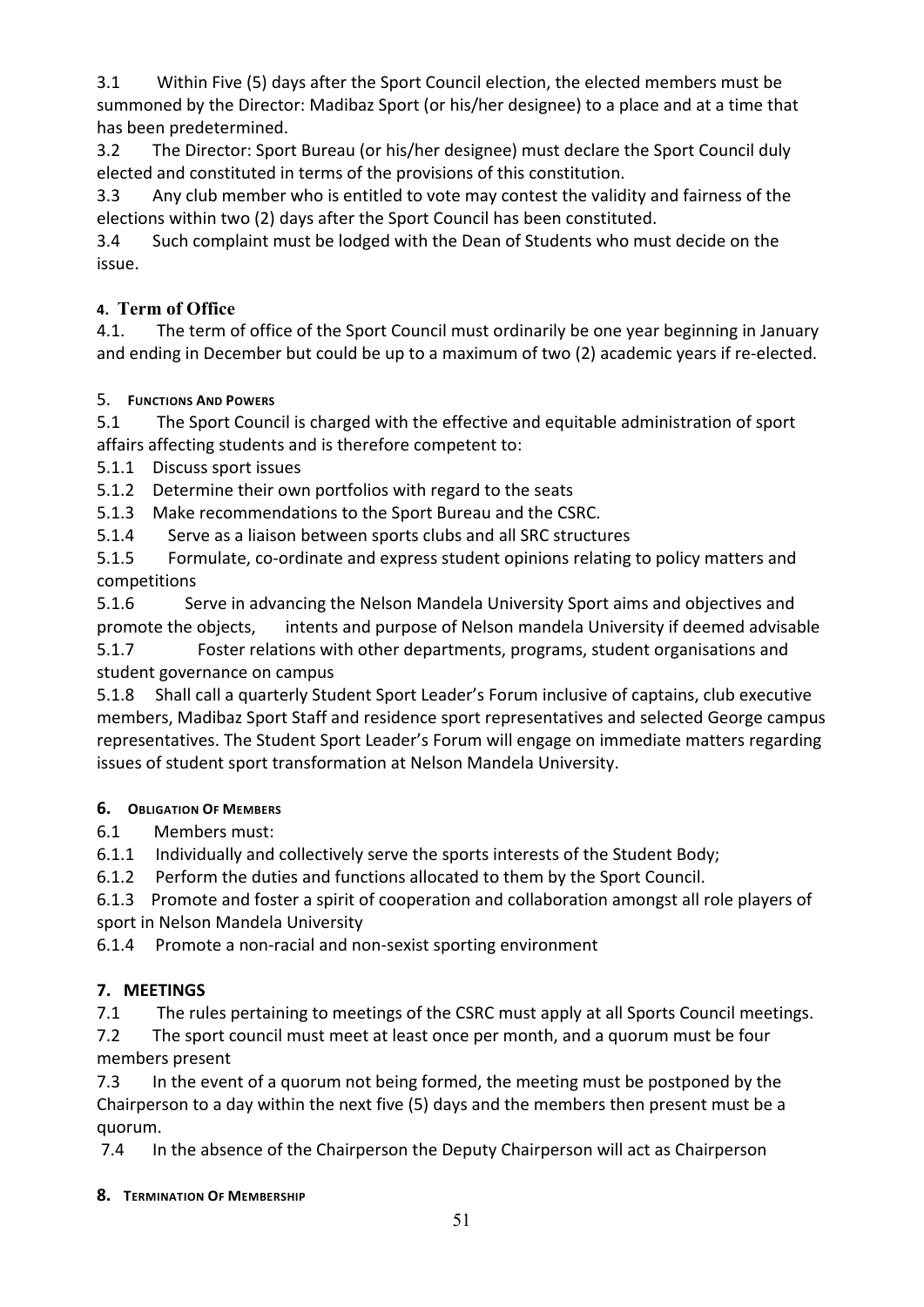3.1 Within Five (5) days after the Sport Council election, the elected members must be summoned by the Director: Madibaz Sport (or his/her designee) to a place and at a time that has been predetermined.

3.2 The Director: Sport Bureau (or his/her designee) must declare the Sport Council duly elected and constituted in terms of the provisions of this constitution.

3.3 Any club member who is entitled to vote may contest the validity and fairness of the elections within two (2) days after the Sport Council has been constituted.

3.4 Such complaint must be lodged with the Dean of Students who must decide on the issue.

## **4. Term of Office**

4.1. The term of office of the Sport Council must ordinarily be one year beginning in January and ending in December but could be up to a maximum of two (2) academic years if re-elected.

## 5. **FUNCTIONS AND POWERS**

5.1 The Sport Council is charged with the effective and equitable administration of sport affairs affecting students and is therefore competent to:

5.1.1 Discuss sport issues

5.1.2 Determine their own portfolios with regard to the seats

5.1.3 Make recommendations to the Sport Bureau and the CSRC.

5.1.4 Serve as a liaison between sports clubs and all SRC structures

5.1.5 Formulate, co-ordinate and express student opinions relating to policy matters and competitions

5.1.6 Serve in advancing the Nelson Mandela University Sport aims and objectives and promote the objects, intents and purpose of Nelson mandela University if deemed advisable 5.1.7 Foster relations with other departments, programs, student organisations and student governance on campus

5.1.8 Shall call a quarterly Student Sport Leader's Forum inclusive of captains, club executive members, Madibaz Sport Staff and residence sport representatives and selected George campus representatives. The Student Sport Leader's Forum will engage on immediate matters regarding issues of student sport transformation at Nelson Mandela University.

## **6. OBLIGATION OF MEMBERS**

6.1 Members must:

6.1.1 Individually and collectively serve the sports interests of the Student Body;

6.1.2 Perform the duties and functions allocated to them by the Sport Council.

6.1.3 Promote and foster a spirit of cooperation and collaboration amongst all role players of

sport in Nelson Mandela University

6.1.4 Promote a non-racial and non-sexist sporting environment

## **7. MEETINGS**

7.1 The rules pertaining to meetings of the CSRC must apply at all Sports Council meetings.

7.2 The sport council must meet at least once per month, and a quorum must be four members present

7.3 In the event of a quorum not being formed, the meeting must be postponed by the Chairperson to a day within the next five (5) days and the members then present must be a quorum.

7.4 In the absence of the Chairperson the Deputy Chairperson will act as Chairperson

## **8. TERMINATION OF MEMBERSHIP**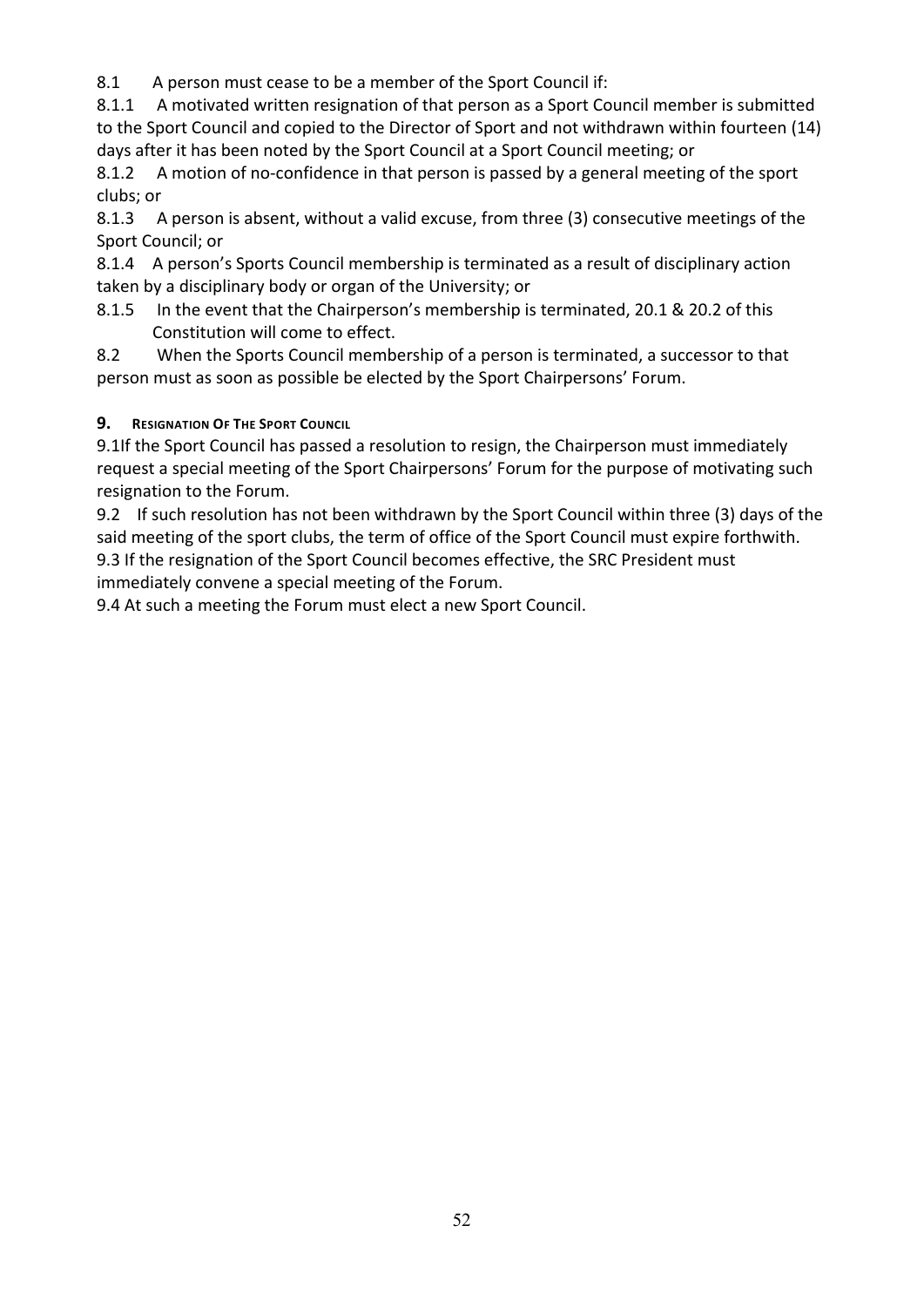8.1 A person must cease to be a member of the Sport Council if:

8.1.1 A motivated written resignation of that person as a Sport Council member is submitted to the Sport Council and copied to the Director of Sport and not withdrawn within fourteen (14) days after it has been noted by the Sport Council at a Sport Council meeting; or

8.1.2 A motion of no-confidence in that person is passed by a general meeting of the sport clubs; or

8.1.3 A person is absent, without a valid excuse, from three (3) consecutive meetings of the Sport Council; or

8.1.4 A person's Sports Council membership is terminated as a result of disciplinary action taken by a disciplinary body or organ of the University; or

8.1.5 In the event that the Chairperson's membership is terminated, 20.1 & 20.2 of this Constitution will come to effect.

8.2 When the Sports Council membership of a person is terminated, a successor to that person must as soon as possible be elected by the Sport Chairpersons' Forum.

## **9. RESIGNATION OF THE SPORT COUNCIL**

9.1If the Sport Council has passed a resolution to resign, the Chairperson must immediately request a special meeting of the Sport Chairpersons' Forum for the purpose of motivating such resignation to the Forum.

9.2 If such resolution has not been withdrawn by the Sport Council within three (3) days of the said meeting of the sport clubs, the term of office of the Sport Council must expire forthwith. 9.3 If the resignation of the Sport Council becomes effective, the SRC President must immediately convene a special meeting of the Forum.

9.4 At such a meeting the Forum must elect a new Sport Council.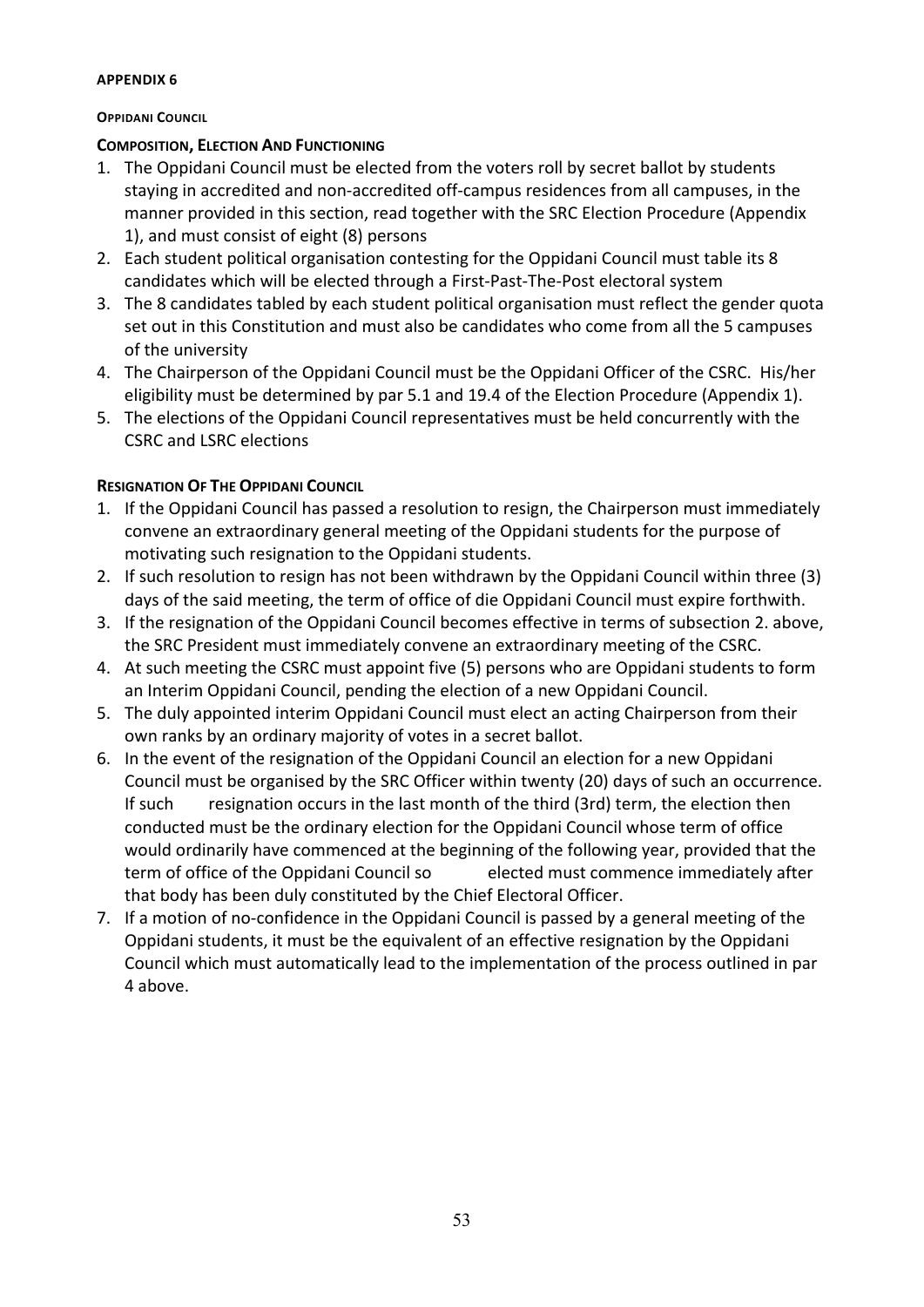#### <span id="page-53-1"></span><span id="page-53-0"></span>**OPPIDANI COUNCIL**

#### **COMPOSITION, ELECTION AND FUNCTIONING**

- 1. The Oppidani Council must be elected from the voters roll by secret ballot by students staying in accredited and non-accredited off-campus residences from all campuses, in the manner provided in this section, read together with the SRC Election Procedure (Appendix 1), and must consist of eight (8) persons
- 2. Each student political organisation contesting for the Oppidani Council must table its 8 candidates which will be elected through a First-Past-The-Post electoral system
- 3. The 8 candidates tabled by each student political organisation must reflect the gender quota set out in this Constitution and must also be candidates who come from all the 5 campuses of the university
- 4. The Chairperson of the Oppidani Council must be the Oppidani Officer of the CSRC. His/her eligibility must be determined by par 5.1 and 19.4 of the Election Procedure (Appendix 1).
- 5. The elections of the Oppidani Council representatives must be held concurrently with the CSRC and LSRC elections

## **RESIGNATION OF THE OPPIDANI COUNCIL**

- 1. If the Oppidani Council has passed a resolution to resign, the Chairperson must immediately convene an extraordinary general meeting of the Oppidani students for the purpose of motivating such resignation to the Oppidani students.
- 2. If such resolution to resign has not been withdrawn by the Oppidani Council within three (3) days of the said meeting, the term of office of die Oppidani Council must expire forthwith.
- 3. If the resignation of the Oppidani Council becomes effective in terms of subsection 2. above, the SRC President must immediately convene an extraordinary meeting of the CSRC.
- 4. At such meeting the CSRC must appoint five (5) persons who are Oppidani students to form an Interim Oppidani Council, pending the election of a new Oppidani Council.
- 5. The duly appointed interim Oppidani Council must elect an acting Chairperson from their own ranks by an ordinary majority of votes in a secret ballot.
- 6. In the event of the resignation of the Oppidani Council an election for a new Oppidani Council must be organised by the SRC Officer within twenty (20) days of such an occurrence. If such resignation occurs in the last month of the third (3rd) term, the election then conducted must be the ordinary election for the Oppidani Council whose term of office would ordinarily have commenced at the beginning of the following year, provided that the term of office of the Oppidani Council so elected must commence immediately after that body has been duly constituted by the Chief Electoral Officer.
- 7. If a motion of no-confidence in the Oppidani Council is passed by a general meeting of the Oppidani students, it must be the equivalent of an effective resignation by the Oppidani Council which must automatically lead to the implementation of the process outlined in par 4 above.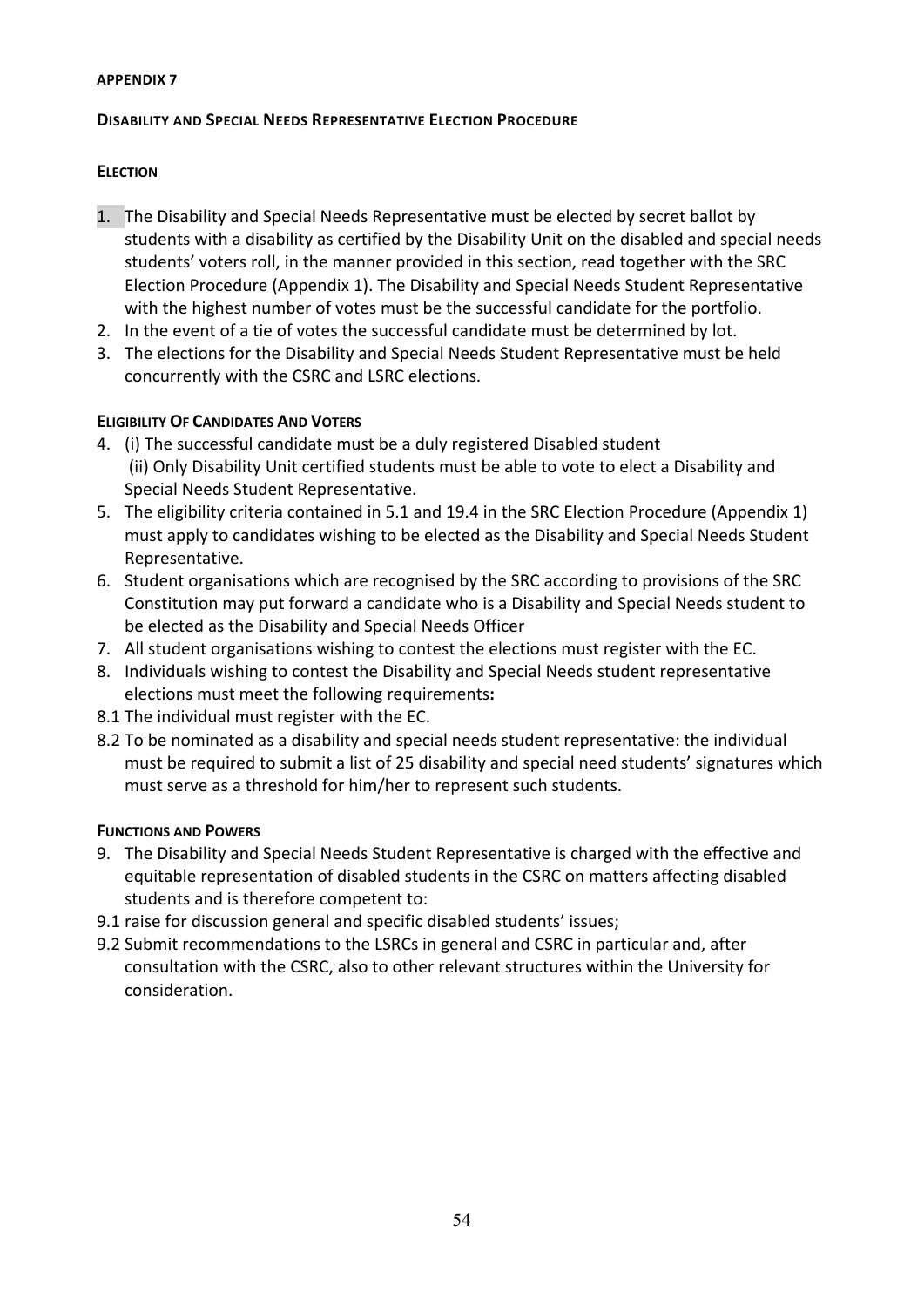#### <span id="page-54-1"></span><span id="page-54-0"></span>**DISABILITY AND SPECIAL NEEDS REPRESENTATIVE ELECTION PROCEDURE**

#### **ELECTION**

- 1. The Disability and Special Needs Representative must be elected by secret ballot by students with a disability as certified by the Disability Unit on the disabled and special needs students' voters roll, in the manner provided in this section, read together with the SRC Election Procedure (Appendix 1). The Disability and Special Needs Student Representative with the highest number of votes must be the successful candidate for the portfolio.
- 2. In the event of a tie of votes the successful candidate must be determined by lot.
- 3. The elections for the Disability and Special Needs Student Representative must be held concurrently with the CSRC and LSRC elections.

#### **ELIGIBILITY OF CANDIDATES AND VOTERS**

- 4. (i) The successful candidate must be a duly registered Disabled student (ii) Only Disability Unit certified students must be able to vote to elect a Disability and Special Needs Student Representative.
- 5. The eligibility criteria contained in 5.1 and 19.4 in the SRC Election Procedure (Appendix 1) must apply to candidates wishing to be elected as the Disability and Special Needs Student Representative.
- 6. Student organisations which are recognised by the SRC according to provisions of the SRC Constitution may put forward a candidate who is a Disability and Special Needs student to be elected as the Disability and Special Needs Officer
- 7. All student organisations wishing to contest the elections must register with the EC.
- 8. Individuals wishing to contest the Disability and Special Needs student representative elections must meet the following requirements**:**
- 8.1 The individual must register with the EC.
- 8.2 To be nominated as a disability and special needs student representative: the individual must be required to submit a list of 25 disability and special need students' signatures which must serve as a threshold for him/her to represent such students.

#### **FUNCTIONS AND POWERS**

- 9. The Disability and Special Needs Student Representative is charged with the effective and equitable representation of disabled students in the CSRC on matters affecting disabled students and is therefore competent to:
- 9.1 raise for discussion general and specific disabled students' issues;
- 9.2 Submit recommendations to the LSRCs in general and CSRC in particular and, after consultation with the CSRC, also to other relevant structures within the University for consideration.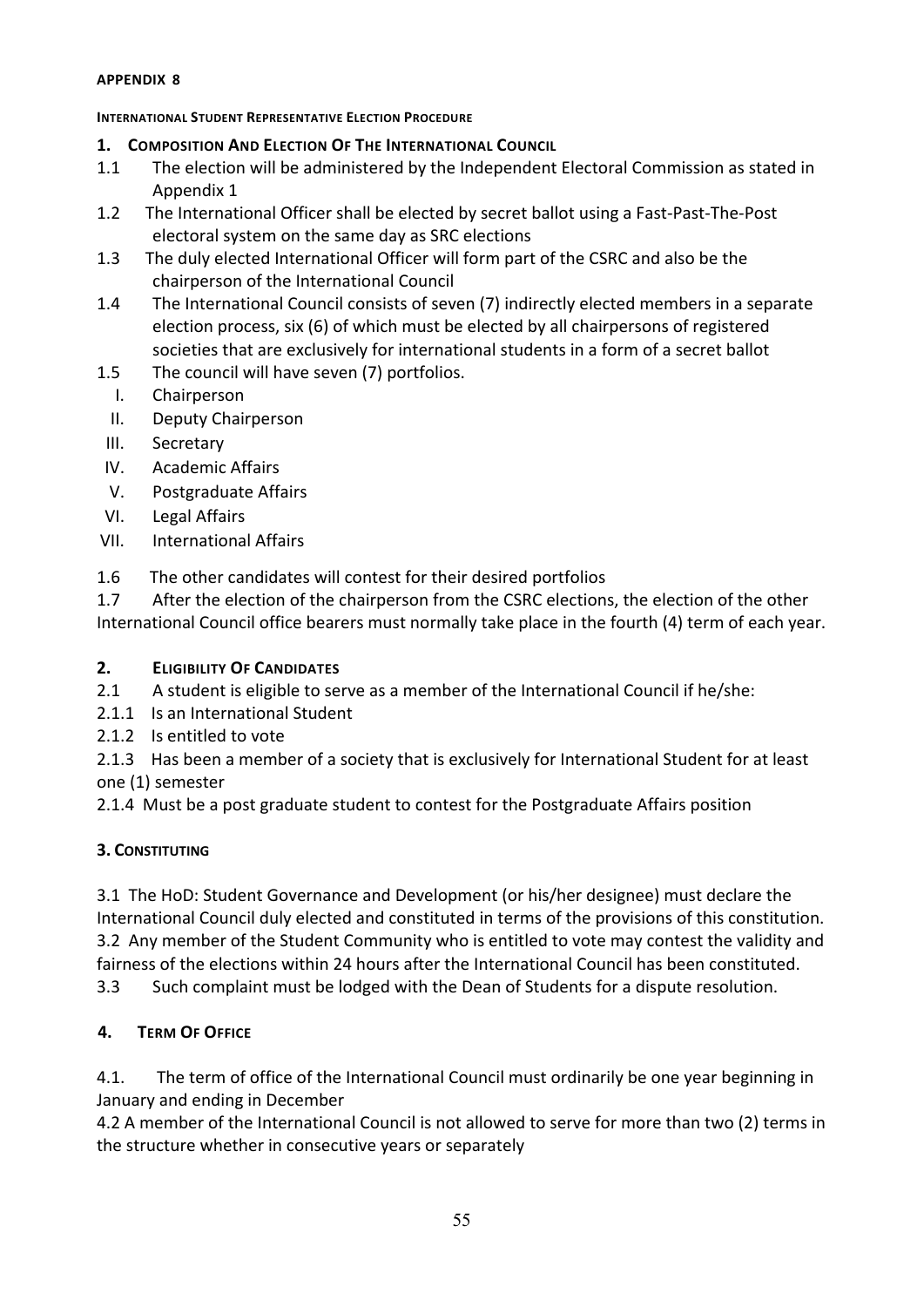#### <span id="page-55-1"></span><span id="page-55-0"></span>**INTERNATIONAL STUDENT REPRESENTATIVE ELECTION PROCEDURE**

- **1. COMPOSITION AND ELECTION OF THE INTERNATIONAL COUNCIL**
- 1.1 The election will be administered by the Independent Electoral Commission as stated in Appendix 1
- 1.2 The International Officer shall be elected by secret ballot using a Fast-Past-The-Post electoral system on the same day as SRC elections
- 1.3 The duly elected International Officer will form part of the CSRC and also be the chairperson of the International Council
- 1.4 The International Council consists of seven (7) indirectly elected members in a separate election process, six (6) of which must be elected by all chairpersons of registered societies that are exclusively for international students in a form of a secret ballot
- 1.5 The council will have seven (7) portfolios.
	- I. Chairperson
	- II. Deputy Chairperson
- III. Secretary
- IV. Academic Affairs
- V. Postgraduate Affairs
- VI. Legal Affairs
- VII. International Affairs
- 1.6 The other candidates will contest for their desired portfolios

1.7 After the election of the chairperson from the CSRC elections, the election of the other International Council office bearers must normally take place in the fourth (4) term of each year.

#### **2. ELIGIBILITY OF CANDIDATES**

- 2.1 A student is eligible to serve as a member of the International Council if he/she:
- 2.1.1 Is an International Student
- 2.1.2 Is entitled to vote

2.1.3 Has been a member of a society that is exclusively for International Student for at least one (1) semester

2.1.4 Must be a post graduate student to contest for the Postgraduate Affairs position

#### **3. CONSTITUTING**

3.1 The HoD: Student Governance and Development (or his/her designee) must declare the International Council duly elected and constituted in terms of the provisions of this constitution. 3.2 Any member of the Student Community who is entitled to vote may contest the validity and fairness of the elections within 24 hours after the International Council has been constituted.

3.3 Such complaint must be lodged with the Dean of Students for a dispute resolution.

## **4. TERM OF OFFICE**

4.1. The term of office of the International Council must ordinarily be one year beginning in January and ending in December

4.2 A member of the International Council is not allowed to serve for more than two (2) terms in the structure whether in consecutive years or separately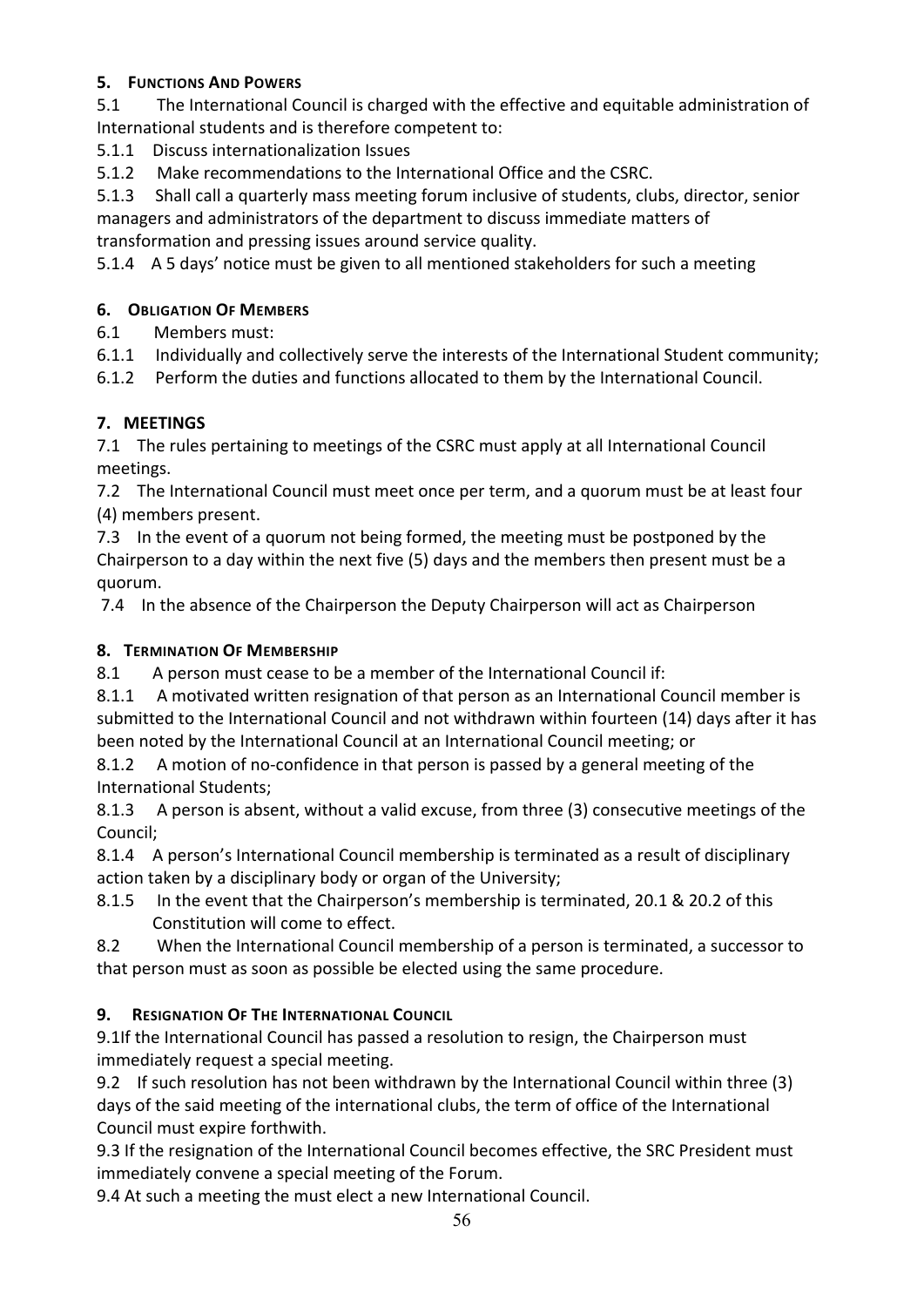## **5. FUNCTIONS AND POWERS**

5.1 The International Council is charged with the effective and equitable administration of International students and is therefore competent to:

5.1.1 Discuss internationalization Issues

5.1.2 Make recommendations to the International Office and the CSRC.

5.1.3 Shall call a quarterly mass meeting forum inclusive of students, clubs, director, senior managers and administrators of the department to discuss immediate matters of transformation and pressing issues around service quality.

5.1.4 A 5 days' notice must be given to all mentioned stakeholders for such a meeting

## **6. OBLIGATION OF MEMBERS**

6.1 Members must:

6.1.1 Individually and collectively serve the interests of the International Student community;

6.1.2 Perform the duties and functions allocated to them by the International Council.

## **7. MEETINGS**

7.1 The rules pertaining to meetings of the CSRC must apply at all International Council meetings.

7.2 The International Council must meet once per term, and a quorum must be at least four (4) members present.

7.3 In the event of a quorum not being formed, the meeting must be postponed by the Chairperson to a day within the next five (5) days and the members then present must be a quorum.

7.4 In the absence of the Chairperson the Deputy Chairperson will act as Chairperson

## **8. TERMINATION OF MEMBERSHIP**

8.1 A person must cease to be a member of the International Council if:

8.1.1 A motivated written resignation of that person as an International Council member is submitted to the International Council and not withdrawn within fourteen (14) days after it has been noted by the International Council at an International Council meeting; or

8.1.2 A motion of no-confidence in that person is passed by a general meeting of the International Students;

8.1.3 A person is absent, without a valid excuse, from three (3) consecutive meetings of the Council;

8.1.4 A person's International Council membership is terminated as a result of disciplinary action taken by a disciplinary body or organ of the University;

8.1.5 In the event that the Chairperson's membership is terminated, 20.1 & 20.2 of this Constitution will come to effect.

8.2 When the International Council membership of a person is terminated, a successor to that person must as soon as possible be elected using the same procedure.

## **9. RESIGNATION OF THE INTERNATIONAL COUNCIL**

9.1If the International Council has passed a resolution to resign, the Chairperson must immediately request a special meeting.

9.2 If such resolution has not been withdrawn by the International Council within three (3) days of the said meeting of the international clubs, the term of office of the International Council must expire forthwith.

9.3 If the resignation of the International Council becomes effective, the SRC President must immediately convene a special meeting of the Forum.

9.4 At such a meeting the must elect a new International Council.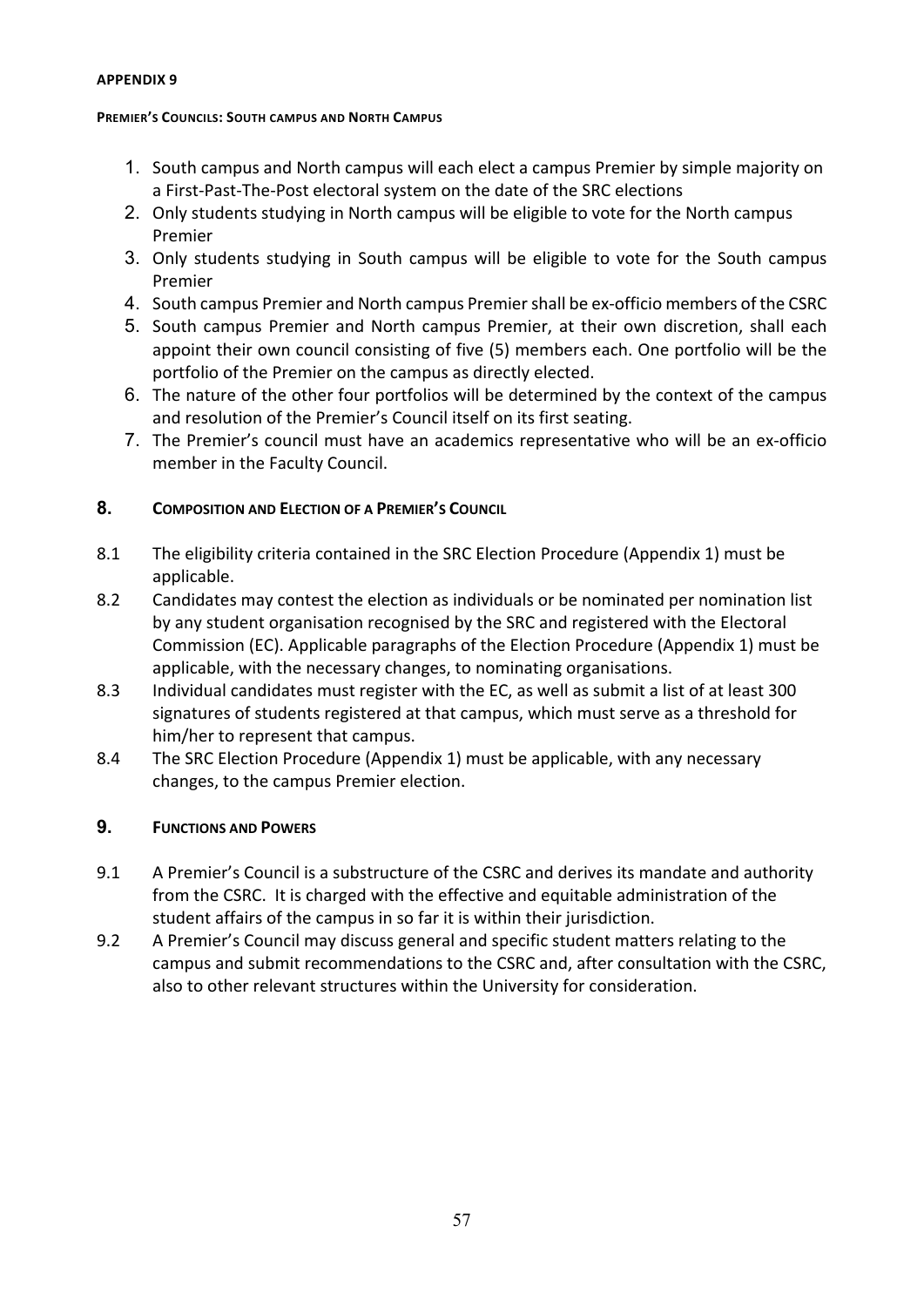#### <span id="page-57-1"></span><span id="page-57-0"></span>**PREMIER'S COUNCILS: SOUTH CAMPUS AND NORTH CAMPUS**

- 1. South campus and North campus will each elect a campus Premier by simple majority on a First-Past-The-Post electoral system on the date of the SRC elections
- 2. Only students studying in North campus will be eligible to vote for the North campus Premier
- 3. Only students studying in South campus will be eligible to vote for the South campus Premier
- 4. South campus Premier and North campus Premier shall be ex-officio members of the CSRC
- 5. South campus Premier and North campus Premier, at their own discretion, shall each appoint their own council consisting of five (5) members each. One portfolio will be the portfolio of the Premier on the campus as directly elected.
- 6. The nature of the other four portfolios will be determined by the context of the campus and resolution of the Premier's Council itself on its first seating.
- 7. The Premier's council must have an academics representative who will be an ex-officio member in the Faculty Council.

#### **8. COMPOSITION AND ELECTION OF A PREMIER'S COUNCIL**

- 8.1 The eligibility criteria contained in the SRC Election Procedure (Appendix 1) must be applicable.
- 8.2 Candidates may contest the election as individuals or be nominated per nomination list by any student organisation recognised by the SRC and registered with the Electoral Commission (EC). Applicable paragraphs of the Election Procedure (Appendix 1) must be applicable, with the necessary changes, to nominating organisations.
- 8.3 Individual candidates must register with the EC, as well as submit a list of at least 300 signatures of students registered at that campus, which must serve as a threshold for him/her to represent that campus.
- 8.4 The SRC Election Procedure (Appendix 1) must be applicable, with any necessary changes, to the campus Premier election.

## **9. FUNCTIONS AND POWERS**

- 9.1 A Premier's Council is a substructure of the CSRC and derives its mandate and authority from the CSRC. It is charged with the effective and equitable administration of the student affairs of the campus in so far it is within their jurisdiction.
- 9.2 A Premier's Council may discuss general and specific student matters relating to the campus and submit recommendations to the CSRC and, after consultation with the CSRC, also to other relevant structures within the University for consideration.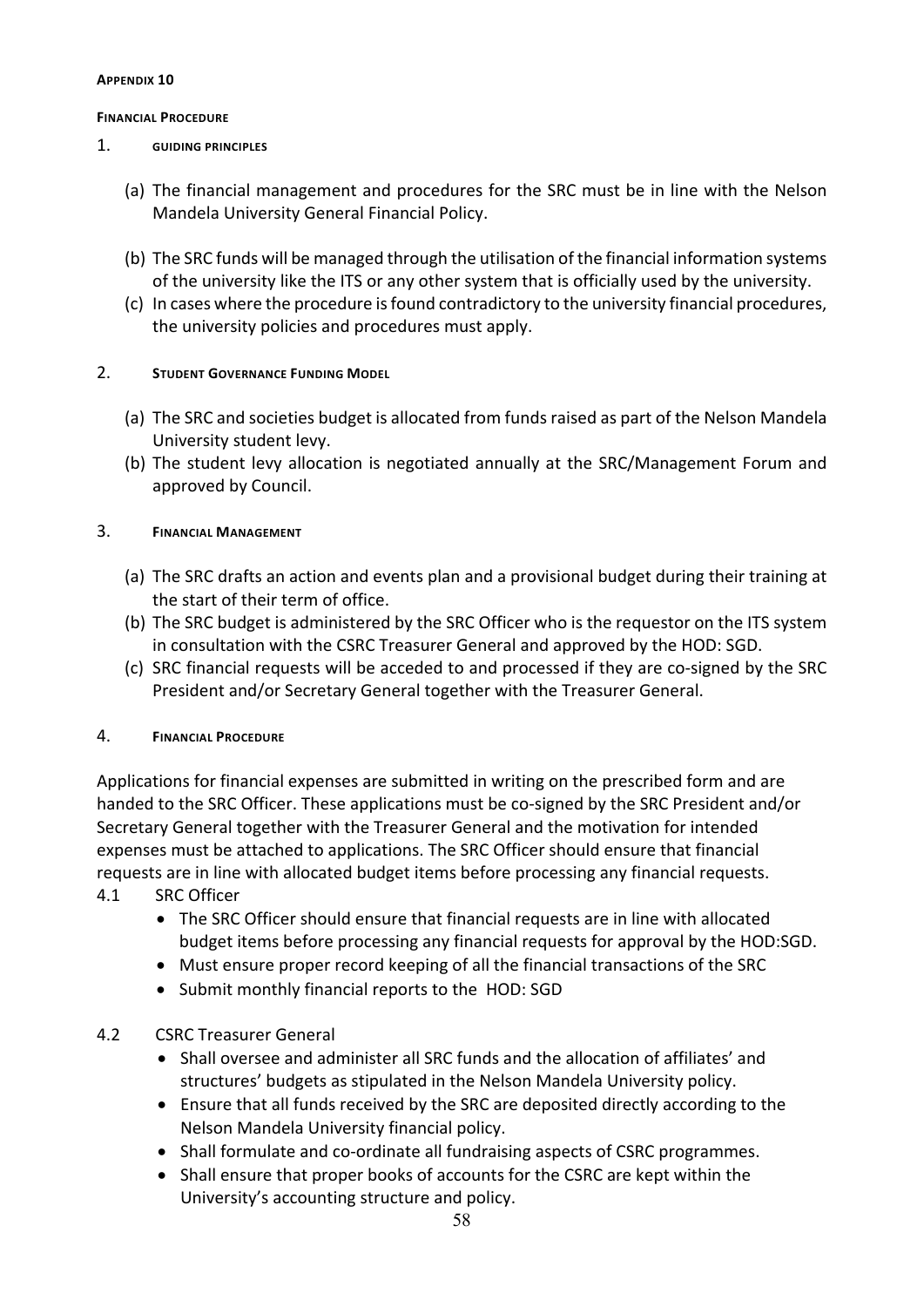#### <span id="page-58-1"></span><span id="page-58-0"></span>**FINANCIAL PROCEDURE**

#### 1. **GUIDING PRINCIPLES**

- (a) The financial management and procedures for the SRC must be in line with the Nelson Mandela University General Financial Policy.
- (b) The SRC funds will be managed through the utilisation of the financial information systems of the university like the ITS or any other system that is officially used by the university.
- (c) In cases where the procedure is found contradictory to the university financial procedures, the university policies and procedures must apply.

#### 2. **STUDENT GOVERNANCE FUNDING MODEL**

- (a) The SRC and societies budget is allocated from funds raised as part of the Nelson Mandela University student levy.
- (b) The student levy allocation is negotiated annually at the SRC/Management Forum and approved by Council.

#### 3. **FINANCIAL MANAGEMENT**

- (a) The SRC drafts an action and events plan and a provisional budget during their training at the start of their term of office.
- (b) The SRC budget is administered by the SRC Officer who is the requestor on the ITS system in consultation with the CSRC Treasurer General and approved by the HOD: SGD.
- (c) SRC financial requests will be acceded to and processed if they are co-signed by the SRC President and/or Secretary General together with the Treasurer General.

#### 4. **FINANCIAL PROCEDURE**

Applications for financial expenses are submitted in writing on the prescribed form and are handed to the SRC Officer. These applications must be co-signed by the SRC President and/or Secretary General together with the Treasurer General and the motivation for intended expenses must be attached to applications. The SRC Officer should ensure that financial requests are in line with allocated budget items before processing any financial requests. 4.1 SRC Officer

- The SRC Officer should ensure that financial requests are in line with allocated budget items before processing any financial requests for approval by the HOD:SGD.
- Must ensure proper record keeping of all the financial transactions of the SRC
- Submit monthly financial reports to the HOD: SGD

#### 4.2 CSRC Treasurer General

- Shall oversee and administer all SRC funds and the allocation of affiliates' and structures' budgets as stipulated in the Nelson Mandela University policy.
- Ensure that all funds received by the SRC are deposited directly according to the Nelson Mandela University financial policy.
- Shall formulate and co-ordinate all fundraising aspects of CSRC programmes.
- Shall ensure that proper books of accounts for the CSRC are kept within the University's accounting structure and policy.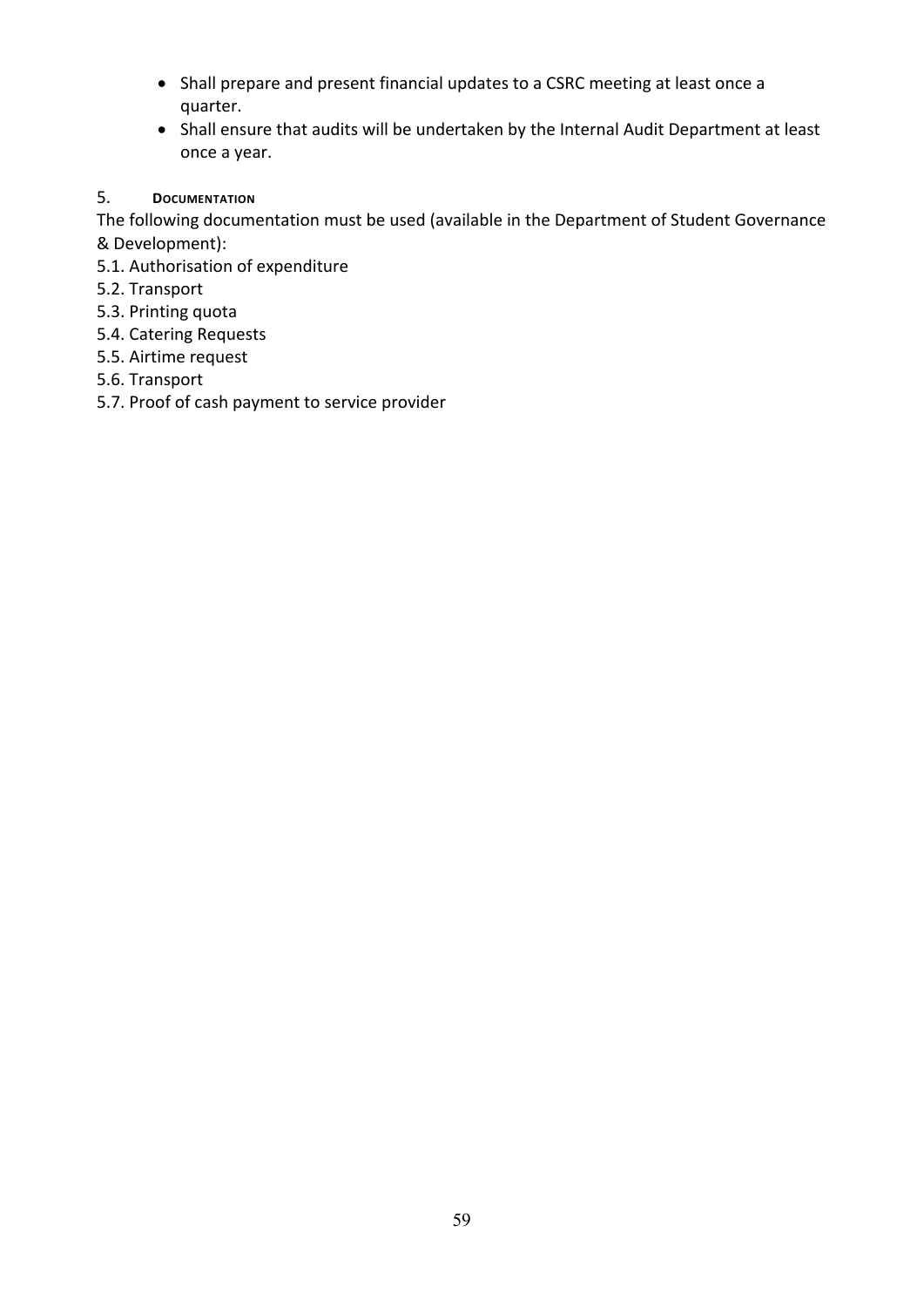- Shall prepare and present financial updates to a CSRC meeting at least once a quarter.
- Shall ensure that audits will be undertaken by the Internal Audit Department at least once a year.
- 5. **DOCUMENTATION**

The following documentation must be used (available in the Department of Student Governance & Development):

- 5.1. Authorisation of expenditure
- 5.2. Transport
- 5.3. Printing quota
- 5.4. Catering Requests
- 5.5. Airtime request
- 5.6. Transport
- 5.7. Proof of cash payment to service provider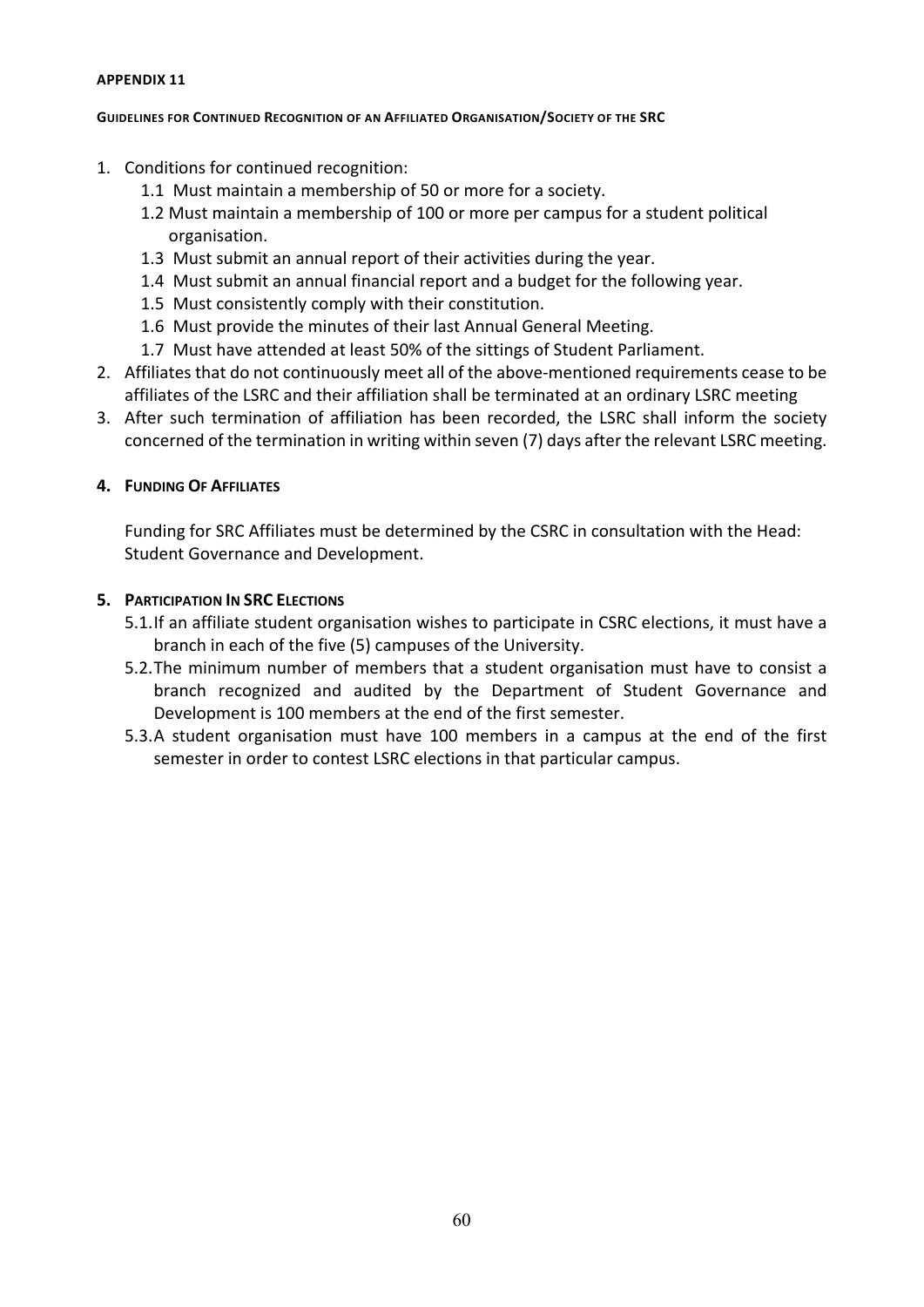#### <span id="page-60-1"></span><span id="page-60-0"></span>**GUIDELINES FOR CONTINUED RECOGNITION OF AN AFFILIATED ORGANISATION/SOCIETY OF THE SRC**

- 1. Conditions for continued recognition:
	- 1.1 Must maintain a membership of 50 or more for a society.
	- 1.2 Must maintain a membership of 100 or more per campus for a student political organisation.
	- 1.3 Must submit an annual report of their activities during the year.
	- 1.4 Must submit an annual financial report and a budget for the following year.
	- 1.5 Must consistently comply with their constitution.
	- 1.6 Must provide the minutes of their last Annual General Meeting.
	- 1.7 Must have attended at least 50% of the sittings of Student Parliament.
- 2. Affiliates that do not continuously meet all of the above-mentioned requirements cease to be affiliates of the LSRC and their affiliation shall be terminated at an ordinary LSRC meeting
- 3. After such termination of affiliation has been recorded, the LSRC shall inform the society concerned of the termination in writing within seven (7) days after the relevant LSRC meeting.

#### **4. FUNDING OF AFFILIATES**

Funding for SRC Affiliates must be determined by the CSRC in consultation with the Head: Student Governance and Development.

#### **5. PARTICIPATION IN SRC ELECTIONS**

- 5.1.If an affiliate student organisation wishes to participate in CSRC elections, it must have a branch in each of the five (5) campuses of the University.
- 5.2.The minimum number of members that a student organisation must have to consist a branch recognized and audited by the Department of Student Governance and Development is 100 members at the end of the first semester.
- 5.3.A student organisation must have 100 members in a campus at the end of the first semester in order to contest LSRC elections in that particular campus.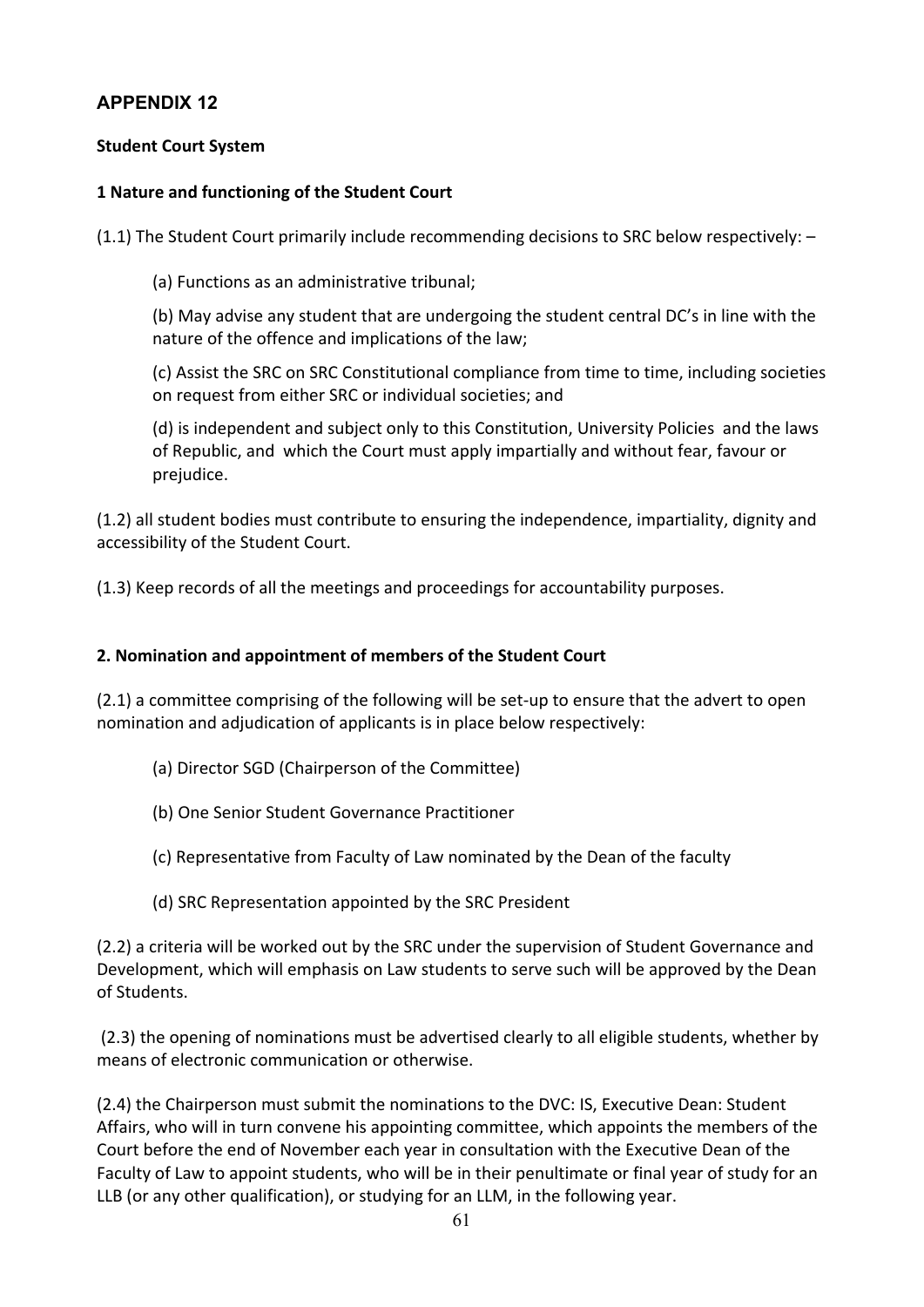## **Student Court System**

## **1 Nature and functioning of the Student Court**

(1.1) The Student Court primarily include recommending decisions to SRC below respectively: –

(a) Functions as an administrative tribunal;

(b) May advise any student that are undergoing the student central DC's in line with the nature of the offence and implications of the law;

(c) Assist the SRC on SRC Constitutional compliance from time to time, including societies on request from either SRC or individual societies; and

(d) is independent and subject only to this Constitution, University Policies and the laws of Republic, and which the Court must apply impartially and without fear, favour or prejudice.

(1.2) all student bodies must contribute to ensuring the independence, impartiality, dignity and accessibility of the Student Court.

(1.3) Keep records of all the meetings and proceedings for accountability purposes.

### **2. Nomination and appointment of members of the Student Court**

(2.1) a committee comprising of the following will be set-up to ensure that the advert to open nomination and adjudication of applicants is in place below respectively:

- (a) Director SGD (Chairperson of the Committee)
- (b) One Senior Student Governance Practitioner
- (c) Representative from Faculty of Law nominated by the Dean of the faculty
- (d) SRC Representation appointed by the SRC President

(2.2) a criteria will be worked out by the SRC under the supervision of Student Governance and Development, which will emphasis on Law students to serve such will be approved by the Dean of Students.

(2.3) the opening of nominations must be advertised clearly to all eligible students, whether by means of electronic communication or otherwise.

(2.4) the Chairperson must submit the nominations to the DVC: IS, Executive Dean: Student Affairs, who will in turn convene his appointing committee, which appoints the members of the Court before the end of November each year in consultation with the Executive Dean of the Faculty of Law to appoint students, who will be in their penultimate or final year of study for an LLB (or any other qualification), or studying for an LLM, in the following year.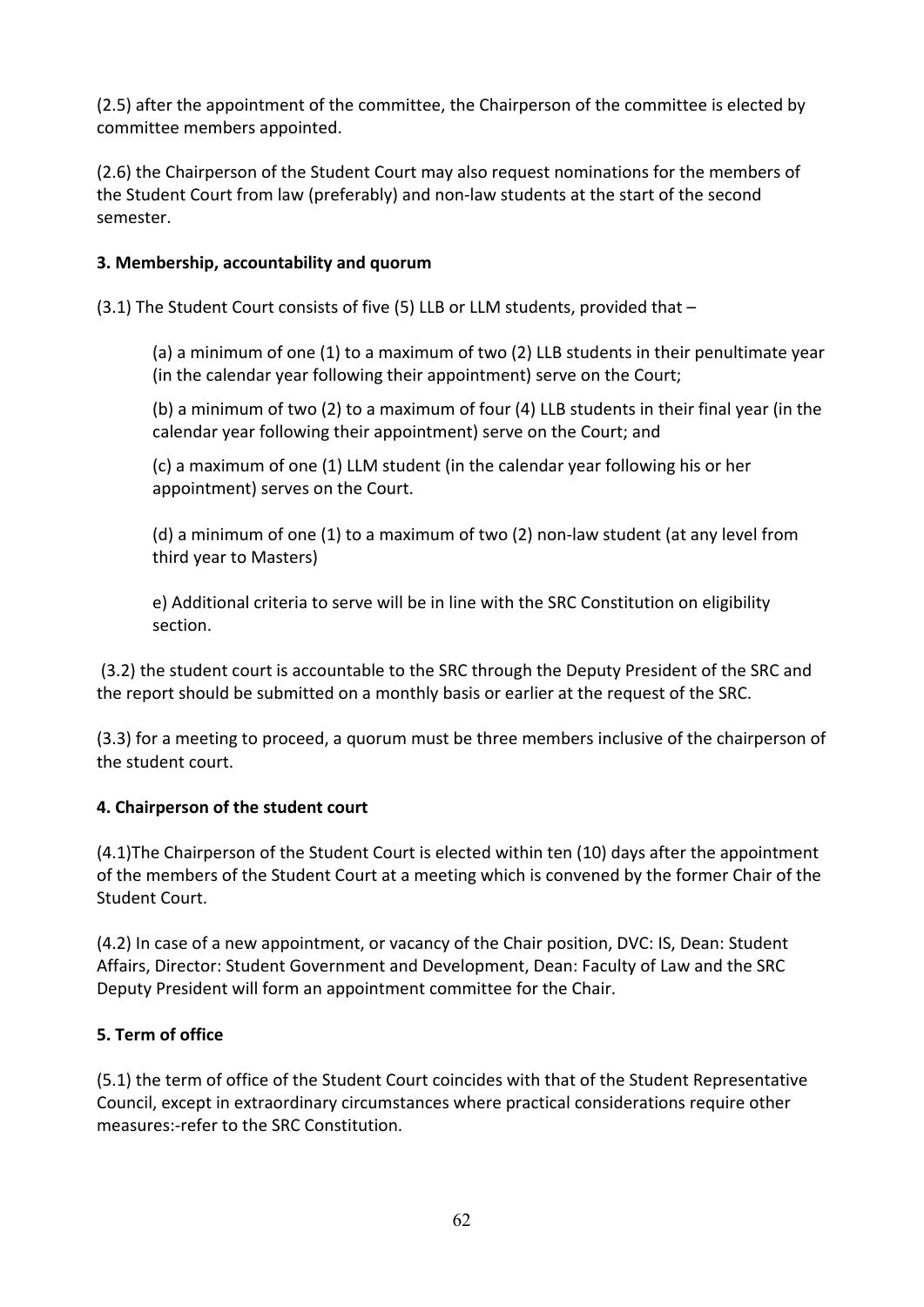(2.5) after the appointment of the committee, the Chairperson of the committee is elected by committee members appointed.

(2.6) the Chairperson of the Student Court may also request nominations for the members of the Student Court from law (preferably) and non-law students at the start of the second semester.

## **3. Membership, accountability and quorum**

(3.1) The Student Court consists of five (5) LLB or LLM students, provided that –

(a) a minimum of one (1) to a maximum of two (2) LLB students in their penultimate year (in the calendar year following their appointment) serve on the Court;

(b) a minimum of two (2) to a maximum of four (4) LLB students in their final year (in the calendar year following their appointment) serve on the Court; and

(c) a maximum of one (1) LLM student (in the calendar year following his or her appointment) serves on the Court.

(d) a minimum of one (1) to a maximum of two (2) non-law student (at any level from third year to Masters)

e) Additional criteria to serve will be in line with the SRC Constitution on eligibility section.

(3.2) the student court is accountable to the SRC through the Deputy President of the SRC and the report should be submitted on a monthly basis or earlier at the request of the SRC.

(3.3) for a meeting to proceed, a quorum must be three members inclusive of the chairperson of the student court.

## **4. Chairperson of the student court**

(4.1)The Chairperson of the Student Court is elected within ten (10) days after the appointment of the members of the Student Court at a meeting which is convened by the former Chair of the Student Court.

(4.2) In case of a new appointment, or vacancy of the Chair position, DVC: IS, Dean: Student Affairs, Director: Student Government and Development, Dean: Faculty of Law and the SRC Deputy President will form an appointment committee for the Chair.

## **5. Term of office**

(5.1) the term of office of the Student Court coincides with that of the Student Representative Council, except in extraordinary circumstances where practical considerations require other measures:-refer to the SRC Constitution.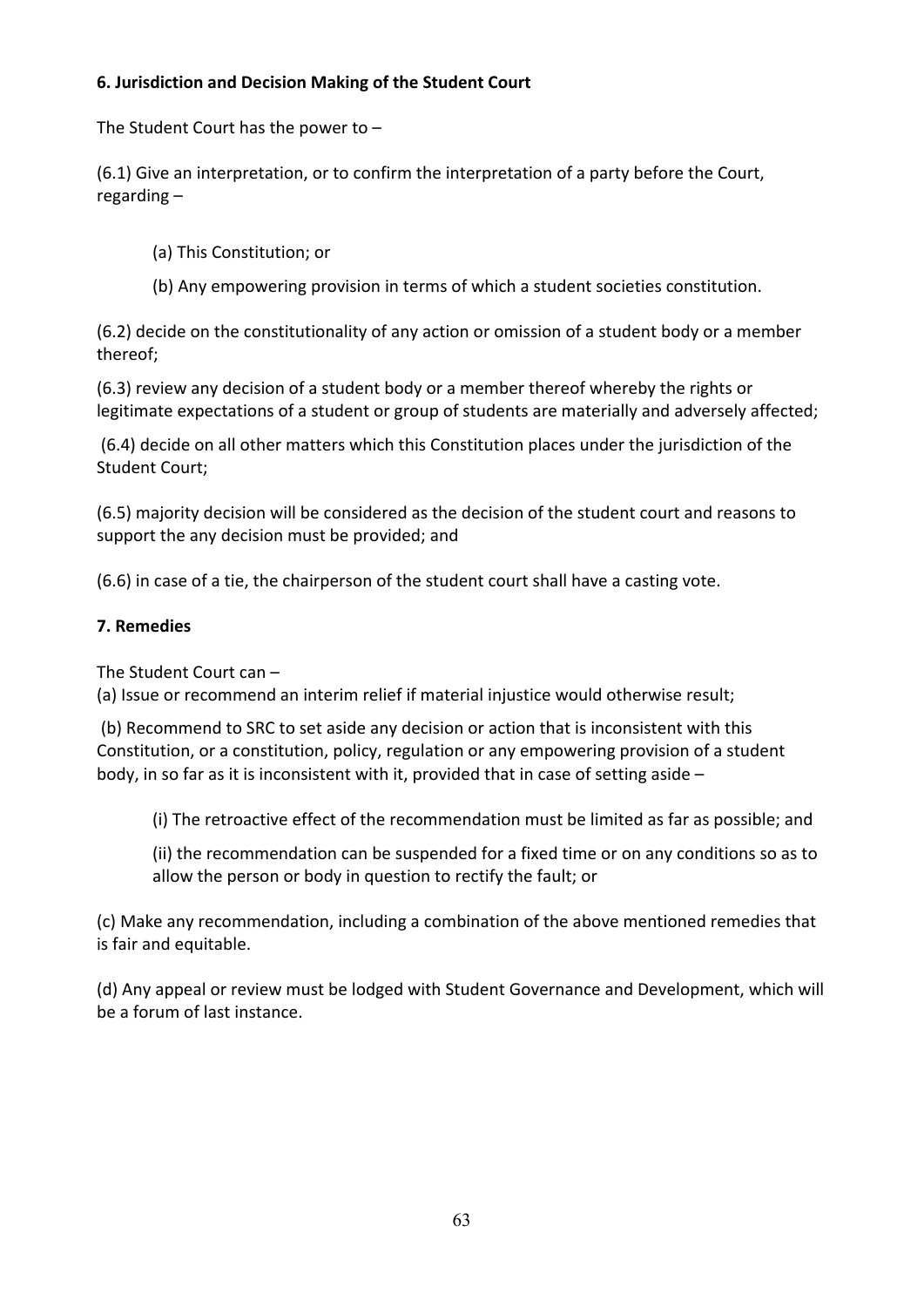## **6. Jurisdiction and Decision Making of the Student Court**

The Student Court has the power to –

(6.1) Give an interpretation, or to confirm the interpretation of a party before the Court, regarding –

- (a) This Constitution; or
- (b) Any empowering provision in terms of which a student societies constitution.

(6.2) decide on the constitutionality of any action or omission of a student body or a member thereof;

(6.3) review any decision of a student body or a member thereof whereby the rights or legitimate expectations of a student or group of students are materially and adversely affected;

(6.4) decide on all other matters which this Constitution places under the jurisdiction of the Student Court;

(6.5) majority decision will be considered as the decision of the student court and reasons to support the any decision must be provided; and

(6.6) in case of a tie, the chairperson of the student court shall have a casting vote.

## **7. Remedies**

The Student Court can –

(a) Issue or recommend an interim relief if material injustice would otherwise result;

(b) Recommend to SRC to set aside any decision or action that is inconsistent with this Constitution, or a constitution, policy, regulation or any empowering provision of a student body, in so far as it is inconsistent with it, provided that in case of setting aside  $-$ 

(i) The retroactive effect of the recommendation must be limited as far as possible; and

(ii) the recommendation can be suspended for a fixed time or on any conditions so as to allow the person or body in question to rectify the fault; or

(c) Make any recommendation, including a combination of the above mentioned remedies that is fair and equitable.

(d) Any appeal or review must be lodged with Student Governance and Development, which will be a forum of last instance.